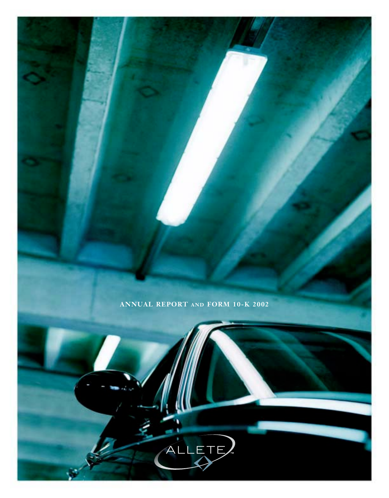

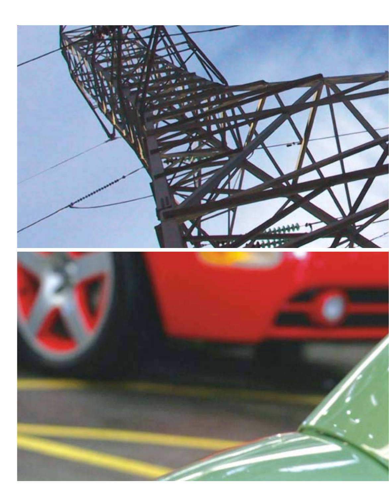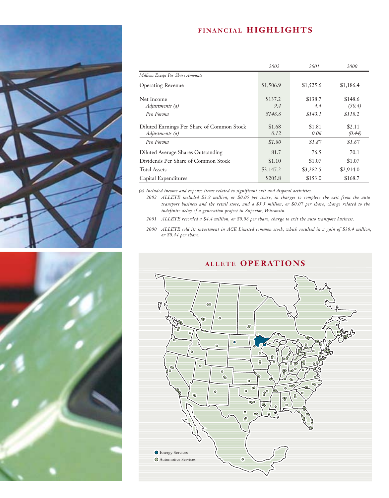## **FINANCIAL HIGHLIGHTS**





|                                            | 2002      | 2001      | <b>2000</b> |
|--------------------------------------------|-----------|-----------|-------------|
| Millions Except Per Share Amounts          |           |           |             |
| <b>Operating Revenue</b>                   | \$1,506.9 | \$1,525.6 | \$1,186.4   |
| Net Income                                 | \$137.2   | \$138.7   | \$148.6     |
| Adjustments (a)                            | 9.4       | 4.4       | (30.4)      |
| Pro Forma                                  | \$146.6   | \$143.1   | \$118.2     |
| Diluted Earnings Per Share of Common Stock | \$1.68    | \$1.81    | \$2.11      |
| Adjustments (a)                            | 0.12      | 0.06      | (0.44)      |
| Pro Forma                                  | \$1.80    | \$1.87    | \$1.67      |
| Diluted Average Shares Outstanding         | 81.7      | 76.5      | 70.1        |
| Dividends Per Share of Common Stock        | \$1.10    | \$1.07    | \$1.07      |
| <b>Total Assets</b>                        | \$3,147.2 | \$3,282.5 | \$2,914.0   |
| Capital Expenditures                       | \$205.8   | \$153.0   | \$168.7     |

*(a) Included income and expense items related to significant exit and disposal activities.*

*2002 ALLETE included \$3.9 million, or \$0.05 per share, in charges to complete the exit from the auto transport business and the retail store, and a \$5.5 million, or \$0.07 per share, charge related to the indefinite delay of a generation project in Superior, Wisconsin.*

- *2001 ALLETE recorded a \$4.4 million, or \$0.06 per share, charge to exit the auto transport business.*
- *2000 ALLETE sold its investment in ACE Limited common stock, which resulted in a gain of \$30.4 million, or \$0.44 per share.*

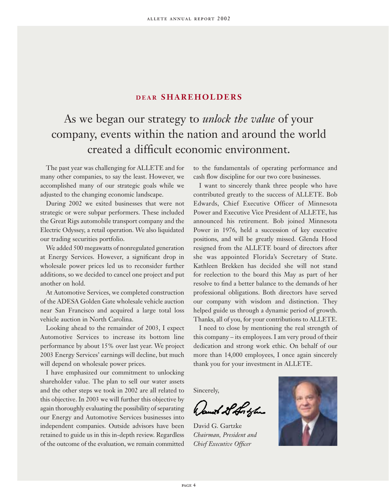## **DEAR SHAREHOLDERS**

# As we began our strategy to *unlock the value* of your company, events within the nation and around the world created a difficult economic environment.

The past year was challenging for ALLETE and for many other companies, to say the least. However, we accomplished many of our strategic goals while we adjusted to the changing economic landscape.

During 2002 we exited businesses that were not strategic or were subpar performers. These included the Great Rigs automobile transport company and the Electric Odyssey, a retail operation. We also liquidated our trading securities portfolio.

We added 500 megawatts of nonregulated generation at Energy Services. However, a significant drop in wholesale power prices led us to reconsider further additions, so we decided to cancel one project and put another on hold.

At Automotive Services, we completed construction of the ADESA Golden Gate wholesale vehicle auction near San Francisco and acquired a large total loss vehicle auction in North Carolina.

Looking ahead to the remainder of 2003, I expect Automotive Services to increase its bottom line performance by about 15% over last year. We project 2003 Energy Services' earnings will decline, but much will depend on wholesale power prices.

I have emphasized our commitment to unlocking shareholder value. The plan to sell our water assets and the other steps we took in 2002 are all related to this objective. In 2003 we will further this objective by again thoroughly evaluating the possibility of separating our Energy and Automotive Services businesses into independent companies. Outside advisors have been retained to guide us in this in-depth review. Regardless of the outcome of the evaluation, we remain committed to the fundamentals of operating performance and cash flow discipline for our two core businesses.

I want to sincerely thank three people who have contributed greatly to the success of ALLETE. Bob Edwards, Chief Executive Officer of Minnesota Power and Executive Vice President of ALLETE, has announced his retirement. Bob joined Minnesota Power in 1976, held a succession of key executive positions, and will be greatly missed. Glenda Hood resigned from the ALLETE board of directors after she was appointed Florida's Secretary of State. Kathleen Brekken has decided she will not stand for reelection to the board this May as part of her resolve to find a better balance to the demands of her professional obligations. Both directors have served our company with wisdom and distinction. They helped guide us through a dynamic period of growth. Thanks, all of you, for your contributions to ALLETE.

I need to close by mentioning the real strength of this company – its employees. I am very proud of their dedication and strong work ethic. On behalf of our more than 14,000 employees, I once again sincerely thank you for your investment in ALLETE.

Sincerely,

Daniel & Sorthe

David G. Gartzke *Chairman, President and Chief Executive Officer*

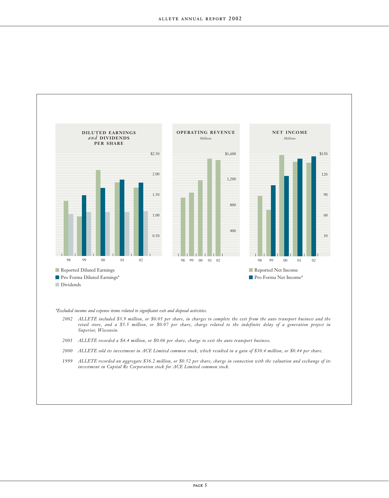

*\*Excluded income and expense items related to significant exit and disposal activities.*

- *2002 ALLETE included \$3.9 million, or \$0.05 per share, in charges to complete the exit from the auto transport business and the retail store, and a \$5.5 million, or \$0.07 per share, charge related to the indefinite delay of a generation project in Superior, Wisconsin.*
- *2001 ALLETE recorded a \$4.4 million, or \$0.06 per share, charge to exit the auto transport business.*
- *2000 ALLETE sold its investment in ACE Limited common stock, which resulted in a gain of \$30.4 million, or \$0.44 per share.*
- *1999 ALLETE recorded an aggregate \$36.2 million, or \$0.52 per share, charge in connection with the valuation and exchange of its investment in Capital Re Corporation stock for ACE Limited common stock.*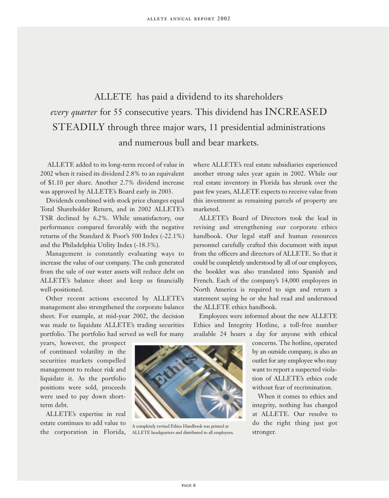# ALLETE has paid a dividend to its shareholders *every quarter* for 55 consecutive years. This dividend has INCREASED STEADILY through three major wars, 11 presidential administrations and numerous bull and bear markets.

ALLETE added to its long-term record of value in 2002 when it raised its dividend 2.8% to an equivalent of \$1.10 per share. Another 2.7% dividend increase was approved by ALLETE's Board early in 2003.

Dividends combined with stock price changes equal Total Shareholder Return, and in 2002 ALLETE's TSR declined by 6.2%. While unsatisfactory, our performance compared favorably with the negative returns of the Standard & Poor's 500 Index (-22.1%) and the Philadelphia Utility Index (-18.3%).

Management is constantly evaluating ways to increase the value of our company. The cash generated from the sale of our water assets will reduce debt on ALLETE's balance sheet and keep us financially well-positioned.

Other recent actions executed by ALLETE's management also strengthened the corporate balance sheet. For example, at mid-year 2002, the decision was made to liquidate ALLETE's trading securities portfolio. The portfolio had served us well for many

years, however, the prospect of continued volatility in the securities markets compelled management to reduce risk and liquidate it. As the portfolio positions were sold, proceeds were used to pay down shortterm debt.

ALLETE's expertise in real estate continues to add value to the corporation in Florida,



A completely revised Ethics Handbook was printed at ALLETE headquarters and distributed to all employees.

where ALLETE's real estate subsidiaries experienced another strong sales year again in 2002. While our real estate inventory in Florida has shrunk over the past few years, ALLETE expects to receive value from this investment as remaining parcels of property are marketed.

ALLETE's Board of Directors took the lead in revising and strengthening our corporate ethics handbook. Our legal staff and human resources personnel carefully crafted this document with input from the officers and directors of ALLETE. So that it could be completely understood by all of our employees, the booklet was also translated into Spanish and French. Each of the company's 14,000 employees in North America is required to sign and return a statement saying he or she had read and understood the ALLETE ethics handbook.

Employees were informed about the new ALLETE Ethics and Integrity Hotline, a toll-free number available 24 hours a day for anyone with ethical

> concerns. The hotline, operated by an outside company, is also an outlet for any employee who may want to report a suspected violation of ALLETE's ethics code without fear of recrimination.

When it comes to ethics and integrity, nothing has changed at ALLETE. Our resolve to do the right thing just got stronger.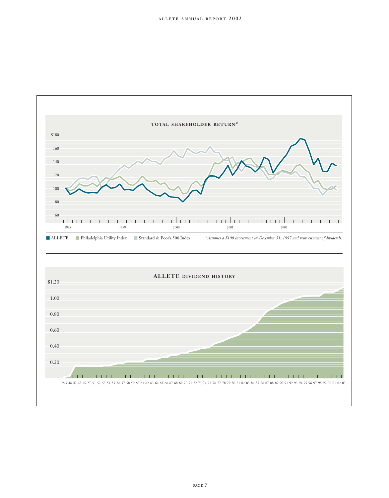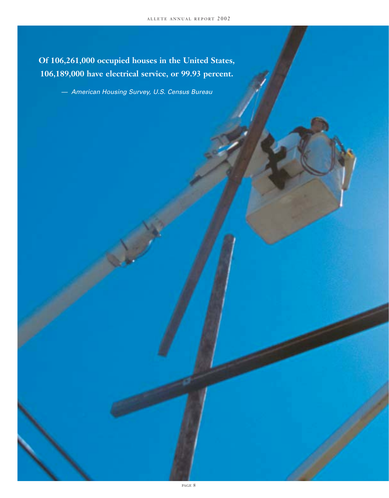**Of 106,261,000 occupied houses in the United States, 106,189,000 have electrical service, or 99.93 percent.**

— American Housing Survey, U.S. Census Bureau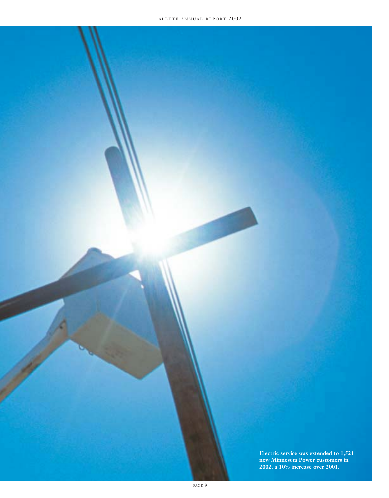**Electric service was extended to 1,521 new Minnesota Power customers in 2002, a 10% increase over 2001.**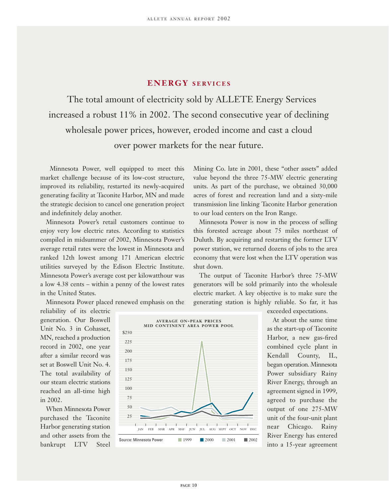## **ENERGY SERVICES**

The total amount of electricity sold by ALLETE Energy Services increased a robust 11% in 2002. The second consecutive year of declining wholesale power prices, however, eroded income and cast a cloud over power markets for the near future.

Minnesota Power, well equipped to meet this market challenge because of its low-cost structure, improved its reliability, restarted its newly-acquired generating facility at Taconite Harbor, MN and made the strategic decision to cancel one generation project and indefinitely delay another.

Minnesota Power's retail customers continue to enjoy very low electric rates. According to statistics compiled in midsummer of 2002, Minnesota Power's average retail rates were the lowest in Minnesota and ranked 12th lowest among 171 American electric utilities surveyed by the Edison Electric Institute. Minnesota Power's average cost per kilowatthour was a low 4.38 cents – within a penny of the lowest rates in the United States.

Minnesota Power placed renewed emphasis on the

reliability of its electric generation. Our Boswell Unit No. 3 in Cohasset, MN, reached a production record in 2002, one year after a similar record was set at Boswell Unit No. 4. The total availability of our steam electric stations reached an all-time high in 2002.

When Minnesota Power purchased the Taconite Harbor generating station and other assets from the bankrupt LTV Steel



Mining Co. late in 2001, these "other assets" added value beyond the three 75-MW electric generating units. As part of the purchase, we obtained 30,000 acres of forest and recreation land and a sixty-mile transmission line linking Taconite Harbor generation to our load centers on the Iron Range.

Minnesota Power is now in the process of selling this forested acreage about 75 miles northeast of Duluth. By acquiring and restarting the former LTV power station, we returned dozens of jobs to the area economy that were lost when the LTV operation was shut down.

The output of Taconite Harbor's three 75-MW generators will be sold primarily into the wholesale electric market. A key objective is to make sure the generating station is highly reliable. So far, it has

> exceeded expectations. At about the same time

> as the start-up of Taconite Harbor, a new gas-fired combined cycle plant in Kendall County, IL, began operation. Minnesota Power subsidiary Rainy River Energy, through an agreement signed in 1999, agreed to purchase the output of one 275-MW unit of the four-unit plant near Chicago. Rainy River Energy has entered into a 15-year agreement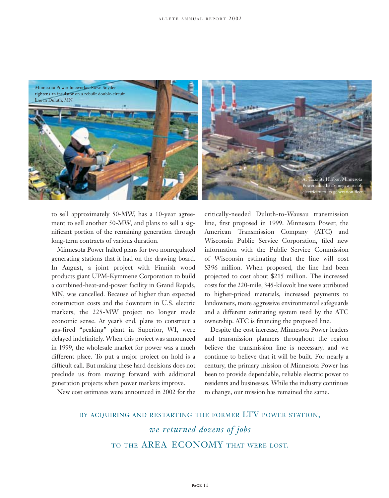

to sell approximately 50-MW, has a 10-year agreement to sell another 50-MW, and plans to sell a significant portion of the remaining generation through long-term contracts of various duration.

Minnesota Power halted plans for two nonregulated generating stations that it had on the drawing board. In August, a joint project with Finnish wood products giant UPM-Kymmene Corporation to build a combined-heat-and-power facility in Grand Rapids, MN, was cancelled. Because of higher than expected construction costs and the downturn in U.S. electric markets, the 225-MW project no longer made economic sense. At year's end, plans to construct a gas-fired "peaking" plant in Superior, WI, were delayed indefinitely. When this project was announced in 1999, the wholesale market for power was a much different place. To put a major project on hold is a difficult call. But making these hard decisions does not preclude us from moving forward with additional generation projects when power markets improve.

critically-needed Duluth-to-Wausau transmission line, first proposed in 1999. Minnesota Power, the American Transmission Company (ATC) and Wisconsin Public Service Corporation, filed new information with the Public Service Commission of Wisconsin estimating that the line will cost \$396 million. When proposed, the line had been projected to cost about \$215 million. The increased costs for the 220-mile, 345-kilovolt line were attributed to higher-priced materials, increased payments to landowners, more aggressive environmental safeguards and a different estimating system used by the ATC ownership. ATC is financing the proposed line.

Despite the cost increase, Minnesota Power leaders and transmission planners throughout the region believe the transmission line is necessary, and we continue to believe that it will be built. For nearly a century, the primary mission of Minnesota Power has been to provide dependable, reliable electric power to residents and businesses. While the industry continues to change, our mission has remained the same.

New cost estimates were announced in 2002 for the

BY ACQUIRING AND RESTARTING THE FORMER LTV POWER STATION, *we returned dozens of jobs* TO THE AREA ECONOMY THAT WERE LOST.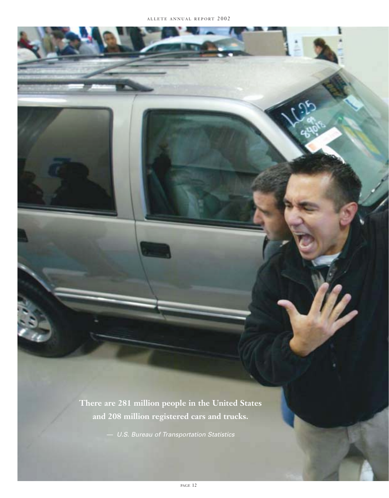**There are 281 million people in the United States and 208 million registered cars and trucks.**

— U.S. Bureau of Transportation Statistics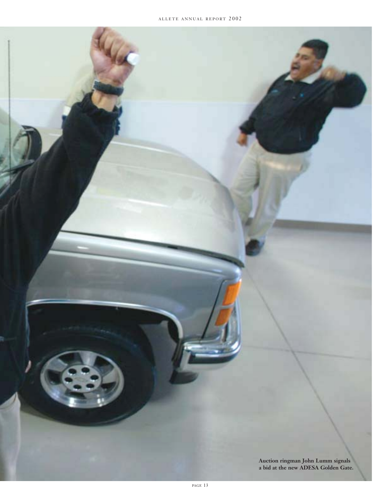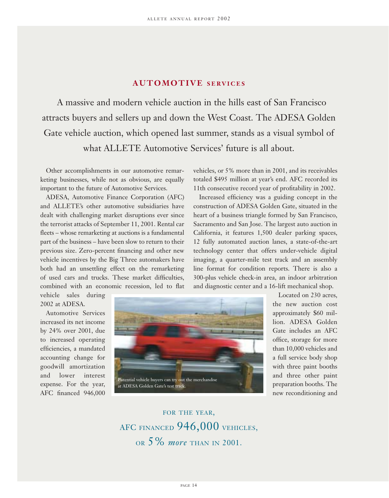## **AUTOMOTIVE SERVICES**

A massive and modern vehicle auction in the hills east of San Francisco attracts buyers and sellers up and down the West Coast. The ADESA Golden Gate vehicle auction, which opened last summer, stands as a visual symbol of what ALLETE Automotive Services' future is all about.

Other accomplishments in our automotive remarketing businesses, while not as obvious, are equally important to the future of Automotive Services.

ADESA, Automotive Finance Corporation (AFC) and ALLETE's other automotive subsidiaries have dealt with challenging market disruptions ever since the terrorist attacks of September 11, 2001. Rental car fleets – whose remarketing at auctions is a fundamental part of the business – have been slow to return to their previous size. Zero-percent financing and other new vehicle incentives by the Big Three automakers have both had an unsettling effect on the remarketing of used cars and trucks. These market difficulties, combined with an economic recession, led to flat vehicles, or 5% more than in 2001, and its receivables totaled \$495 million at year's end. AFC recorded its 11th consecutive record year of profitability in 2002.

Increased efficiency was a guiding concept in the construction of ADESA Golden Gate, situated in the heart of a business triangle formed by San Francisco, Sacramento and San Jose. The largest auto auction in California, it features 1,500 dealer parking spaces, 12 fully automated auction lanes, a state-of-the-art technology center that offers under-vehicle digital imaging, a quarter-mile test track and an assembly line format for condition reports. There is also a 300-plus vehicle check-in area, an indoor arbitration and diagnostic center and a 16-lift mechanical shop.

vehicle sales during 2002 at ADESA.

Automotive Services increased its net income by 24% over 2001, due to increased operating efficiencies, a mandated accounting change for goodwill amortization and lower interest expense. For the year, AFC financed 946,000



Located on 230 acres, the new auction cost approximately \$60 million. ADESA Golden Gate includes an AFC office, storage for more than 10,000 vehicles and a full service body shop with three paint booths and three other paint preparation booths. The new reconditioning and

FOR THE YEAR, AFC FINANCED 946,000 VEHICLES, OR 5% *more* THAN IN 2001.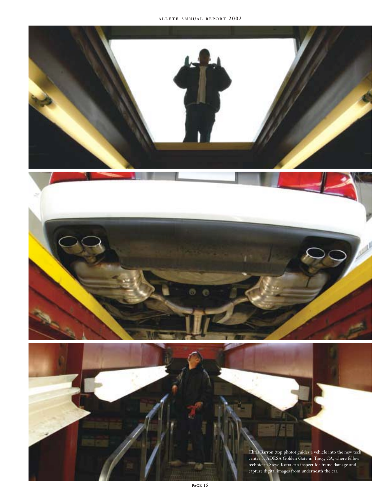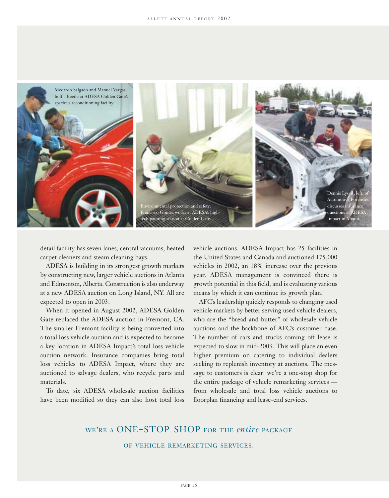

detail facility has seven lanes, central vacuums, heated carpet cleaners and steam cleaning bays.

ADESA is building in its strongest growth markets by constructing new, larger vehicle auctions in Atlanta and Edmonton, Alberta. Construction is also underway at a new ADESA auction on Long Island, NY. All are expected to open in 2003.

When it opened in August 2002, ADESA Golden Gate replaced the ADESA auction in Fremont, CA. The smaller Fremont facility is being converted into a total loss vehicle auction and is expected to become a key location in ADESA Impact's total loss vehicle auction network. Insurance companies bring total loss vehicles to ADESA Impact, where they are auctioned to salvage dealers, who recycle parts and materials.

To date, six ADESA wholesale auction facilities have been modified so they can also host total loss vehicle auctions. ADESA Impact has 25 facilities in the United States and Canada and auctioned 175,000 vehicles in 2002, an 18% increase over the previous year. ADESA management is convinced there is growth potential in this field, and is evaluating various means by which it can continue its growth plan.

AFC's leadership quickly responds to changing used vehicle markets by better serving used vehicle dealers, who are the "bread and butter" of wholesale vehicle auctions and the backbone of AFC's customer base. The number of cars and trucks coming off lease is expected to slow in mid-2003. This will place an even higher premium on catering to individual dealers seeking to replenish inventory at auctions. The message to customers is clear: we're a one-stop shop for the entire package of vehicle remarketing services from wholesale and total loss vehicle auctions to floorplan financing and lease-end services.

## WE'RE A ONE-STOP SHOP FOR THE *entire* PACKAGE OF VEHICLE REMARKETING SERVICES.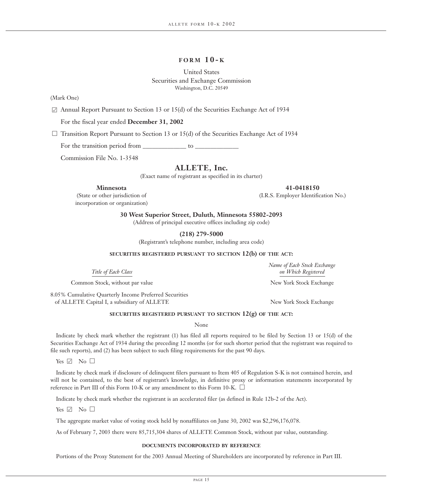## **FORM 10- K**

## United States

#### Securities and Exchange Commission Washington, D.C. 20549

(Mark One)

 $\boxtimes$  Annual Report Pursuant to Section 13 or 15(d) of the Securities Exchange Act of 1934

For the fiscal year ended **December 31, 2002**

 $\Box$  Transition Report Pursuant to Section 13 or 15(d) of the Securities Exchange Act of 1934

For the transition period from \_\_\_\_\_\_\_\_\_\_\_\_\_\_ to \_

Commission File No. 1-3548

## **ALLETE, Inc.**

(Exact name of registrant as specified in its charter)

#### **Minnesota 41-0418150**

incorporation or organization)

(State or other jurisdiction of (I.R.S. Employer Identification No.)

*Name of Each Stock Exchange*

**30 West Superior Street, Duluth, Minnesota 55802-2093**

(Address of principal executive offices including zip code)

**(218) 279-5000**

(Registrant's telephone number, including area code)

#### **SECURITIES REGISTERED PURSUANT TO SECTION 12(b) OF THE ACT:**

*Title of Each Class on Which Registered*

Common Stock, without par value New York Stock Exchange

8.05% Cumulative Quarterly Income Preferred Securities of ALLETE Capital I, a subsidiary of ALLETE New York Stock Exchange

### **SECURITIES REGISTERED PURSUANT TO SECTION 12(g) OF THE ACT:**

None

Indicate by check mark whether the registrant (1) has filed all reports required to be filed by Section 13 or 15(d) of the Securities Exchange Act of 1934 during the preceding 12 months (or for such shorter period that the registrant was required to file such reports), and (2) has been subject to such filing requirements for the past 90 days.

Yes  $\boxtimes$  No  $\Box$ 

Indicate by check mark if disclosure of delinquent filers pursuant to Item 405 of Regulation S-K is not contained herein, and will not be contained, to the best of registrant's knowledge, in definitive proxy or information statements incorporated by reference in Part III of this Form 10-K or any amendment to this Form 10-K.  $\Box$ 

Indicate by check mark whether the registrant is an accelerated filer (as defined in Rule 12b-2 of the Act).

Yes  $\boxtimes$  No  $\Box$ 

The aggregate market value of voting stock held by nonaffiliates on June 30, 2002 was \$2,296,176,078.

As of February 7, 2003 there were 85,715,304 shares of ALLETE Common Stock, without par value, outstanding.

## **DOCUMENTS INCORPORATED BY REFERENCE**

Portions of the Proxy Statement for the 2003 Annual Meeting of Shareholders are incorporated by reference in Part III.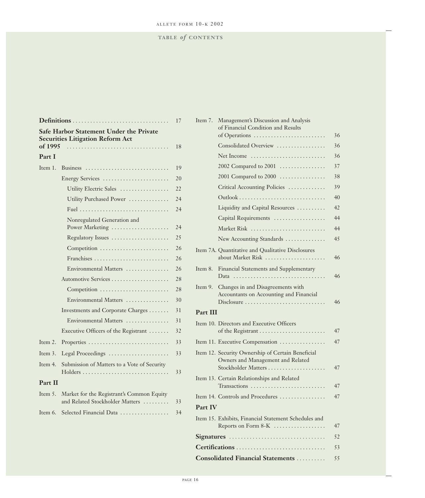## TABLE *of* CONTENTS

|                                                                                           | 17                                                                 |
|-------------------------------------------------------------------------------------------|--------------------------------------------------------------------|
| <b>Safe Harbor Statement Under the Private</b><br><b>Securities Litigation Reform Act</b> |                                                                    |
|                                                                                           | 18                                                                 |
|                                                                                           |                                                                    |
| Business                                                                                  | 19                                                                 |
|                                                                                           | 20                                                                 |
| Utility Electric Sales                                                                    | 22                                                                 |
| Utility Purchased Power                                                                   | 24                                                                 |
| Fuel                                                                                      | 24                                                                 |
| Nonregulated Generation and                                                               | 24                                                                 |
|                                                                                           | 25                                                                 |
| Competition                                                                               | 26                                                                 |
| Franchises                                                                                | 26                                                                 |
| Environmental Matters                                                                     | 26                                                                 |
| Automotive Services                                                                       | 28                                                                 |
| Competition                                                                               | 28                                                                 |
| Environmental Matters                                                                     | 30                                                                 |
| Investments and Corporate Charges                                                         | 31                                                                 |
| Environmental Matters                                                                     | 31                                                                 |
| Executive Officers of the Registrant                                                      | 32                                                                 |
| Properties                                                                                | 33                                                                 |
| Legal Proceedings                                                                         | 33                                                                 |
| Submission of Matters to a Vote of Security<br>Holders                                    | 33                                                                 |
|                                                                                           |                                                                    |
| Market for the Registrant's Common Equity<br>and Related Stockholder Matters              | 33                                                                 |
| Selected Financial Data                                                                   | 34                                                                 |
|                                                                                           | of 1995<br>Energy Services<br>Power Marketing<br>Regulatory Issues |

| Item 7.  | Management's Discussion and Analysis<br>of Financial Condition and Results<br>of Operations | 36 |
|----------|---------------------------------------------------------------------------------------------|----|
|          | Consolidated Overview                                                                       | 36 |
|          | Net Income                                                                                  | 36 |
|          | 2002 Compared to 2001                                                                       | 37 |
|          | 2001 Compared to 2000                                                                       | 38 |
|          | Critical Accounting Policies                                                                | 39 |
|          |                                                                                             | 40 |
|          | Liquidity and Capital Resources                                                             | 42 |
|          | Capital Requirements                                                                        | 44 |
|          | Market Risk                                                                                 | 44 |
|          | New Accounting Standards                                                                    | 45 |
|          |                                                                                             |    |
|          | Item 7A. Quantitative and Qualitative Disclosures<br>about Market Risk                      | 46 |
| Item 8.  | Financial Statements and Supplementary                                                      |    |
|          |                                                                                             | 46 |
| Item 9.  | Changes in and Disagreements with<br>Accountants on Accounting and Financial<br>Disclosure  | 46 |
| Part III |                                                                                             |    |
|          | Item 10. Directors and Executive Officers                                                   |    |
|          |                                                                                             | 47 |
|          | Item 11. Executive Compensation                                                             | 47 |
|          | Item 12. Security Ownership of Certain Beneficial<br>Owners and Management and Related      |    |
|          | Stockholder Matters                                                                         | 47 |
|          | Item 13. Certain Relationships and Related<br>Transactions                                  | 47 |
|          | Item 14. Controls and Procedures                                                            | 47 |
| Part IV  |                                                                                             |    |
|          | Item 15. Exhibits, Financial Statement Schedules and<br>Reports on Form 8-K                 | 47 |
|          |                                                                                             | 52 |
|          |                                                                                             | 53 |
|          | <b>Consolidated Financial Statements </b>                                                   | 55 |
|          |                                                                                             |    |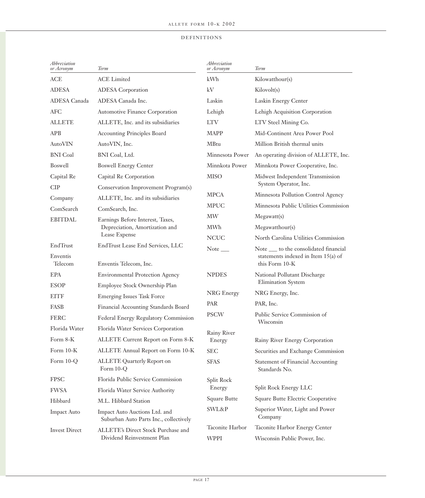## **DEFINITIONS**

| Abbreviation<br>or Acronym | Term                                                                    | Abbreviation<br>or Acronym | Term                                                                                             |
|----------------------------|-------------------------------------------------------------------------|----------------------------|--------------------------------------------------------------------------------------------------|
| <b>ACE</b>                 | <b>ACE</b> Limited                                                      | kWh                        | Kilowatthour(s)                                                                                  |
| <b>ADESA</b>               | <b>ADESA</b> Corporation                                                | kV                         | Kilovolt(s)                                                                                      |
| ADESA Canada               | ADESA Canada Inc.                                                       | Laskin                     | Laskin Energy Center                                                                             |
| <b>AFC</b>                 | Automotive Finance Corporation                                          | Lehigh                     | Lehigh Acquisition Corporation                                                                   |
| <b>ALLETE</b>              | ALLETE, Inc. and its subsidiaries                                       | <b>LTV</b>                 | LTV Steel Mining Co.                                                                             |
| <b>APB</b>                 | <b>Accounting Principles Board</b>                                      | <b>MAPP</b>                | Mid-Continent Area Power Pool                                                                    |
| AutoVIN                    | AutoVIN, Inc.                                                           | MBtu                       | Million British thermal units                                                                    |
| <b>BNI</b> Coal            | BNI Coal, Ltd.                                                          | Minnesota Power            | An operating division of ALLETE, Inc.                                                            |
| Boswell                    | <b>Boswell Energy Center</b>                                            | Minnkota Power             | Minnkota Power Cooperative, Inc.                                                                 |
| Capital Re                 | Capital Re Corporation                                                  | <b>MISO</b>                | Midwest Independent Transmission                                                                 |
| <b>CIP</b>                 | Conservation Improvement Program(s)                                     |                            | System Operator, Inc.                                                                            |
| Company                    | ALLETE, Inc. and its subsidiaries                                       | <b>MPCA</b>                | Minnesota Pollution Control Agency                                                               |
| ComSearch                  | ComSearch, Inc.                                                         | <b>MPUC</b>                | Minnesota Public Utilities Commission                                                            |
| <b>EBITDAL</b>             | Earnings Before Interest, Taxes,                                        | <b>MW</b>                  | Megawatt(s)                                                                                      |
|                            | Depreciation, Amortization and<br>Lease Expense                         | <b>MWh</b>                 | Megawatthour(s)                                                                                  |
| EndTrust                   | EndTrust Lease End Services, LLC                                        | <b>NCUC</b>                | North Carolina Utilities Commission                                                              |
| Enventis<br>Telecom        | Enventis Telecom, Inc.                                                  | Note $\_\_$                | Note __ to the consolidated financial<br>statements indexed in Item $15(a)$ of<br>this Form 10-K |
| <b>EPA</b>                 | <b>Environmental Protection Agency</b>                                  | <b>NPDES</b>               | National Pollutant Discharge                                                                     |
| <b>ESOP</b>                | Employee Stock Ownership Plan                                           |                            | Elimination System                                                                               |
| <b>EITF</b>                | <b>Emerging Issues Task Force</b>                                       | NRG Energy                 | NRG Energy, Inc.                                                                                 |
| FASB                       | Financial Accounting Standards Board                                    | PAR                        | PAR, Inc.                                                                                        |
| <b>FERC</b>                | Federal Energy Regulatory Commission                                    | <b>PSCW</b>                | Public Service Commission of<br>Wisconsin                                                        |
| Florida Water              | Florida Water Services Corporation                                      | Rainy River                |                                                                                                  |
| Form 8-K                   | ALLETE Current Report on Form 8-K                                       | Energy                     | Rainy River Energy Corporation                                                                   |
| Form 10-K                  | ALLETE Annual Report on Form 10-K                                       | <b>SEC</b>                 | Securities and Exchange Commission                                                               |
| Form 10-Q                  | <b>ALLETE</b> Quarterly Report on<br>Form $10-Q$                        | <b>SFAS</b>                | <b>Statement of Financial Accounting</b><br>Standards No.                                        |
| <b>FPSC</b>                | Florida Public Service Commission                                       | Split Rock                 |                                                                                                  |
| <b>FWSA</b>                | Florida Water Service Authority                                         | Energy                     | Split Rock Energy LLC                                                                            |
| Hibbard                    | M.L. Hibbard Station                                                    | Square Butte               | <b>Square Butte Electric Cooperative</b>                                                         |
| <b>Impact Auto</b>         | Impact Auto Auctions Ltd. and<br>Suburban Auto Parts Inc., collectively | SWL&P                      | Superior Water, Light and Power<br>Company                                                       |
| <b>Invest Direct</b>       | ALLETE's Direct Stock Purchase and                                      | Taconite Harbor            | Taconite Harbor Energy Center                                                                    |
|                            | Dividend Reinvestment Plan                                              | <b>WPPI</b>                | Wisconsin Public Power, Inc.                                                                     |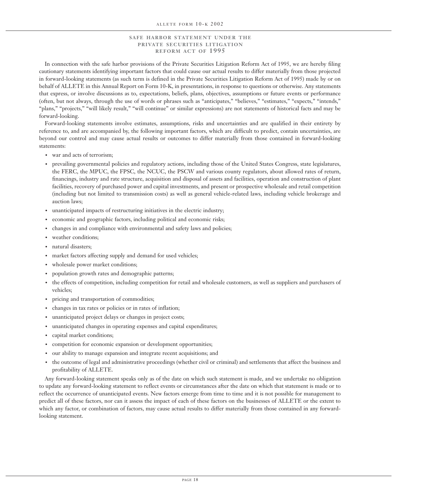#### **SAFE HARBOR STATEMENT UNDER THE PRIVATE SECURITIES LITIGATION REFORM ACT OF 1995**

In connection with the safe harbor provisions of the Private Securities Litigation Reform Act of 1995, we are hereby filing cautionary statements identifying important factors that could cause our actual results to differ materially from those projected in forward-looking statements (as such term is defined in the Private Securities Litigation Reform Act of 1995) made by or on behalf of ALLETE in this Annual Report on Form 10-K, in presentations, in response to questions or otherwise. Any statements that express, or involve discussions as to, expectations, beliefs, plans, objectives, assumptions or future events or performance (often, but not always, through the use of words or phrases such as "anticipates," "believes," "estimates," "expects," "intends," "plans," "projects," "will likely result," "will continue" or similar expressions) are not statements of historical facts and may be forward-looking.

Forward-looking statements involve estimates, assumptions, risks and uncertainties and are qualified in their entirety by reference to, and are accompanied by, the following important factors, which are difficult to predict, contain uncertainties, are beyond our control and may cause actual results or outcomes to differ materially from those contained in forward-looking statements:

- war and acts of terrorism;
- prevailing governmental policies and regulatory actions, including those of the United States Congress, state legislatures, the FERC, the MPUC, the FPSC, the NCUC, the PSCW and various county regulators, about allowed rates of return, financings, industry and rate structure, acquisition and disposal of assets and facilities, operation and construction of plant facilities, recovery of purchased power and capital investments, and present or prospective wholesale and retail competition (including but not limited to transmission costs) as well as general vehicle-related laws, including vehicle brokerage and auction laws;
- unanticipated impacts of restructuring initiatives in the electric industry;
- economic and geographic factors, including political and economic risks;
- changes in and compliance with environmental and safety laws and policies;
- weather conditions;
- natural disasters;
- market factors affecting supply and demand for used vehicles;
- wholesale power market conditions;
- population growth rates and demographic patterns;
- the effects of competition, including competition for retail and wholesale customers, as well as suppliers and purchasers of vehicles;
- pricing and transportation of commodities;
- changes in tax rates or policies or in rates of inflation;
- unanticipated project delays or changes in project costs;
- unanticipated changes in operating expenses and capital expenditures;
- capital market conditions;
- competition for economic expansion or development opportunities;
- our ability to manage expansion and integrate recent acquisitions; and
- the outcome of legal and administrative proceedings (whether civil or criminal) and settlements that affect the business and profitability of ALLETE.

Any forward-looking statement speaks only as of the date on which such statement is made, and we undertake no obligation to update any forward-looking statement to reflect events or circumstances after the date on which that statement is made or to reflect the occurrence of unanticipated events. New factors emerge from time to time and it is not possible for management to predict all of these factors, nor can it assess the impact of each of these factors on the businesses of ALLETE or the extent to which any factor, or combination of factors, may cause actual results to differ materially from those contained in any forwardlooking statement.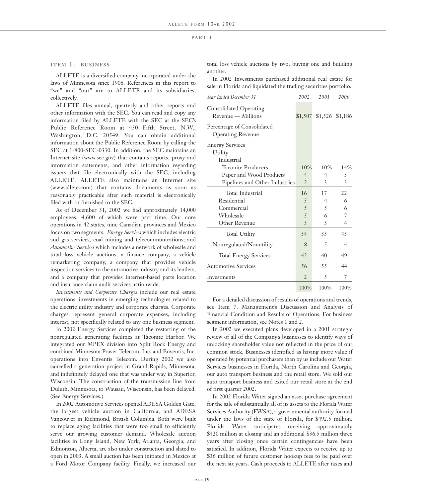#### **ITEM 1. BUSINESS**

ALLETE is a diversified company incorporated under the laws of Minnesota since 1906. References in this report to "we" and "our" are to ALLETE and its subsidiaries, collectively.

ALLETE files annual, quarterly and other reports and other information with the SEC. You can read and copy any information filed by ALLETE with the SEC at the SEC's Public Reference Room at 450 Fifth Street, N.W., Washington, D.C. 20549. You can obtain additional information about the Public Reference Room by calling the SEC at 1-800-SEC-0330. In addition, the SEC maintains an Internet site (www.sec.gov) that contains reports, proxy and information statements, and other information regarding issuers that file electronically with the SEC, including ALLETE. ALLETE also maintains an Internet site (www.allete.com) that contains documents as soon as reasonably practicable after such material is electronically filed with or furnished to the SEC.

As of December 31, 2002 we had approximately 14,000 employees, 4,600 of which were part time. Our core operations in 42 states, nine Canadian provinces and Mexico focus on two segments: *Energy Services* which includes electric and gas services, coal mining and telecommunications; and *Automotive Services* which includes a network of wholesale and total loss vehicle auctions, a finance company, a vehicle remarketing company, a company that provides vehicle inspection services to the automotive industry and its lenders, and a company that provides Internet-based parts location and insurance claim audit services nationwide.

*Investments and Corporate Charges* include our real estate operations, investments in emerging technologies related to the electric utility industry and corporate charges. Corporate charges represent general corporate expenses, including interest, not specifically related to any one business segment.

In 2002 Energy Services completed the restarting of the nonregulated generating facilities at Taconite Harbor. We integrated our MPEX division into Split Rock Energy and combined Minnesota Power Telecom, Inc. and Enventis, Inc. operations into Enventis Telecom. During 2002 we also cancelled a generation project in Grand Rapids, Minnesota, and indefinitely delayed one that was under way in Superior, Wisconsin. The construction of the transmission line from Duluth, Minnesota, to Wausau, Wisconsin, has been delayed. (See Energy Services.)

In 2002 Automotive Services opened ADESA Golden Gate, the largest vehicle auction in California, and ADESA Vancouver in Richmond, British Columbia. Both were built to replace aging facilities that were too small to efficiently serve our growing customer demand. Wholesale auction facilities in Long Island, New York; Atlanta, Georgia; and Edmonton, Alberta, are also under construction and slated to open in 2003. A small auction has been initiated in Mexico at a Ford Motor Company facility. Finally, we increased our

total loss vehicle auctions by two, buying one and building another.

In 2002 Investments purchased additional real estate for sale in Florida and liquidated the trading securities portfolio.

| Year Ended December 31                                 | 2002                    | 2001 | 2000            |
|--------------------------------------------------------|-------------------------|------|-----------------|
| <b>Consolidated Operating</b><br>$Revenue - Millions$  | \$1,507                 |      | \$1,526 \$1,186 |
| Percentage of Consolidated<br><b>Operating Revenue</b> |                         |      |                 |
| <b>Energy Services</b><br>Utility<br>Industrial        |                         |      |                 |
| Taconite Producers                                     | 10%                     | 10%  | 14%             |
| Paper and Wood Products                                | $\overline{4}$          | 4    | 5               |
| Pipelines and Other Industries                         | $\overline{2}$          | 3    | 3               |
| Total Industrial                                       | 16                      | 17   | 22              |
| Residential                                            | 5                       | 4    | 6               |
| Commercial                                             | 5                       | 5    | 6               |
| Wholesale                                              | 5                       | 6    | 7               |
| Other Revenue                                          | $\overline{\mathbf{3}}$ | 3    | 4               |
| <b>Total Utility</b>                                   | 34                      | 35   | 45              |
| Nonregulated/Nonutility                                | 8                       | 5    | 4               |
| <b>Total Energy Services</b>                           | 42                      | 40   | 49              |
| <b>Automotive Services</b>                             | 56                      | 55   | 44              |
| Investments                                            | $\overline{2}$          | 5    | 7               |
|                                                        | 100%                    | 100% | 100%            |

For a detailed discussion of results of operations and trends, see Item 7. Management's Discussion and Analysis of Financial Condition and Results of Operations. For business segment information, see Notes 1 and 2.

In 2002 we executed plans developed in a 2001 strategic review of all of the Company's businesses to identify ways of unlocking shareholder value not reflected in the price of our common stock. Businesses identified as having more value if operated by potential purchasers than by us include our Water Services businesses in Florida, North Carolina and Georgia, our auto transport business and the retail store. We sold our auto transport business and exited our retail store at the end of first quarter 2002.

In 2002 Florida Water signed an asset purchase agreement for the sale of substantially all of its assets to the Florida Water Services Authority (FWSA), a governmental authority formed under the laws of the state of Florida, for \$492.5 million. Florida Water anticipates receiving approximately \$420 million at closing and an additional \$36.5 million three years after closing once certain contingencies have been satisfied. In addition, Florida Water expects to receive up to \$36 million of future customer hookup fees to be paid over the next six years. Cash proceeds to ALLETE after taxes and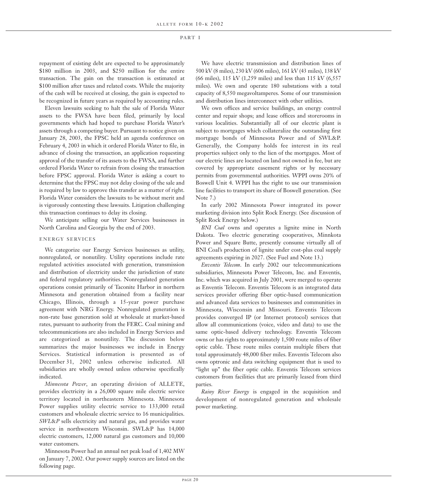repayment of existing debt are expected to be approximately \$180 million in 2003, and \$250 million for the entire transaction. The gain on the transaction is estimated at \$100 million after taxes and related costs. While the majority of the cash will be received at closing, the gain is expected to be recognized in future years as required by accounting rules.

Eleven lawsuits seeking to halt the sale of Florida Water assets to the FWSA have been filed, primarily by local governments which had hoped to purchase Florida Water's assets through a competing buyer. Pursuant to notice given on January 28, 2003, the FPSC held an agenda conference on February 4, 2003 in which it ordered Florida Water to file, in advance of closing the transaction, an application requesting approval of the transfer of its assets to the FWSA, and further ordered Florida Water to refrain from closing the transaction before FPSC approval. Florida Water is asking a court to determine that the FPSC may not delay closing of the sale and is required by law to approve this transfer as a matter of right. Florida Water considers the lawsuits to be without merit and is vigorously contesting these lawsuits. Litigation challenging this transaction continues to delay its closing.

We anticipate selling our Water Services businesses in North Carolina and Georgia by the end of 2003.

#### **ENERGY SERVICES**

We categorize our Energy Services businesses as utility, nonregulated, or nonutility. Utility operations include rate regulated activities associated with generation, transmission and distribution of electricity under the jurisdiction of state and federal regulatory authorities. Nonregulated generation operations consist primarily of Taconite Harbor in northern Minnesota and generation obtained from a facility near Chicago, Illinois, through a 15-year power purchase agreement with NRG Energy. Nonregulated generation is non-rate base generation sold at wholesale at market-based rates, pursuant to authority from the FERC. Coal mining and telecommunications are also included in Energy Services and are categorized as nonutility. The discussion below summarizes the major businesses we include in Energy Services. Statistical information is presented as of December 31, 2002 unless otherwise indicated. All subsidiaries are wholly owned unless otherwise specifically indicated.

*Minnesota Power*, an operating division of ALLETE, provides electricity in a 26,000 square mile electric service territory located in northeastern Minnesota. Minnesota Power supplies utility electric service to 133,000 retail customers and wholesale electric service to 16 municipalities. *SWL*&*P* sells electricity and natural gas, and provides water service in northwestern Wisconsin. SWL&P has 14,000 electric customers, 12,000 natural gas customers and 10,000 water customers.

Minnesota Power had an annual net peak load of 1,402 MW on January 7, 2002. Our power supply sources are listed on the following page.

We have electric transmission and distribution lines of 500 kV (8 miles), 230 kV (606 miles), 161 kV (43 miles), 138 kV (66 miles), 115 kV (1,259 miles) and less than 115 kV (6,557 miles). We own and operate 180 substations with a total capacity of 8,550 megavoltamperes. Some of our transmission and distribution lines interconnect with other utilities.

We own offices and service buildings, an energy control center and repair shops; and lease offices and storerooms in various localities. Substantially all of our electric plant is subject to mortgages which collateralize the outstanding first mortgage bonds of Minnesota Power and of SWL&P. Generally, the Company holds fee interest in its real properties subject only to the lien of the mortgages. Most of our electric lines are located on land not owned in fee, but are covered by appropriate easement rights or by necessary permits from governmental authorities. WPPI owns 20% of Boswell Unit 4. WPPI has the right to use our transmission line facilities to transport its share of Boswell generation. (See Note 7.)

In early 2002 Minnesota Power integrated its power marketing division into Split Rock Energy. (See discussion of Split Rock Energy below.)

*BNI Coal* owns and operates a lignite mine in North Dakota. Two electric generating cooperatives, Minnkota Power and Square Butte, presently consume virtually all of BNI Coal's production of lignite under cost-plus coal supply agreements expiring in 2027. (See Fuel and Note 13.)

*Enventis Telecom*. In early 2002 our telecommunications subsidiaries, Minnesota Power Telecom, Inc. and Enventis, Inc. which was acquired in July 2001, were merged to operate as Enventis Telecom. Enventis Telecom is an integrated data services provider offering fiber optic-based communication and advanced data services to businesses and communities in Minnesota, Wisconsin and Missouri. Enventis Telecom provides converged IP (or Internet protocol) services that allow all communications (voice, video and data) to use the same optic-based delivery technology. Enventis Telecom owns or has rights to approximately 1,500 route miles of fiber optic cable. These route miles contain multiple fibers that total approximately 48,000 fiber miles. Enventis Telecom also owns optronic and data switching equipment that is used to "light up" the fiber optic cable. Enventis Telecom services customers from facilities that are primarily leased from third parties.

*Rainy River Energy* is engaged in the acquisition and development of nonregulated generation and wholesale power marketing.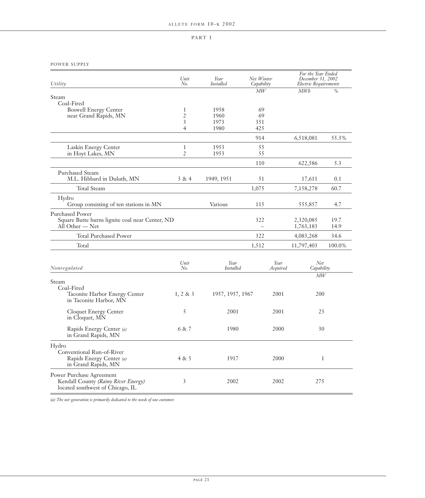## **POWER SUPPLY**

| Utility                                                                 | Unit<br>$N_{0}$ . | Year<br><b>Installed</b> | Net Winter<br>Capability        |                  | For the Year Ended<br>December 31, 2002<br>Electric Requirements |              |  |
|-------------------------------------------------------------------------|-------------------|--------------------------|---------------------------------|------------------|------------------------------------------------------------------|--------------|--|
|                                                                         |                   |                          | MW                              |                  | MWh                                                              | $\%$         |  |
| Steam<br>Coal-Fired                                                     |                   |                          |                                 |                  |                                                                  |              |  |
| <b>Boswell Energy Center</b>                                            | $\mathbf{1}$      | 1958                     | 69                              |                  |                                                                  |              |  |
| near Grand Rapids, MN                                                   | $\overline{2}$    | 1960                     | 69                              |                  |                                                                  |              |  |
|                                                                         | 3                 | 1973                     | 351                             |                  |                                                                  |              |  |
|                                                                         | $\overline{4}$    | 1980                     | 425                             |                  |                                                                  |              |  |
|                                                                         |                   |                          | 914                             |                  | 6,518,081                                                        | 55.3%        |  |
| Laskin Energy Center                                                    | $\,1\,$           | 1953                     | 55                              |                  |                                                                  |              |  |
| in Hoyt Lakes, MN                                                       | $\overline{2}$    | 1953                     | 55                              |                  |                                                                  |              |  |
|                                                                         |                   |                          | 110                             |                  | 622,586                                                          | 5.3          |  |
| Purchased Steam                                                         |                   |                          |                                 |                  |                                                                  |              |  |
| M.L. Hibbard in Duluth, MN                                              | 3 & 4             | 1949, 1951               | 51                              |                  | 17,611                                                           | 0.1          |  |
| Total Steam                                                             |                   |                          | 1,075                           |                  | 7,158,278                                                        | 60.7         |  |
| Hydro                                                                   |                   |                          |                                 |                  |                                                                  |              |  |
| Group consisting of ten stations in MN                                  |                   | Various                  | 115                             |                  | 555,857                                                          | 4.7          |  |
| <b>Purchased Power</b>                                                  |                   |                          |                                 |                  |                                                                  |              |  |
| Square Butte burns lignite coal near Center, ND<br>All Other — Net      |                   |                          | 322<br>$\overline{\phantom{0}}$ |                  | 2,320,085<br>1,763,183                                           | 19.7<br>14.9 |  |
| <b>Total Purchased Power</b>                                            |                   |                          | 322                             |                  | 4,083,268                                                        | 34.6         |  |
|                                                                         |                   |                          |                                 |                  |                                                                  |              |  |
| Total                                                                   |                   |                          | 1,512                           |                  | 11,797,403                                                       | 100.0%       |  |
|                                                                         |                   |                          |                                 |                  |                                                                  |              |  |
| Nonregulated                                                            | Unit<br>$N_{0}$ . | Year<br><b>Installed</b> |                                 | Year<br>Acquired | Net<br>Capability                                                |              |  |
|                                                                         |                   |                          |                                 |                  | MW                                                               |              |  |
| Steam                                                                   |                   |                          |                                 |                  |                                                                  |              |  |
| Coal-Fired<br>Taconite Harbor Energy Center                             | $1, 2 \& 3$       | 1957, 1957, 1967         |                                 | 2001             | 200                                                              |              |  |
| in Taconite Harbor, MN                                                  |                   |                          |                                 |                  |                                                                  |              |  |
| <b>Cloquet Energy Center</b>                                            | 5                 | 2001                     |                                 | 2001             | 23                                                               |              |  |
| in Cloquet, MN                                                          |                   |                          |                                 |                  |                                                                  |              |  |
|                                                                         |                   |                          |                                 |                  |                                                                  |              |  |
| Rapids Energy Center (a)<br>in Grand Rapids, MN                         | 6 & 7             | 1980                     |                                 | 2000             | 30                                                               |              |  |
| Hydro                                                                   |                   |                          |                                 |                  |                                                                  |              |  |
| Conventional Run-of-River                                               |                   |                          |                                 |                  |                                                                  |              |  |
| Rapids Energy Center (a)                                                | 4 & 5             | 1917                     |                                 | 2000             | $\mathbf{1}$                                                     |              |  |
| in Grand Rapids, MN                                                     |                   |                          |                                 |                  |                                                                  |              |  |
| Power Purchase Agreement                                                |                   |                          |                                 |                  |                                                                  |              |  |
| Kendall County (Rainy River Energy)<br>located southwest of Chicago, IL | 3                 | 2002                     |                                 | 2002             | 275                                                              |              |  |
|                                                                         |                   |                          |                                 |                  |                                                                  |              |  |

*(a) The net generation is primarily dedicated to the needs of one customer.*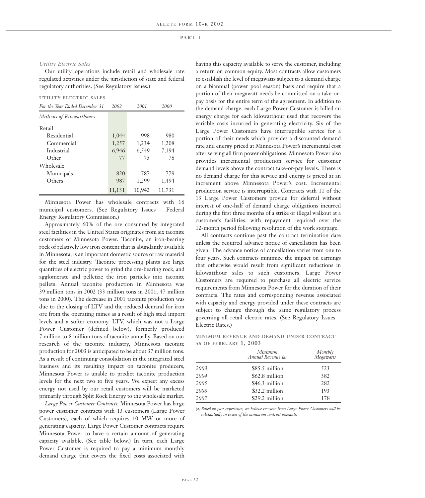#### *Utility Electric Sales*

Our utility operations include retail and wholesale rate regulated activities under the jurisdiction of state and federal regulatory authorities. (See Regulatory Issues.)

#### **UTILITY ELECTRIC SALES**

| For the Year Ended December 31 | 2002   | 2001   | <b>2000</b> |  |
|--------------------------------|--------|--------|-------------|--|
| Millions of Kilowatthours      |        |        |             |  |
| Retail                         |        |        |             |  |
| Residential                    | 1,044  | 998    | 980         |  |
| Commercial                     | 1,257  | 1,234  | 1,208       |  |
| Industrial                     | 6,946  | 6,549  | 7,194       |  |
| Other                          | 77     | 75     | 76          |  |
| Wholesale                      |        |        |             |  |
| Municipals                     | 820    | 787    | 779         |  |
| Others                         | 987    | 1,299  | 1,494       |  |
|                                | 11,131 | 10,942 | 11,731      |  |

Minnesota Power has wholesale contracts with 16 municipal customers. (See Regulatory Issues − Federal Energy Regulatory Commission.)

Approximately 60% of the ore consumed by integrated steel facilities in the United States originates from six taconite customers of Minnesota Power. Taconite, an iron-bearing rock of relatively low iron content that is abundantly available in Minnesota, is an important domestic source of raw material for the steel industry. Taconite processing plants use large quantities of electric power to grind the ore-bearing rock, and agglomerate and pelletize the iron particles into taconite pellets. Annual taconite production in Minnesota was 39 million tons in 2002 (33 million tons in 2001; 47 million tons in 2000). The decrease in 2001 taconite production was due to the closing of LTV and the reduced demand for iron ore from the operating mines as a result of high steel import levels and a softer economy. LTV, which was not a Large Power Customer (defined below), formerly produced 7 million to 8 million tons of taconite annually. Based on our research of the taconite industry, Minnesota taconite production for 2003 is anticipated to be about 37 million tons. As a result of continuing consolidation in the integrated steel business and its resulting impact on taconite producers, Minnesota Power is unable to predict taconite production levels for the next two to five years. We expect any excess energy not used by our retail customers will be marketed primarily through Split Rock Energy to the wholesale market.

*Large Power Customer Contracts*. Minnesota Power has large power customer contracts with 13 customers (Large Power Customers), each of which requires 10 MW or more of generating capacity. Large Power Customer contracts require Minnesota Power to have a certain amount of generating capacity available. (See table below.) In turn, each Large Power Customer is required to pay a minimum monthly demand charge that covers the fixed costs associated with

having this capacity available to serve the customer, including a return on common equity. Most contracts allow customers to establish the level of megawatts subject to a demand charge on a biannual (power pool season) basis and require that a portion of their megawatt needs be committed on a take-orpay basis for the entire term of the agreement. In addition to the demand charge, each Large Power Customer is billed an energy charge for each kilowatthour used that recovers the variable costs incurred in generating electricity. Six of the Large Power Customers have interruptible service for a portion of their needs which provides a discounted demand rate and energy priced at Minnesota Power's incremental cost after serving all firm power obligations. Minnesota Power also provides incremental production service for customer demand levels above the contract take-or-pay levels. There is no demand charge for this service and energy is priced at an increment above Minnesota Power's cost. Incremental production service is interruptible. Contracts with 11 of the 13 Large Power Customers provide for deferral without interest of one-half of demand charge obligations incurred during the first three months of a strike or illegal walkout at a customer's facilities, with repayment required over the 12-month period following resolution of the work stoppage.

All contracts continue past the contract termination date unless the required advance notice of cancellation has been given. The advance notice of cancellation varies from one to four years. Such contracts minimize the impact on earnings that otherwise would result from significant reductions in kilowatthour sales to such customers. Large Power Customers are required to purchase all electric service requirements from Minnesota Power for the duration of their contracts. The rates and corresponding revenue associated with capacity and energy provided under these contracts are subject to change through the same regulatory process governing all retail electric rates. (See Regulatory Issues − Electric Rates.)

|  |                        |  |  | MINIMUM REVENUE AND DEMAND UNDER CONTRACT |
|--|------------------------|--|--|-------------------------------------------|
|  | AS OF FEBRUARY 1, 2003 |  |  |                                           |

|      | Minimum<br>Annual Revenue (a) | Monthly<br>Megawatts |
|------|-------------------------------|----------------------|
| 2003 | \$85.5 million                | 523                  |
| 2004 | \$62.8 million                | 382                  |
| 2005 | \$46.3 million                | 282                  |
| 2006 | \$32.2 million                | 193                  |
| 2007 | \$29.2 million                | 178                  |

*(a) Based on past experience, we believe revenue from Large Power Customers will be substantially in excess of the minimum contract amounts.*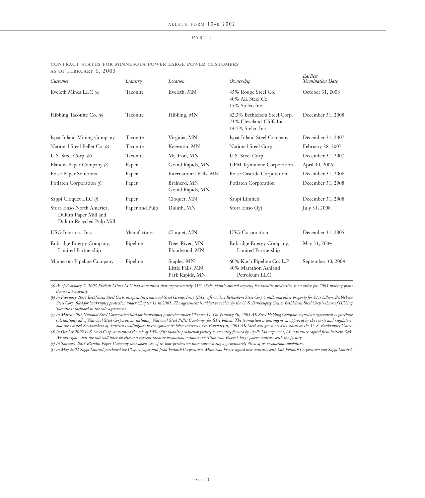|                        | <b>CONTRACT STATUS FOR MINNESOTA POWER LARGE POWER CUSTOMERS</b> |
|------------------------|------------------------------------------------------------------|
| AS OF FEBRUARY 1, 2003 |                                                                  |

| Customer                                                                        | Industry       | Location                                           | Ownership                                                                     | Earliest<br><b>Termination Date</b> |
|---------------------------------------------------------------------------------|----------------|----------------------------------------------------|-------------------------------------------------------------------------------|-------------------------------------|
| Eveleth Mines LLC (a)                                                           | Taconite       | Eveleth, MN                                        | 45% Rouge Steel Co.<br>40% AK Steel Co.<br>15% Stelco Inc.                    | October 31, 2008                    |
| Hibbing Taconite Co. (b)                                                        | Taconite       | Hibbing, MN                                        | 62.3% Bethlehem Steel Corp.<br>23% Cleveland-Cliffs Inc.<br>14.7% Stelco Inc. | December 31, 2008                   |
| Ispat Inland Mining Company                                                     | Taconite       | Virginia, MN                                       | Ispat Inland Steel Company                                                    | December 31, 2007                   |
| National Steel Pellet Co. (c)                                                   | Taconite       | Keewatin, MN                                       | National Steel Corp.                                                          | February 28, 2007                   |
| U.S. Steel Corp. $(d)$                                                          | Taconite       | Mt. Iron, MN                                       | U.S. Steel Corp.                                                              | December 31, 2007                   |
| Blandin Paper Company (e)                                                       | Paper          | Grand Rapids, MN                                   | <b>UPM-Kymmene Corporation</b>                                                | April 30, 2006                      |
| <b>Boise Paper Solutions</b>                                                    | Paper          | International Falls, MN                            | <b>Boise Cascade Corporation</b>                                              | December 31, 2008                   |
| Potlatch Corporation (f)                                                        | Paper          | Brainerd, MN<br>Grand Rapids, MN                   | Potlatch Corporation                                                          | December 31, 2008                   |
| Sappi Cloquet LLC $(f)$                                                         | Paper          | Cloquet, MN                                        | Sappi Limited                                                                 | December 31, 2008                   |
| Stora Enso North America,<br>Duluth Paper Mill and<br>Duluth Recycled Pulp Mill | Paper and Pulp | Duluth, MN                                         | Stora Enso Ovi                                                                | July 31, 2008                       |
| USG Interiors, Inc.                                                             | Manufacturer   | Cloquet, MN                                        | <b>USG</b> Corporation                                                        | December 31, 2005                   |
| Enbridge Energy Company,<br>Limited Partnership                                 | Pipeline       | Deer River, MN<br>Floodwood, MN                    | Enbridge Energy Company,<br>Limited Partnership                               | May 31, 2004                        |
| Minnesota Pipeline Company                                                      | Pipeline       | Staples, MN<br>Little Falls, MN<br>Park Rapids, MN | 60% Koch Pipeline Co. L.P.<br>40% Marathon Ashland<br>Petroleum LLC           | September 30, 2004                  |

*(a) As of February 7, 2003 Eveleth Mines LLC had announced that approximately 35% of the plant's annual capacity for taconite production is on order for 2003 making plant closure a possibility.* 

*(b) In February 2003 Bethlehem Steel Corp. accepted International Steel Group, Inc.'s (ISG) offer to buy Bethlehem Steel Corp.'s mills and other property for \$1.5 billion. Bethlehem Steel Corp. filed for bankruptcy protection under Chapter 11 in 2001. The agreement is subject to review by the U. S. Bankruptcy Court. Bethlehem Steel Corp.'s share of Hibbing Taconite is included in the sale agreement.*

*(c) In March 2002 National Steel Corporation filed for bankruptcy protection under Chapter 11. On January 30, 2003 AK Steel Holding Company signed an agreement to purchase substantially all of National Steel Corporation, including National Steel Pellet Company, for \$1.1 billion. The transaction is contingent on approval by the courts and regulators, and the United Steelworkers of America's willingness to renegotiate its labor contracts. On February 6, 2003 AK Steel was given priority status by the U. S. Bankruptcy Court.*

*(d) In October 2002 U.S. Steel Corp. announced the sale of 80% of its taconite production facility to an entity formed by Apollo Management, LP, a venture capital firm in New York. We anticipate that the sale will have no effect on current taconite production estimates or Minnesota Power's large power contract with the facility.*

*(e) In January 2003 Blandin Paper Company shut down two of its four production lines representing approximately 30% of its production capabilities.*

*(f) In May 2002 Sappi Limited purchased the Cloquet paper mill from Potlatch Corporation. Minnesota Power signed new contracts with both Potlatch Corporation and Sappi Limited.*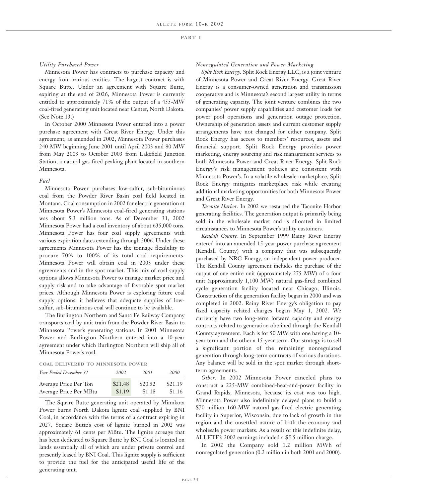#### *Utility Purchased Power*

Minnesota Power has contracts to purchase capacity and energy from various entities. The largest contract is with Square Butte. Under an agreement with Square Butte, expiring at the end of 2026, Minnesota Power is currently entitled to approximately 71% of the output of a 455-MW coal-fired generating unit located near Center, North Dakota. (See Note 13.)

In October 2000 Minnesota Power entered into a power purchase agreement with Great River Energy. Under this agreement, as amended in 2002, Minnesota Power purchases 240 MW beginning June 2001 until April 2003 and 80 MW from May 2003 to October 2003 from Lakefield Junction Station, a natural gas-fired peaking plant located in southern Minnesota.

#### *Fuel*

Minnesota Power purchases low-sulfur, sub-bituminous coal from the Powder River Basin coal field located in Montana. Coal consumption in 2002 for electric generation at Minnesota Power's Minnesota coal-fired generating stations was about 5.3 million tons. As of December 31, 2002 Minnesota Power had a coal inventory of about 635,000 tons. Minnesota Power has four coal supply agreements with various expiration dates extending through 2006. Under these agreements Minnesota Power has the tonnage flexibility to procure 70% to 100% of its total coal requirements. Minnesota Power will obtain coal in 2003 under these agreements and in the spot market. This mix of coal supply options allows Minnesota Power to manage market price and supply risk and to take advantage of favorable spot market prices. Although Minnesota Power is exploring future coal supply options, it believes that adequate supplies of lowsulfur, sub-bituminous coal will continue to be available.

The Burlington Northern and Santa Fe Railway Company transports coal by unit train from the Powder River Basin to Minnesota Power's generating stations. In 2001 Minnesota Power and Burlington Northern entered into a 10-year agreement under which Burlington Northern will ship all of Minnesota Power's coal.

#### **COAL DELIVERED TO MINNESOTA POWER**

| Year Ended December 31 | 2002    | 2001    | <b>2000</b> |
|------------------------|---------|---------|-------------|
| Average Price Per Ton  | \$21.48 | \$20.52 | \$21.19     |
| Average Price Per MBtu | \$1.19  | \$1.18  | \$1.16      |

The Square Butte generating unit operated by Minnkota Power burns North Dakota lignite coal supplied by BNI Coal, in accordance with the terms of a contract expiring in 2027. Square Butte's cost of lignite burned in 2002 was approximately 61 cents per MBtu. The lignite acreage that has been dedicated to Square Butte by BNI Coal is located on lands essentially all of which are under private control and presently leased by BNI Coal. This lignite supply is sufficient to provide the fuel for the anticipated useful life of the generating unit.

### *Nonregulated Generation and Power Marketing*

*Split Rock Energy.* Split Rock Energy LLC, is a joint venture of Minnesota Power and Great River Energy. Great River Energy is a consumer-owned generation and transmission cooperative and is Minnesota's second largest utility in terms of generating capacity. The joint venture combines the two companies' power supply capabilities and customer loads for power pool operations and generation outage protection. Ownership of generation assets and current customer supply arrangements have not changed for either company. Split Rock Energy has access to members' resources, assets and financial support. Split Rock Energy provides power marketing, energy sourcing and risk management services to both Minnesota Power and Great River Energy. Split Rock Energy's risk management policies are consistent with Minnesota Power's. In a volatile wholesale marketplace, Split Rock Energy mitigates marketplace risk while creating additional marketing opportunities for both Minnesota Power and Great River Energy.

*Taconite Harbor*. In 2002 we restarted the Taconite Harbor generating facilities. The generation output is primarily being sold in the wholesale market and is allocated in limited circumstances to Minnesota Power's utility customers.

*Kendall County.* In September 1999 Rainy River Energy entered into an amended 15-year power purchase agreement (Kendall County) with a company that was subsequently purchased by NRG Energy, an independent power producer. The Kendall County agreement includes the purchase of the output of one entire unit (approximately 275 MW) of a four unit (approximately 1,100 MW) natural gas-fired combined cycle generation facility located near Chicago, Illinois. Construction of the generation facility began in 2000 and was completed in 2002. Rainy River Energy's obligation to pay fixed capacity related charges began May 1, 2002. We currently have two long-term forward capacity and energy contracts related to generation obtained through the Kendall County agreement. Each is for 50 MW with one having a 10 year term and the other a 15-year term. Our strategy is to sell a significant portion of the remaining nonregulated generation through long-term contracts of various durations. Any balance will be sold in the spot market through shortterm agreements.

*Other*. In 2002 Minnesota Power canceled plans to construct a 225-MW combined-heat-and-power facility in Grand Rapids, Minnesota, because its cost was too high. Minnesota Power also indefinitely delayed plans to build a \$70 million 160-MW natural gas-fired electric generating facility in Superior, Wisconsin, due to lack of growth in the region and the unsettled nature of both the economy and wholesale power markets. As a result of this indefinite delay, ALLETE's 2002 earnings included a \$5.5 million charge.

In 2002 the Company sold 1.2 million MWh of nonregulated generation (0.2 million in both 2001 and 2000).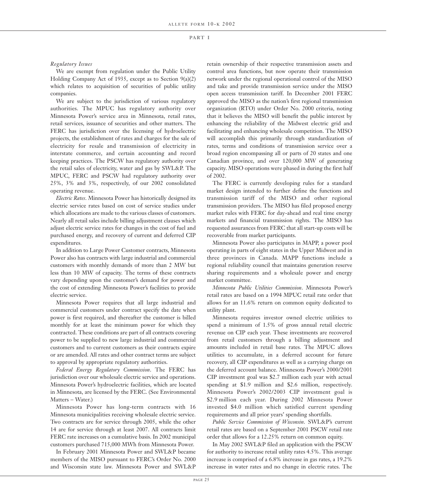#### *Regulatory Issues*

We are exempt from regulation under the Public Utility Holding Company Act of 1935, except as to Section 9(a)(2) which relates to acquisition of securities of public utility companies.

We are subject to the jurisdiction of various regulatory authorities. The MPUC has regulatory authority over Minnesota Power's service area in Minnesota, retail rates, retail services, issuance of securities and other matters. The FERC has jurisdiction over the licensing of hydroelectric projects, the establishment of rates and charges for the sale of electricity for resale and transmission of electricity in interstate commerce, and certain accounting and record keeping practices. The PSCW has regulatory authority over the retail sales of electricity, water and gas by SWL&P. The MPUC, FERC and PSCW had regulatory authority over 25%, 3% and 3%, respectively, of our 2002 consolidated operating revenue.

*Electric Rates*. Minnesota Power has historically designed its electric service rates based on cost of service studies under which allocations are made to the various classes of customers. Nearly all retail sales include billing adjustment clauses which adjust electric service rates for changes in the cost of fuel and purchased energy, and recovery of current and deferred CIP expenditures.

In addition to Large Power Customer contracts, Minnesota Power also has contracts with large industrial and commercial customers with monthly demands of more than 2 MW but less than 10 MW of capacity. The terms of these contracts vary depending upon the customer's demand for power and the cost of extending Minnesota Power's facilities to provide electric service.

Minnesota Power requires that all large industrial and commercial customers under contract specify the date when power is first required, and thereafter the customer is billed monthly for at least the minimum power for which they contracted. These conditions are part of all contracts covering power to be supplied to new large industrial and commercial customers and to current customers as their contracts expire or are amended. All rates and other contract terms are subject to approval by appropriate regulatory authorities.

*Federal Energy Regulatory Commission*. The FERC has jurisdiction over our wholesale electric service and operations. Minnesota Power's hydroelectric facilities, which are located in Minnesota, are licensed by the FERC. (See Environmental Matters − Water.)

Minnesota Power has long-term contracts with 16 Minnesota municipalities receiving wholesale electric service. Two contracts are for service through 2005, while the other 14 are for service through at least 2007. All contracts limit FERC rate increases on a cumulative basis. In 2002 municipal customers purchased 715,000 MWh from Minnesota Power.

In February 2001 Minnesota Power and SWL&P became members of the MISO pursuant to FERC's Order No. 2000 and Wisconsin state law. Minnesota Power and SWL&P retain ownership of their respective transmission assets and control area functions, but now operate their transmission network under the regional operational control of the MISO and take and provide transmission service under the MISO open access transmission tariff. In December 2001 FERC approved the MISO as the nation's first regional transmission organization (RTO) under Order No. 2000 criteria, noting that it believes the MISO will benefit the public interest by enhancing the reliability of the Midwest electric grid and facilitating and enhancing wholesale competition. The MISO will accomplish this primarily through standardization of rates, terms and conditions of transmission service over a broad region encompassing all or parts of 20 states and one Canadian province, and over 120,000 MW of generating capacity. MISO operations were phased in during the first half of 2002.

The FERC is currently developing rules for a standard market design intended to further define the functions and transmission tariff of the MISO and other regional transmission providers. The MISO has filed proposed energy market rules with FERC for day-ahead and real time energy markets and financial transmission rights. The MISO has requested assurances from FERC that all start-up costs will be recoverable from market participants.

Minnesota Power also participates in MAPP, a power pool operating in parts of eight states in the Upper Midwest and in three provinces in Canada. MAPP functions include a regional reliability council that maintains generation reserve sharing requirements and a wholesale power and energy market committee.

*Minnesota Public Utilities Commission*. Minnesota Power's retail rates are based on a 1994 MPUC retail rate order that allows for an 11.6% return on common equity dedicated to utility plant.

Minnesota requires investor owned electric utilities to spend a minimum of 1.5% of gross annual retail electric revenue on CIP each year. These investments are recovered from retail customers through a billing adjustment and amounts included in retail base rates. The MPUC allows utilities to accumulate, in a deferred account for future recovery, all CIP expenditures as well as a carrying charge on the deferred account balance. Minnesota Power's 2000/2001 CIP investment goal was \$2.7 million each year with actual spending at \$1.9 million and \$2.6 million, respectively. Minnesota Power's 2002/2003 CIP investment goal is \$2.9 million each year. During 2002 Minnesota Power invested \$4.0 million which satisfied current spending requirements and all prior years' spending shortfalls.

*Public Service Commission of Wisconsin*. SWL&P's current retail rates are based on a September 2001 PSCW retail rate order that allows for a 12.25% return on common equity.

In May 2002 SWL&P filed an application with the PSCW for authority to increase retail utility rates 4.5%. This average increase is comprised of a 6.8% increase in gas rates, a 19.2% increase in water rates and no change in electric rates. The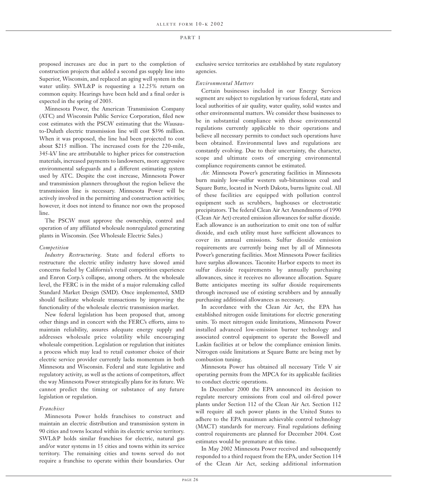proposed increases are due in part to the completion of construction projects that added a second gas supply line into Superior, Wisconsin, and replaced an aging well system in the water utility. SWL&P is requesting a 12.25% return on common equity. Hearings have been held and a final order is expected in the spring of 2003.

Minnesota Power, the American Transmission Company (ATC) and Wisconsin Public Service Corporation, filed new cost estimates with the PSCW estimating that the Wausauto-Duluth electric transmission line will cost \$396 million. When it was proposed, the line had been projected to cost about \$215 million. The increased costs for the 220-mile, 345-kV line are attributable to higher prices for construction materials, increased payments to landowners, more aggressive environmental safeguards and a different estimating system used by ATC. Despite the cost increase, Minnesota Power and transmission planners throughout the region believe the transmission line is necessary. Minnesota Power will be actively involved in the permitting and construction activities; however, it does not intend to finance nor own the proposed line.

The PSCW must approve the ownership, control and operation of any affiliated wholesale nonregulated generating plants in Wisconsin. (See Wholesale Electric Sales.)

#### *Competition*

*Industry Restructuring*. State and federal efforts to restructure the electric utility industry have slowed amid concerns fueled by California's retail competition experience and Enron Corp.'s collapse, among others. At the wholesale level, the FERC is in the midst of a major rulemaking called Standard Market Design (SMD). Once implemented, SMD should facilitate wholesale transactions by improving the functionality of the wholesale electric transmission market.

New federal legislation has been proposed that, among other things and in concert with the FERC's efforts, aims to maintain reliability, assures adequate energy supply and addresses wholesale price volatility while encouraging wholesale competition. Legislation or regulation that initiates a process which may lead to retail customer choice of their electric service provider currently lacks momentum in both Minnesota and Wisconsin. Federal and state legislative and regulatory activity, as well as the actions of competitors, affect the way Minnesota Power strategically plans for its future. We cannot predict the timing or substance of any future legislation or regulation.

#### *Franchises*

Minnesota Power holds franchises to construct and maintain an electric distribution and transmission system in 90 cities and towns located within its electric service territory. SWL&P holds similar franchises for electric, natural gas and/or water systems in 15 cities and towns within its service territory. The remaining cities and towns served do not require a franchise to operate within their boundaries. Our exclusive service territories are established by state regulatory agencies.

#### *Environmental Matters*

Certain businesses included in our Energy Services segment are subject to regulation by various federal, state and local authorities of air quality, water quality, solid wastes and other environmental matters. We consider these businesses to be in substantial compliance with those environmental regulations currently applicable to their operations and believe all necessary permits to conduct such operations have been obtained. Environmental laws and regulations are constantly evolving. Due to their uncertainty, the character, scope and ultimate costs of emerging environmental compliance requirements cannot be estimated.

*Air.* Minnesota Power's generating facilities in Minnesota burn mainly low-sulfur western sub-bituminous coal and Square Butte, located in North Dakota, burns lignite coal. All of these facilities are equipped with pollution control equipment such as scrubbers, baghouses or electrostatic precipitators. The federal Clean Air Act Amendments of 1990 (Clean Air Act) created emission allowances for sulfur dioxide. Each allowance is an authorization to emit one ton of sulfur dioxide, and each utility must have sufficient allowances to cover its annual emissions. Sulfur dioxide emission requirements are currently being met by all of Minnesota Power's generating facilities. Most Minnesota Power facilities have surplus allowances. Taconite Harbor expects to meet its sulfur dioxide requirements by annually purchasing allowances, since it receives no allowance allocation. Square Butte anticipates meeting its sulfur dioxide requirements through increased use of existing scrubbers and by annually purchasing additional allowances as necessary.

In accordance with the Clean Air Act, the EPA has established nitrogen oxide limitations for electric generating units. To meet nitrogen oxide limitations, Minnesota Power installed advanced low-emission burner technology and associated control equipment to operate the Boswell and Laskin facilities at or below the compliance emission limits. Nitrogen oxide limitations at Square Butte are being met by combustion tuning.

Minnesota Power has obtained all necessary Title V air operating permits from the MPCA for its applicable facilities to conduct electric operations.

In December 2000 the EPA announced its decision to regulate mercury emissions from coal and oil-fired power plants under Section 112 of the Clean Air Act. Section 112 will require all such power plants in the United States to adhere to the EPA maximum achievable control technology (MACT) standards for mercury. Final regulations defining control requirements are planned for December 2004. Cost estimates would be premature at this time.

In May 2002 Minnesota Power received and subsequently responded to a third request from the EPA, under Section 114 of the Clean Air Act, seeking additional information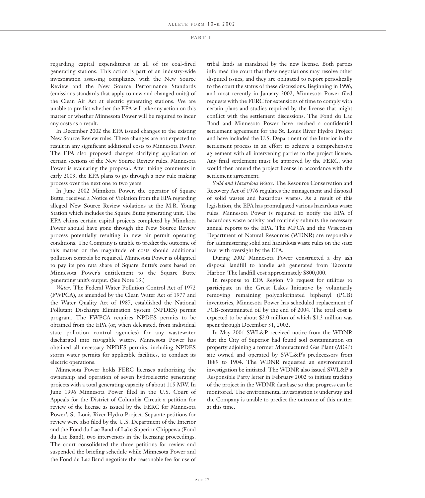regarding capital expenditures at all of its coal-fired generating stations. This action is part of an industry-wide investigation assessing compliance with the New Source Review and the New Source Performance Standards (emissions standards that apply to new and changed units) of the Clean Air Act at electric generating stations. We are unable to predict whether the EPA will take any action on this matter or whether Minnesota Power will be required to incur any costs as a result.

In December 2002 the EPA issued changes to the existing New Source Review rules. These changes are not expected to result in any significant additional costs to Minnesota Power. The EPA also proposed changes clarifying application of certain sections of the New Source Review rules. Minnesota Power is evaluating the proposal. After taking comments in early 2003, the EPA plans to go through a new rule making process over the next one to two years.

In June 2002 Minnkota Power, the operator of Square Butte, received a Notice of Violation from the EPA regarding alleged New Source Review violations at the M.R. Young Station which includes the Square Butte generating unit. The EPA claims certain capital projects completed by Minnkota Power should have gone through the New Source Review process potentially resulting in new air permit operating conditions. The Company is unable to predict the outcome of this matter or the magnitude of costs should additional pollution controls be required. Minnesota Power is obligated to pay its pro rata share of Square Butte's costs based on Minnesota Power's entitlement to the Square Butte generating unit's output. (See Note 13.)

*Water*. The Federal Water Pollution Control Act of 1972 (FWPCA), as amended by the Clean Water Act of 1977 and the Water Quality Act of 1987, established the National Pollutant Discharge Elimination System (NPDES) permit program. The FWPCA requires NPDES permits to be obtained from the EPA (or, when delegated, from individual state pollution control agencies) for any wastewater discharged into navigable waters. Minnesota Power has obtained all necessary NPDES permits, including NPDES storm water permits for applicable facilities, to conduct its electric operations.

Minnesota Power holds FERC licenses authorizing the ownership and operation of seven hydroelectric generating projects with a total generating capacity of about 115 MW. In June 1996 Minnesota Power filed in the U.S. Court of Appeals for the District of Columbia Circuit a petition for review of the license as issued by the FERC for Minnesota Power's St. Louis River Hydro Project. Separate petitions for review were also filed by the U.S. Department of the Interior and the Fond du Lac Band of Lake Superior Chippewa (Fond du Lac Band), two intervenors in the licensing proceedings. The court consolidated the three petitions for review and suspended the briefing schedule while Minnesota Power and the Fond du Lac Band negotiate the reasonable fee for use of tribal lands as mandated by the new license. Both parties informed the court that these negotiations may resolve other disputed issues, and they are obligated to report periodically to the court the status of these discussions. Beginning in 1996, and most recently in January 2002, Minnesota Power filed requests with the FERC for extensions of time to comply with certain plans and studies required by the license that might conflict with the settlement discussions. The Fond du Lac Band and Minnesota Power have reached a confidential settlement agreement for the St. Louis River Hydro Project and have included the U.S. Department of the Interior in the settlement process in an effort to achieve a comprehensive agreement with all intervening parties to the project license. Any final settlement must be approved by the FERC, who would then amend the project license in accordance with the settlement agreement.

*Solid and Hazardous Waste*. The Resource Conservation and Recovery Act of 1976 regulates the management and disposal of solid wastes and hazardous wastes. As a result of this legislation, the EPA has promulgated various hazardous waste rules. Minnesota Power is required to notify the EPA of hazardous waste activity and routinely submits the necessary annual reports to the EPA. The MPCA and the Wisconsin Department of Natural Resources (WDNR) are responsible for administering solid and hazardous waste rules on the state level with oversight by the EPA.

During 2002 Minnesota Power constructed a dry ash disposal landfill to handle ash generated from Taconite Harbor. The landfill cost approximately \$800,000.

In response to EPA Region V's request for utilities to participate in the Great Lakes Initiative by voluntarily removing remaining polychlorinated biphenyl (PCB) inventories, Minnesota Power has scheduled replacement of PCB-contaminated oil by the end of 2004. The total cost is expected to be about \$2.0 million of which \$1.3 million was spent through December 31, 2002.

In May 2001 SWL&P received notice from the WDNR that the City of Superior had found soil contamination on property adjoining a former Manufactured Gas Plant (MGP) site owned and operated by SWL&P's predecessors from 1889 to 1904. The WDNR requested an environmental investigation be initiated. The WDNR also issued SWL&P a Responsible Party letter in February 2002 to initiate tracking of the project in the WDNR database so that progress can be monitored. The environmental investigation is underway and the Company is unable to predict the outcome of this matter at this time.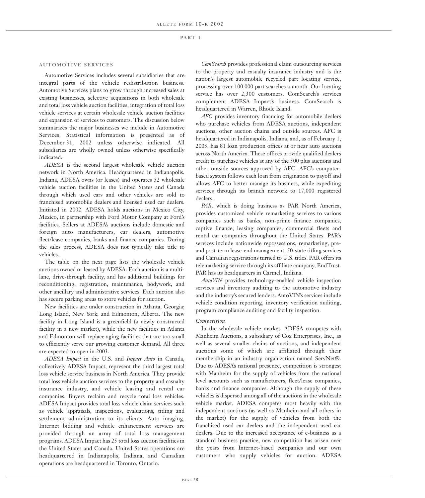#### **AUTOMOTIVE SERVICES**

Automotive Services includes several subsidiaries that are integral parts of the vehicle redistribution business. Automotive Services plans to grow through increased sales at existing businesses, selective acquisitions in both wholesale and total loss vehicle auction facilities, integration of total loss vehicle services at certain wholesale vehicle auction facilities and expansion of services to customers. The discussion below summarizes the major businesses we include in Automotive Services. Statistical information is presented as of December 31, 2002 unless otherwise indicated. All subsidiaries are wholly owned unless otherwise specifically indicated.

*ADESA* is the second largest wholesale vehicle auction network in North America. Headquartered in Indianapolis, Indiana, ADESA owns (or leases) and operates 52 wholesale vehicle auction facilities in the United States and Canada through which used cars and other vehicles are sold to franchised automobile dealers and licensed used car dealers. Initiated in 2002, ADESA holds auctions in Mexico City, Mexico, in partnership with Ford Motor Company at Ford's facilities. Sellers at ADESA's auctions include domestic and foreign auto manufacturers, car dealers, automotive fleet/lease companies, banks and finance companies. During the sales process, ADESA does not typically take title to vehicles.

The table on the next page lists the wholesale vehicle auctions owned or leased by ADESA. Each auction is a multilane, drive-through facility, and has additional buildings for reconditioning, registration, maintenance, bodywork, and other ancillary and administrative services. Each auction also has secure parking areas to store vehicles for auction.

New facilities are under construction in Atlanta, Georgia; Long Island, New York; and Edmonton, Alberta. The new facility in Long Island is a greenfield (a newly constructed facility in a new market), while the new facilities in Atlanta and Edmonton will replace aging facilities that are too small to efficiently serve our growing customer demand. All three are expected to open in 2003.

*ADESA Impact* in the U.S. and *Impact Auto* in Canada, collectively ADESA Impact, represent the third largest total loss vehicle service business in North America. They provide total loss vehicle auction services to the property and casualty insurance industry, and vehicle leasing and rental car companies. Buyers reclaim and recycle total loss vehicles. ADESA Impact provides total loss vehicle claim services such as vehicle appraisals, inspections, evaluations, titling and settlement administration to its clients. Auto imaging, Internet bidding and vehicle enhancement services are provided through an array of total loss management programs. ADESA Impact has 25 total loss auction facilities in the United States and Canada. United States operations are headquartered in Indianapolis, Indiana, and Canadian operations are headquartered in Toronto, Ontario.

*ComSearch* provides professional claim outsourcing services to the property and casualty insurance industry and is the nation's largest automobile recycled part locating service, processing over 100,000 part searches a month. Our locating service has over 2,300 customers. ComSearch's services complement ADESA Impact's business. ComSearch is headquartered in Warren, Rhode Island.

*AFC* provides inventory financing for automobile dealers who purchase vehicles from ADESA auctions, independent auctions, other auction chains and outside sources. AFC is headquartered in Indianapolis, Indiana, and, as of February 1, 2003, has 81 loan production offices at or near auto auctions across North America. These offices provide qualified dealers credit to purchase vehicles at any of the 500 plus auctions and other outside sources approved by AFC. AFC's computerbased system follows each loan from origination to payoff and allows AFC to better manage its business, while expediting services through its branch network to 17,000 registered dealers.

*PAR*, which is doing business as PAR North America, provides customized vehicle remarketing services to various companies such as banks, non-prime finance companies, captive finance, leasing companies, commercial fleets and rental car companies throughout the United States. PAR's services include nationwide repossessions, remarketing, preand post-term lease-end management, 50-state titling services and Canadian registrations turned to U.S. titles. PAR offers its telemarketing service through its affiliate company, EndTrust. PAR has its headquarters in Carmel, Indiana.

*AutoVIN* provides technology-enabled vehicle inspection services and inventory auditing to the automotive industry and the industry's secured lenders. AutoVIN's services include vehicle condition reporting, inventory verification auditing, program compliance auditing and facility inspection.

#### *Competition*

In the wholesale vehicle market, ADESA competes with Manheim Auctions, a subsidiary of Cox Enterprises, Inc., as well as several smaller chains of auctions, and independent auctions some of which are affiliated through their membership in an industry organization named ServNet®. Due to ADESA's national presence, competition is strongest with Manheim for the supply of vehicles from the national level accounts such as manufacturers, fleet/lease companies, banks and finance companies. Although the supply of these vehicles is dispersed among all of the auctions in the wholesale vehicle market, ADESA competes most heavily with the independent auctions (as well as Manheim and all others in the market) for the supply of vehicles from both the franchised used car dealers and the independent used car dealers. Due to the increased acceptance of e-business as a standard business practice, new competition has arisen over the years from Internet-based companies and our own customers who supply vehicles for auction. ADESA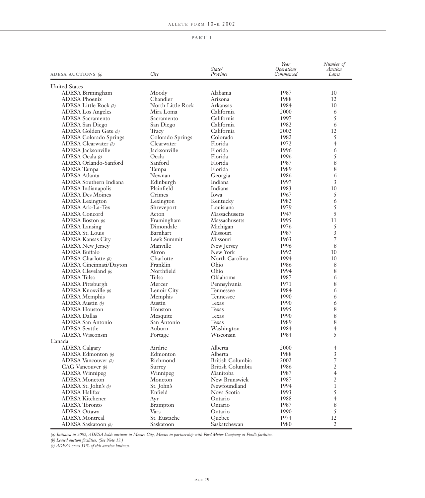| ---------- |  |
|------------|--|
|------------|--|

| ADESA AUCTIONS (a)               | City                                                     | State/<br>Province        | Year<br><i>Operations</i><br>Commenced | Number of<br>Auction<br>Lanes |  |
|----------------------------------|----------------------------------------------------------|---------------------------|----------------------------------------|-------------------------------|--|
|                                  |                                                          |                           |                                        |                               |  |
| <b>United States</b>             |                                                          |                           |                                        |                               |  |
| ADESA Birmingham                 | Moody                                                    | Alabama                   | 1987                                   | 10                            |  |
| <b>ADESA</b> Phoenix             | Chandler                                                 | Arizona                   | 1988                                   | 12                            |  |
|                                  | North Little Rock<br>ADESA Little Rock $(b)$<br>Arkansas |                           | 1984                                   | 10                            |  |
| <b>ADESA</b> Los Angeles         | Mira Loma                                                | California                | 2000                                   | 6                             |  |
| <b>ADESA</b> Sacramento          | Sacramento                                               | California                | 1997                                   | 5                             |  |
| <b>ADESA</b> San Diego           | San Diego                                                | California                | 1982                                   | 6                             |  |
| ADESA Golden Gate (b)            | Tracy                                                    | California                | 2002                                   | 12                            |  |
| <b>ADESA</b> Colorado Springs    | Colorado Springs                                         | Colorado                  | 1982                                   | 5                             |  |
| ADESA Clearwater $(b)$           | Clearwater                                               | Florida                   | 1972                                   | $\overline{4}$                |  |
| ADESA Jacksonville               | Jacksonville                                             | Florida                   | 1996                                   | 6                             |  |
| ADESA Ocala (c)                  | Ocala                                                    | Florida                   | 1996                                   | 5                             |  |
| ADESA Orlando-Sanford            | Sanford                                                  | Florida                   | 1987                                   | 8                             |  |
| ADESA Tampa                      | Tampa                                                    | Florida                   | 1989                                   | 8                             |  |
| ADESA Atlanta                    | Newnan                                                   | Georgia                   | 1986                                   | 6                             |  |
| ADESA Southern Indiana           | Edinburgh                                                | Indiana                   | 1997                                   | $\overline{\mathbf{3}}$       |  |
| ADESA Indianapolis               | Plainfield                                               | Indiana                   | 1983                                   | 10                            |  |
| <b>ADESA Des Moines</b>          | Grimes                                                   | Iowa                      | 1967                                   | 5                             |  |
| <b>ADESA</b> Lexington           | Lexington                                                | Kentucky                  | 1982                                   | 6                             |  |
| ADESA Ark-La-Tex                 | Shreveport                                               | Louisiana                 | 1979                                   | 5                             |  |
| <b>ADESA</b> Concord             | Acton                                                    | Massachusetts             | 1947                                   | 5                             |  |
| ADESA Boston $(b)$               | Framingham                                               | Massachusetts             | 1995                                   | 11                            |  |
| <b>ADESA</b> Lansing             | Dimondale                                                | Michigan                  | 1976                                   | 5                             |  |
| ADESA St. Louis                  | Barnhart                                                 | Missouri                  | 1987                                   | $\overline{\mathbf{3}}$       |  |
| <b>ADESA Kansas City</b>         | Lee's Summit                                             | Missouri                  | 1963                                   | $\overline{7}$                |  |
| <b>ADESA New Jersey</b>          | Manville                                                 | New Jersey                | 1996                                   | 8                             |  |
| ADESA Buffalo                    | Akron                                                    | New York                  | 1992                                   | 10                            |  |
| ADESA Charlotte (b)              | Charlotte                                                | North Carolina            | 1994                                   | 10                            |  |
| ADESA Cincinnati/Dayton          | Franklin                                                 | Ohio                      | 1986                                   | 8                             |  |
| ADESA Cleveland (b)              | Northfield                                               | Ohio                      | 1994                                   | 8                             |  |
| <b>ADESA</b> Tulsa               | Tulsa                                                    | Oklahoma                  | 1987                                   | 6                             |  |
|                                  | Mercer                                                   |                           | 1971                                   | 8                             |  |
| <b>ADESA</b> Pittsburgh          |                                                          | Pennsylvania<br>Tennessee | 1984                                   | 6                             |  |
| ADESA Knoxville (b)              | Lenoir City                                              | Tennessee                 | 1990                                   |                               |  |
| <b>ADESA</b> Memphis             | Memphis                                                  | Texas                     |                                        | 6                             |  |
| ADESA Austin $\langle b \rangle$ | Austin                                                   |                           | 1990                                   | 6                             |  |
| <b>ADESA Houston</b>             | Houston                                                  | <b>Texas</b>              | 1995                                   | 8                             |  |
| <b>ADESA Dallas</b>              | Mesquite                                                 | Texas                     | 1990                                   | 8                             |  |
| ADESA San Antonio                | San Antonio                                              | Texas                     | 1989                                   | 8                             |  |
| <b>ADESA</b> Seattle             | Auburn                                                   | Washington                | 1984                                   | $\overline{4}$                |  |
| <b>ADESA</b> Wisconsin           | Portage                                                  | Wisconsin                 | 1984                                   | 5                             |  |
| Canada                           |                                                          |                           |                                        |                               |  |
| <b>ADESA</b> Calgary             | Airdrie                                                  | Alberta                   | 2000                                   | 4                             |  |
| ADESA Edmonton $(b)$             | Edmonton                                                 | Alberta                   | 1988                                   | $\overline{\mathbf{3}}$       |  |
| ADESA Vancouver (b)              | Richmond                                                 | <b>British Columbia</b>   | 2002                                   | $\overline{7}$                |  |
| CAG Vancouver $(b)$              | Surrey                                                   | British Columbia          | 1986                                   | $\overline{c}$                |  |
| <b>ADESA</b> Winnipeg            | Winnipeg                                                 | Manitoba                  | 1987                                   | $\overline{4}$                |  |
| <b>ADESA</b> Moncton             | Moncton                                                  | New Brunswick             | 1987                                   | $\overline{c}$                |  |
| ADESA St. John's (b)             | St. John's                                               | Newfoundland              | 1994                                   | $\mathbf{1}$                  |  |
| ADESA Halifax                    | Enfield                                                  | Nova Scotia               | 1993                                   | 5                             |  |
| ADESA Kitchener                  | Ayr                                                      | Ontario                   | 1988                                   | $\overline{4}$                |  |
| <b>ADESA</b> Toronto             | Brampton                                                 | Ontario                   | 1987                                   | 8                             |  |
| ADESA Ottawa                     | Vars                                                     | Ontario                   | 1990                                   | 5                             |  |
| <b>ADESA</b> Montreal            | St. Eustache                                             | Quebec                    | 1974                                   | 12                            |  |
| ADESA Saskatoon (b)              | Saskatoon                                                | Saskatchewan              | 1980                                   | $\overline{2}$                |  |

*(a) Initiated in 2002, ADESA holds auctions in Mexico City, Mexico in partnership with Ford Motor Company at Ford's facilities.*

*(b) Leased auction facilities. (See Note 13.)*

*(c) ADESA owns 51% of this auction business.*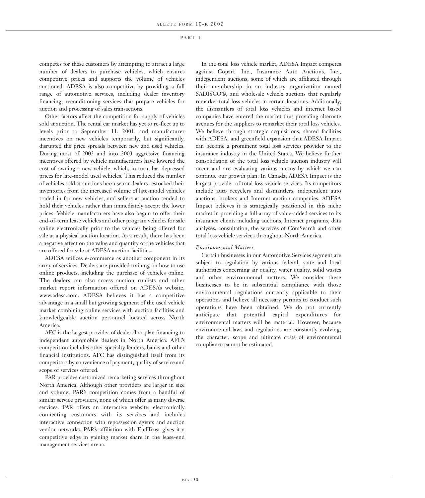competes for these customers by attempting to attract a large number of dealers to purchase vehicles, which ensures competitive prices and supports the volume of vehicles auctioned. ADESA is also competitive by providing a full range of automotive services, including dealer inventory financing, reconditioning services that prepare vehicles for auction and processing of sales transactions.

Other factors affect the competition for supply of vehicles sold at auction. The rental car market has yet to re-fleet up to levels prior to September 11, 2001, and manufacturer incentives on new vehicles temporarily, but significantly, disrupted the price spreads between new and used vehicles. During most of 2002 and into 2003 aggressive financing incentives offered by vehicle manufacturers have lowered the cost of owning a new vehicle, which, in turn, has depressed prices for late-model used vehicles. This reduced the number of vehicles sold at auctions because car dealers restocked their inventories from the increased volume of late-model vehicles traded in for new vehicles, and sellers at auction tended to hold their vehicles rather than immediately accept the lower prices. Vehicle manufacturers have also begun to offer their end-of-term lease vehicles and other program vehicles for sale online electronically prior to the vehicles being offered for sale at a physical auction location. As a result, there has been a negative effect on the value and quantity of the vehicles that are offered for sale at ADESA auction facilities.

ADESA utilizes e-commerce as another component in its array of services. Dealers are provided training on how to use online products, including the purchase of vehicles online. The dealers can also access auction runlists and other market report information offered on ADESA's website, www.adesa.com. ADESA believes it has a competitive advantage in a small but growing segment of the used vehicle market combining online services with auction facilities and knowledgeable auction personnel located across North America.

AFC is the largest provider of dealer floorplan financing to independent automobile dealers in North America. AFC's competition includes other specialty lenders, banks and other financial institutions. AFC has distinguished itself from its competitors by convenience of payment, quality of service and scope of services offered.

PAR provides customized remarketing services throughout North America. Although other providers are larger in size and volume, PAR's competition comes from a handful of similar service providers, none of which offer as many diverse services. PAR offers an interactive website, electronically connecting customers with its services and includes interactive connection with repossession agents and auction vendor networks. PAR's affiliation with EndTrust gives it a competitive edge in gaining market share in the lease-end management services arena.

In the total loss vehicle market, ADESA Impact competes against Copart, Inc., Insurance Auto Auctions, Inc., independent auctions, some of which are affiliated through their membership in an industry organization named SADISCO®, and wholesale vehicle auctions that regularly remarket total loss vehicles in certain locations. Additionally, the dismantlers of total loss vehicles and internet based companies have entered the market thus providing alternate avenues for the suppliers to remarket their total loss vehicles. We believe through strategic acquisitions, shared facilities with ADESA, and greenfield expansion that ADESA Impact can become a prominent total loss services provider to the insurance industry in the United States. We believe further consolidation of the total loss vehicle auction industry will occur and are evaluating various means by which we can continue our growth plan. In Canada, ADESA Impact is the largest provider of total loss vehicle services. Its competitors include auto recyclers and dismantlers, independent auto auctions, brokers and Internet auction companies. ADESA Impact believes it is strategically positioned in this niche market in providing a full array of value-added services to its insurance clients including auctions, Internet programs, data analyses, consultation, the services of ComSearch and other total loss vehicle services throughout North America.

#### *Environmental Matters*

Certain businesses in our Automotive Services segment are subject to regulation by various federal, state and local authorities concerning air quality, water quality, solid wastes and other environmental matters. We consider these businesses to be in substantial compliance with those environmental regulations currently applicable to their operations and believe all necessary permits to conduct such operations have been obtained. We do not currently anticipate that potential capital expenditures for environmental matters will be material. However, because environmental laws and regulations are constantly evolving, the character, scope and ultimate costs of environmental compliance cannot be estimated.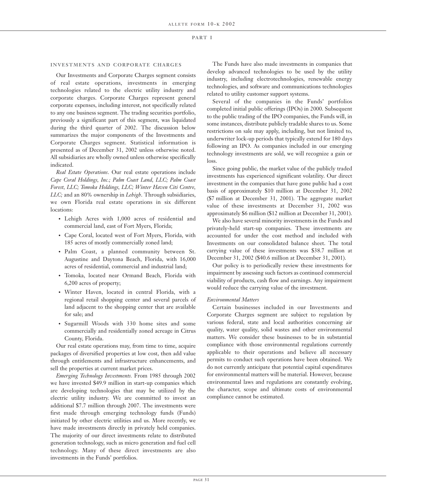#### **INVESTMENTS AND CORPORATE CHARGES**

Our Investments and Corporate Charges segment consists of real estate operations, investments in emerging technologies related to the electric utility industry and corporate charges. Corporate Charges represent general corporate expenses, including interest, not specifically related to any one business segment. The trading securities portfolio, previously a significant part of this segment, was liquidated during the third quarter of 2002. The discussion below summarizes the major components of the Investments and Corporate Charges segment. Statistical information is presented as of December 31, 2002 unless otherwise noted. All subsidiaries are wholly owned unless otherwise specifically indicated.

*Real Estate Operations*. Our real estate operations include *Cape Coral Holdings, Inc.; Palm Coast Land, LLC; Palm Coast Forest, LLC; Tomoka Holdings, LLC; Winter Haven Citi Centre, LLC;* and an 80% ownership in *Lehigh*. Through subsidiaries, we own Florida real estate operations in six different locations:

- Lehigh Acres with 1,000 acres of residential and commercial land, east of Fort Myers, Florida;
- Cape Coral, located west of Fort Myers, Florida, with 185 acres of mostly commercially zoned land;
- Palm Coast, a planned community between St. Augustine and Daytona Beach, Florida, with 16,000 acres of residential, commercial and industrial land;
- Tomoka, located near Ormand Beach, Florida with 6,200 acres of property;
- Winter Haven, located in central Florida, with a regional retail shopping center and several parcels of land adjacent to the shopping center that are available for sale; and
- Sugarmill Woods with 330 home sites and some commercially and residentially zoned acreage in Citrus County, Florida.

Our real estate operations may, from time to time, acquire packages of diversified properties at low cost, then add value through entitlements and infrastructure enhancements, and sell the properties at current market prices.

*Emerging Technology Investments.* From 1985 through 2002 we have invested \$49.9 million in start-up companies which are developing technologies that may be utilized by the electric utility industry. We are committed to invest an additional \$7.7 million through 2007. The investments were first made through emerging technology funds (Funds) initiated by other electric utilities and us. More recently, we have made investments directly in privately held companies. The majority of our direct investments relate to distributed generation technology, such as micro generation and fuel cell technology. Many of these direct investments are also investments in the Funds' portfolios.

The Funds have also made investments in companies that develop advanced technologies to be used by the utility industry, including electrotechnologies, renewable energy technologies, and software and communications technologies related to utility customer support systems.

Several of the companies in the Funds' portfolios completed initial public offerings (IPOs) in 2000. Subsequent to the public trading of the IPO companies, the Funds will, in some instances, distribute publicly tradable shares to us. Some restrictions on sale may apply, including, but not limited to, underwriter lock-up periods that typically extend for 180 days following an IPO. As companies included in our emerging technology investments are sold, we will recognize a gain or loss.

Since going public, the market value of the publicly traded investments has experienced significant volatility. Our direct investment in the companies that have gone public had a cost basis of approximately \$10 million at December 31, 2002 (\$7 million at December 31, 2001). The aggregate market value of these investments at December 31, 2002 was approximately \$6 million (\$12 million at December 31, 2001).

We also have several minority investments in the Funds and privately-held start-up companies. These investments are accounted for under the cost method and included with Investments on our consolidated balance sheet. The total carrying value of these investments was \$38.7 million at December 31, 2002 (\$40.6 million at December 31, 2001).

Our policy is to periodically review these investments for impairment by assessing such factors as continued commercial viability of products, cash flow and earnings. Any impairment would reduce the carrying value of the investment.

#### *Environmental Matters*

Certain businesses included in our Investments and Corporate Charges segment are subject to regulation by various federal, state and local authorities concerning air quality, water quality, solid wastes and other environmental matters. We consider these businesses to be in substantial compliance with those environmental regulations currently applicable to their operations and believe all necessary permits to conduct such operations have been obtained. We do not currently anticipate that potential capital expenditures for environmental matters will be material. However, because environmental laws and regulations are constantly evolving, the character, scope and ultimate costs of environmental compliance cannot be estimated.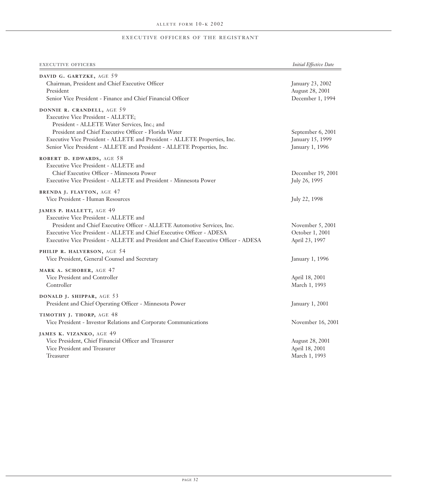## **EXECUTIVE OFFICERS OF THE REGISTRANT**

| <b>EXECUTIVE OFFICERS</b> | <b>Initial Effective Date</b> |
|---------------------------|-------------------------------|
|---------------------------|-------------------------------|

| itial Effective Date |  |
|----------------------|--|
|----------------------|--|

| DAVID G. GARTZKE, AGE 59                                                                     |                                 |
|----------------------------------------------------------------------------------------------|---------------------------------|
| Chairman, President and Chief Executive Officer                                              | January 23, 2002                |
| President                                                                                    | August 28, 2001                 |
| Senior Vice President - Finance and Chief Financial Officer                                  | December 1, 1994                |
| DONNIE R. CRANDELL, AGE 59                                                                   |                                 |
| Executive Vice President - ALLETE;                                                           |                                 |
| President - ALLETE Water Services, Inc.; and                                                 |                                 |
| President and Chief Executive Officer - Florida Water                                        | September 6, 2001               |
| Executive Vice President - ALLETE and President - ALLETE Properties, Inc.                    | January 15, 1999                |
| Senior Vice President - ALLETE and President - ALLETE Properties, Inc.                       | January 1, 1996                 |
| ROBERT D. EDWARDS, AGE 58                                                                    |                                 |
| Executive Vice President - ALLETE and                                                        |                                 |
| Chief Executive Officer - Minnesota Power                                                    | December 19, 2001               |
| Executive Vice President - ALLETE and President - Minnesota Power                            | July 26, 1995                   |
|                                                                                              |                                 |
| BRENDA J. FLAYTON, AGE 47<br>Vice President - Human Resources                                | July 22, 1998                   |
|                                                                                              |                                 |
| JAMES P. HALLETT, AGE 49                                                                     |                                 |
| Executive Vice President - ALLETE and                                                        |                                 |
| President and Chief Executive Officer - ALLETE Automotive Services, Inc.                     | November 5, 2001                |
| Executive Vice President - ALLETE and Chief Executive Officer - ADESA                        | October 1, 2001                 |
| Executive Vice President - ALLETE and President and Chief Executive Officer - ADESA          | April 23, 1997                  |
| PHILIP R. HALVERSON, AGE 54                                                                  |                                 |
| Vice President, General Counsel and Secretary                                                | January 1, 1996                 |
| MARK A. SCHOBER, AGE 47                                                                      |                                 |
| Vice President and Controller                                                                | April 18, 2001                  |
| Controller                                                                                   | March 1, 1993                   |
|                                                                                              |                                 |
| DONALD J. SHIPPAR, AGE 53                                                                    |                                 |
|                                                                                              |                                 |
| President and Chief Operating Officer - Minnesota Power                                      | January 1, 2001                 |
|                                                                                              |                                 |
| TIMOTHY J. THORP, AGE 48<br>Vice President - Investor Relations and Corporate Communications | November 16, 2001               |
|                                                                                              |                                 |
| JAMES K. VIZANKO, AGE 49                                                                     |                                 |
| Vice President, Chief Financial Officer and Treasurer                                        | August 28, 2001                 |
| Vice President and Treasurer<br>Treasurer                                                    | April 18, 2001<br>March 1, 1993 |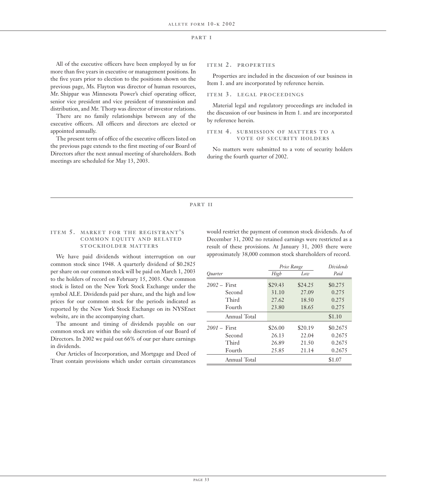All of the executive officers have been employed by us for more than five years in executive or management positions. In the five years prior to election to the positions shown on the previous page, Ms. Flayton was director of human resources, Mr. Shippar was Minnesota Power's chief operating officer, senior vice president and vice president of transmission and distribution, and Mr. Thorp was director of investor relations.

There are no family relationships between any of the executive officers. All officers and directors are elected or appointed annually.

The present term of office of the executive officers listed on the previous page extends to the first meeting of our Board of Directors after the next annual meeting of shareholders. Both meetings are scheduled for May 13, 2003.

#### **ITEM 2. PROPERTIES**

Properties are included in the discussion of our business in Item 1. and are incorporated by reference herein.

#### **ITEM 3. LEGAL PROCEEDINGS**

Material legal and regulatory proceedings are included in the discussion of our business in Item 1. and are incorporated by reference herein.

#### **ITEM 4. SUBMISSION OF MATTERS TO A VOTE OF SECURITY HOLDERS**

No matters were submitted to a vote of security holders during the fourth quarter of 2002.

#### **PART II**

#### **ITEM 5. MARKET FOR THE REGISTRANT'S COMMON EQUITY AND RELATED STOCKHOLDER MATTERS**

We have paid dividends without interruption on our common stock since 1948. A quarterly dividend of \$0.2825 per share on our common stock will be paid on March 1, 2003 to the holders of record on February 15, 2003. Our common stock is listed on the New York Stock Exchange under the symbol ALE. Dividends paid per share, and the high and low prices for our common stock for the periods indicated as reported by the New York Stock Exchange on its NYSEnet website, are in the accompanying chart.

The amount and timing of dividends payable on our common stock are within the sole discretion of our Board of Directors. In 2002 we paid out 66% of our per share earnings in dividends.

Our Articles of Incorporation, and Mortgage and Deed of Trust contain provisions which under certain circumstances

would restrict the payment of common stock dividends. As of December 31, 2002 no retained earnings were restricted as a result of these provisions. At January 31, 2003 there were approximately 38,000 common stock shareholders of record.

|                | Price Range | Dividends |          |
|----------------|-------------|-----------|----------|
| Ouarter        | High<br>Low |           | Paid     |
| $2002 -$ First | \$29.43     | \$24.25   | \$0.275  |
| Second         | 31.10       | 27.09     | 0.275    |
| Third          | 27.62       | 18.50     | 0.275    |
| Fourth         | 23.80       | 18.65     | 0.275    |
| Annual Total   |             |           | \$1.10   |
| $2001 -$ First | \$26.00     | \$20.19   | \$0.2675 |
| Second         | 26.13       | 22.04     | 0.2675   |
| Third          | 26.89       | 21.50     | 0.2675   |
| Fourth         | 25.85       | 21.14     | 0.2675   |
| Annual Total   |             |           | \$1.07   |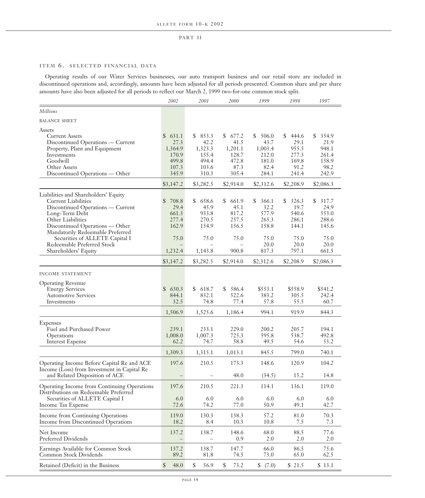#### **ITEM 6. SELECTED FINANCIAL DATA**

Operating results of our Water Services businesses, our auto transport business and our retail store are included in discontinued operations and, accordingly, amounts have been adjusted for all periods presented. Common share and per share amounts have also been adjusted for all periods to reflect our March 2, 1999 two-for-one common stock split.

|                                                                                                                                                                                                                                                                                                               | 2002                                                              | 2001                                                           | 2000                                                          | 1999                                                                    | 1998                                                                | 1997                                                                |
|---------------------------------------------------------------------------------------------------------------------------------------------------------------------------------------------------------------------------------------------------------------------------------------------------------------|-------------------------------------------------------------------|----------------------------------------------------------------|---------------------------------------------------------------|-------------------------------------------------------------------------|---------------------------------------------------------------------|---------------------------------------------------------------------|
| <b>Millions</b>                                                                                                                                                                                                                                                                                               |                                                                   |                                                                |                                                               |                                                                         |                                                                     |                                                                     |
| <b>BALANCE SHEET</b>                                                                                                                                                                                                                                                                                          |                                                                   |                                                                |                                                               |                                                                         |                                                                     |                                                                     |
| Assets<br><b>Current Assets</b><br>Discontinued Operations - Current<br>Property, Plant and Equipment<br>Investments<br>Goodwill<br>Other Assets<br>Discontinued Operations — Other                                                                                                                           | \$631.1<br>27.3<br>1,364.9<br>170.9<br>499.8<br>107.3<br>345.9    | \$853.3<br>42.2<br>1,323.3<br>155.4<br>494.4<br>103.6<br>310.3 | \$677.2<br>41.5<br>1,201.1<br>128.7<br>472.8<br>87.3<br>305.4 | \$<br>506.0<br>43.7<br>1,003.4<br>212.0<br>181.0<br>82.4<br>284.1       | \$<br>444.6<br>29.1<br>955.5<br>277.3<br>169.8<br>91.2<br>241.4     | 354.9<br>S.<br>21.9<br>948.1<br>261.4<br>158.9<br>98.2<br>242.9     |
|                                                                                                                                                                                                                                                                                                               | \$3,147.2                                                         | \$3,282.5                                                      | \$2,914.0                                                     | \$2,312.6                                                               | \$2,208.9                                                           | \$2,086.3                                                           |
| Liabilities and Shareholders' Equity<br><b>Current Liabilities</b><br>Discontinued Operations - Current<br>Long-Term Debt<br>Other Liabilities<br>Discontinued Operations — Other<br>Mandatorily Redeemable Preferred<br>Securities of ALLETE Capital I<br>Redeemable Preferred Stock<br>Shareholders' Equity | 708.8<br>S.<br>29.4<br>661.3<br>277.4<br>162.9<br>75.0<br>1,232.4 | \$658.6<br>45.9<br>933.8<br>270.5<br>154.9<br>75.0<br>1,143.8  | \$661.9<br>45.1<br>817.2<br>257.5<br>156.5<br>75.0<br>900.8   | \$<br>366.1<br>32.2<br>577.9<br>265.3<br>158.8<br>75.0<br>20.0<br>817.3 | \$326.3<br>19.7<br>540.6<br>286.1<br>144.1<br>75.0<br>20.0<br>797.1 | \$317.7<br>24.9<br>553.0<br>288.6<br>145.6<br>75.0<br>20.0<br>661.5 |
|                                                                                                                                                                                                                                                                                                               | \$3,147.2                                                         | \$3,282.5                                                      | \$2,914.0                                                     | \$2,312.6                                                               | \$2,208.9                                                           | \$2,086.3                                                           |
| <b>INCOME STATEMENT</b><br><b>Operating Revenue</b><br><b>Energy Services</b><br><b>Automotive Services</b><br>Investments                                                                                                                                                                                    | \$630.3<br>844.1<br>32.5<br>1,506.9                               | 618.7<br>\$<br>832.1<br>74.8<br>1,525.6                        | 586.4<br>S.<br>522.6<br>77.4<br>1,186.4                       | \$553.1<br>383.2<br>57.8<br>994.1                                       | \$558.9<br>305.5<br>55.5<br>919.9                                   | \$541.2<br>242.4<br>60.7<br>844.3                                   |
| <b>Expenses</b><br>Fuel and Purchased Power<br>Operations<br><b>Interest Expense</b>                                                                                                                                                                                                                          | 239.1<br>1,008.0<br>62.2                                          | 233.1<br>1,007.3<br>74.7                                       | 229.0<br>725.3<br>58.8                                        | 200.2<br>595.8<br>49.5                                                  | 205.7<br>538.7<br>54.6                                              | 194.1<br>492.8<br>53.2                                              |
|                                                                                                                                                                                                                                                                                                               | 1,309.3                                                           | 1,315.1                                                        | 1,013.1                                                       | 845.5                                                                   | 799.0                                                               | 740.1                                                               |
| Operating Income Before Capital Re and ACE<br>Income (Loss) from Investment in Capital Re<br>and Related Disposition of ACE                                                                                                                                                                                   | 197.6<br>$\qquad \qquad -$                                        | 210.5                                                          | 173.3<br>48.0                                                 | 148.6<br>(34.5)                                                         | 120.9<br>15.2                                                       | 104.2<br>14.8                                                       |
| Operating Income from Continuing Operations<br>Distributions on Redeemable Preferred<br>Securities of ALLETE Capital I<br>Income Tax Expense                                                                                                                                                                  | 197.6<br>6.0<br>72.6                                              | 210.5<br>6.0<br>74.2                                           | 221.3<br>6.0<br>77.0                                          | 114.1<br>6.0<br>50.9                                                    | 136.1<br>6.0<br>49.1                                                | 119.0<br>6.0<br>42.7                                                |
| Income from Continuing Operations<br>Income from Discontinued Operations                                                                                                                                                                                                                                      | 119.0<br>18.2                                                     | 130.3<br>8.4                                                   | 138.3<br>10.3                                                 | 57.2<br>10.8                                                            | 81.0<br>7.5                                                         | 70.3<br>7.3                                                         |
| Net Income<br>Preferred Dividends                                                                                                                                                                                                                                                                             | 137.2                                                             | 138.7                                                          | 148.6<br>0.9                                                  | 68.0<br>2.0                                                             | 88.5<br>2.0                                                         | 77.6<br>2.0                                                         |
| Earnings Available for Common Stock<br>Common Stock Dividends                                                                                                                                                                                                                                                 | 137.2<br>89.2                                                     | 138.7<br>81.8                                                  | 147.7<br>74.5                                                 | 66.0<br>73.0                                                            | 86.5<br>65.0                                                        | 75.6<br>62.5                                                        |
| Retained (Deficit) in the Business                                                                                                                                                                                                                                                                            | 48.0<br>$\$$                                                      | \$<br>56.9                                                     | \$<br>73.2                                                    | \$ (7.0)                                                                | \$21.5                                                              | \$13.1                                                              |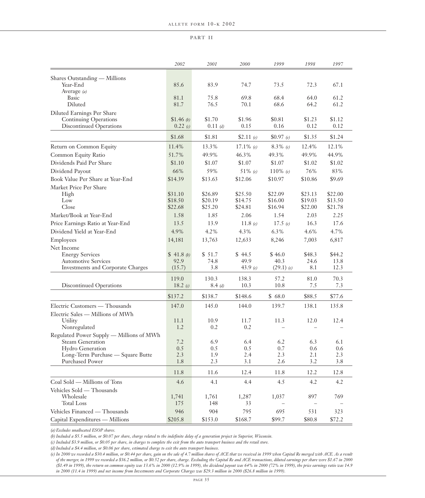|                                          | 2002         | 2001    | 2000         | 1999         | 1998    | 1997    |  |
|------------------------------------------|--------------|---------|--------------|--------------|---------|---------|--|
| Shares Outstanding - Millions            |              |         |              |              |         |         |  |
| Year-End                                 | 85.6         | 83.9    | 74.7         | 73.5         | 72.3    | 67.1    |  |
| Average (a)                              |              |         |              |              |         |         |  |
| <b>Basic</b>                             | 81.1         | 75.8    | 69.8         | 68.4         | 64.0    | 61.2    |  |
| Diluted                                  | 81.7         | 76.5    | 70.1         | 68.6         | 64.2    | 61.2    |  |
| Diluted Earnings Per Share               |              |         |              |              |         |         |  |
| <b>Continuing Operations</b>             | \$1.46 $(b)$ | \$1.70  | \$1.96       | \$0.81       | \$1.23  | \$1.12  |  |
| <b>Discontinued Operations</b>           | 0.22(c)      | 0.11(d) | 0.15         | 0.16         | 0.12    | 0.12    |  |
|                                          | \$1.68       | \$1.81  | \$2.11 $(e)$ | \$0.97(e)    | \$1.35  | \$1.24  |  |
| Return on Common Equity                  | 11.4%        | 13.3%   | $17.1\%$ (e) | $8.3\%$ (e)  | 12.4%   | 12.1%   |  |
| Common Equity Ratio                      | 51.7%        | 49.9%   | 46.3%        | 49.3%        | 49.9%   | 44.9%   |  |
| Dividends Paid Per Share                 | \$1.10       | \$1.07  | \$1.07       | \$1.07       | \$1.02  | \$1.02  |  |
| Dividend Payout                          | 66%          | 59%     | $51\%$ (e)   | 110% $(e)$   | 76%     | 83%     |  |
| Book Value Per Share at Year-End         | \$14.39      | \$13.63 | \$12.06      | \$10.97      | \$10.86 | \$9.69  |  |
| Market Price Per Share                   |              |         |              |              |         |         |  |
| High                                     | \$31.10      | \$26.89 | \$25.50      | \$22.09      | \$23.13 | \$22.00 |  |
| Low                                      | \$18.50      | \$20.19 | \$14.75      | \$16.00      | \$19.03 | \$13.50 |  |
| Close                                    | \$22.68      | \$25.20 | \$24.81      | \$16.94      | \$22.00 | \$21.78 |  |
| Market/Book at Year-End                  | 1.58         | 1.85    | 2.06         | 1.54         | 2.03    | 2.25    |  |
| Price Earnings Ratio at Year-End         | 13.5         | 13.9    | 11.8 $(e)$   | 17.5 $(e)$   | 16.3    | 17.6    |  |
| Dividend Yield at Year-End               | 4.9%         | 4.2%    | 4.3%         | 6.3%         | 4.6%    | 4.7%    |  |
| Employees                                | 14,181       | 13,763  | 12,633       | 8,246        | 7,003   | 6,817   |  |
| Net Income                               |              |         |              |              |         |         |  |
| <b>Energy Services</b>                   | \$41.8(b)    | \$51.7  | \$44.5       | \$46.0       | \$48.3  | \$44.2  |  |
| <b>Automotive Services</b>               | 92.9         | 74.8    | 49.9         | 40.3         | 24.6    | 13.8    |  |
| Investments and Corporate Charges        | (15.7)       | 3.8     | 43.9 $(e)$   | $(29.1)$ (e) | 8.1     | 12.3    |  |
|                                          | 119.0        | 130.3   | 138.3        | 57.2         | 81.0    | 70.3    |  |
| <b>Discontinued Operations</b>           | 18.2 $(c)$   | 8.4(d)  | 10.3         | 10.8         | 7.5     | 7.3     |  |
|                                          | \$137.2      | \$138.7 | \$148.6      | \$68.0       | \$88.5  | \$77.6  |  |
| Electric Customers - Thousands           | 147.0        | 145.0   | 144.0        | 139.7        | 138.1   | 135.8   |  |
| Electric Sales - Millions of MWh         |              |         |              |              |         |         |  |
| Utility                                  | 11.1         | 10.9    | 11.7         | 11.3         | 12.0    | 12.4    |  |
| Nonregulated                             | 1.2          | 0.2     | 0.2          |              |         |         |  |
| Regulated Power Supply - Millions of MWh |              |         |              |              |         |         |  |
| <b>Steam Generation</b>                  | 7.2          | 6.9     | 6.4          | 6.2          | 6.3     | 6.1     |  |
| Hydro Generation                         | 0.5          | 0.5     | 0.5          | 0.7          | 0.6     | 0.6     |  |
| Long-Term Purchase - Square Butte        | 2.3          | 1.9     | 2.4          | 2.3          | 2.1     | 2.3     |  |
| Purchased Power                          | 1.8          | 2.3     | 3.1          | 2.6          | 3.2     | 3.8     |  |
|                                          | 11.8         | 11.6    | 12.4         | 11.8         | 12.2    | 12.8    |  |
| Coal Sold - Millions of Tons             | 4.6          | 4.1     | 4.4          | 4.5          | 4.2     | 4.2     |  |
| Vehicles Sold - Thousands                |              |         |              |              |         |         |  |
| Wholesale                                | 1,741        | 1,761   | 1,287        | 1,037        | 897     | 769     |  |
| <b>Total Loss</b>                        | 175          | 148     | 33           |              |         |         |  |
| Vehicles Financed - Thousands            | 946          | 904     | 795          | 695          | 531     | 323     |  |
| Capital Expenditures - Millions          | \$205.8      | \$153.0 | \$168.7      | \$99.7       | \$80.8  | \$72.2  |  |

*(a) Excludes unallocated ESOP shares.*

*(b) Included a \$5.5 million, or \$0.07 per share, charge related to the indefinite delay of a generation project in Superior, Wisconsin.*

*(c) Included \$3.9 million, or \$0.05 per share, in charges to complete the exit from the auto transport business and the retail store.*

*(d) Included a \$4.4 million, or \$0.06 per share, estimated charge to exit the auto transport business.*

*(e) In 2000 we recorded a \$30.4 million, or \$0.44 per share, gain on the sale of 4.7 million shares of ACE that we received in 1999 when Capital Re merged with ACE. As a result of the merger, in 1999 we recorded a \$36.2 million, or \$0.52 per share, charge. Excluding the Capital Re and ACE transactions, diluted earnings per share were \$1.67 in 2000 (\$1.49 in 1999), the return on common equity was 13.6% in 2000 (12.9% in 1999), the dividend payout was 64% in 2000 (72% in 1999), the price earnings ratio was 14.9 in 2000 (11.4 in 1999) and net income from Investments and Corporate Charges was \$29.3 million in 2000 (\$26.8 million in 1999).*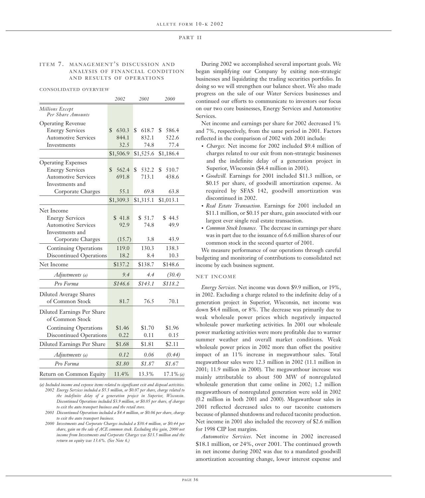# **ITEM 7. MANAGEMENT'S DISCUSSION AND ANALYSIS OF FINANCIAL CONDITION AND RESULTS OF OPERATIONS**

**CONSOLIDATED OVERVIEW**

|                                               | 2002        | 2001        | <i>2000</i>  |
|-----------------------------------------------|-------------|-------------|--------------|
| Millions Except<br>Per Share Amounts          |             |             |              |
| <b>Operating Revenue</b>                      |             |             |              |
| <b>Energy Services</b>                        | \$<br>630.3 | \$<br>618.7 | \$<br>586.4  |
| <b>Automotive Services</b>                    | 844.1       | 832.1       | 522.6        |
| Investments                                   | 32.5        | 74.8        | 77.4         |
|                                               | \$1,506.9   | \$1,525.6   | \$1,186.4    |
| <b>Operating Expenses</b>                     |             |             |              |
| <b>Energy Services</b>                        | \$<br>562.4 | \$<br>532.2 | \$<br>510.7  |
| <b>Automotive Services</b>                    | 691.8       | 713.1       | 438.6        |
| Investments and                               |             |             |              |
| Corporate Charges                             | 55.1        | 69.8        | 63.8         |
|                                               | \$1,309.3   | \$1,315.1   | \$1,013.1    |
| Net Income                                    |             |             |              |
| <b>Energy Services</b>                        | \$ 41.8     | \$51.7      | \$44.5       |
| <b>Automotive Services</b>                    | 92.9        | 74.8        | 49.9         |
| Investments and                               |             |             |              |
| Corporate Charges                             | (15.7)      | 3.8         | 43.9         |
| <b>Continuing Operations</b>                  | 119.0       | 130.3       | 138.3        |
| <b>Discontinued Operations</b>                | 18.2        | 8.4         | 10.3         |
| Net Income                                    | \$137.2     | \$138.7     | \$148.6      |
| Adjustments (a)                               | 9.4         | 4.4         | (30.4)       |
| Pro Forma                                     | \$146.6     | \$143.1     | \$118.2      |
| <b>Diluted Average Shares</b>                 |             |             |              |
| of Common Stock                               | 81.7        | 76.5        | 70.1         |
| Diluted Earnings Per Share<br>of Common Stock |             |             |              |
| <b>Continuing Operations</b>                  | \$1.46      | \$1.70      | \$1.96       |
| <b>Discontinued Operations</b>                | 0.22        | 0.11        | 0.15         |
| Diluted Earnings Per Share                    | \$1.68      | \$1.81      | \$2.11       |
| Adjustments (a)                               | 0.12        | 0.06        | (0.44)       |
| Pro Forma                                     | \$1.80      | \$1.87      | \$1.67       |
| Return on Common Equity                       | 11.4%       | 13.3%       | $17.1\%$ (a) |

*(a) Included income and expense items related to significant exit and disposal activities. 2002 Energy Services included a \$5.5 million, or \$0.07 per share, charge related to the indefinite delay of a generation project in Superior, Wisconsin. Discontinued Operations included \$3.9 million, or \$0.05 per share, of charges to exit the auto transport business and the retail store.*

*2001 Discontinued Operations included a \$4.4 million, or \$0.06 per share, charge to exit the auto transport business.*

*2000 Investments and Corporate Charges included a \$30.4 million, or \$0.44 per share, gain on the sale of ACE common stock. Excluding this gain, 2000 net income from Investments and Corporate Charges was \$13.5 million and the return on equity was 13.6%. (See Note 6.)*

During 2002 we accomplished several important goals. We began simplifying our Company by exiting non-strategic businesses and liquidating the trading securities portfolio. In doing so we will strengthen our balance sheet. We also made progress on the sale of our Water Services businesses and continued our efforts to communicate to investors our focus on our two core businesses, Energy Services and Automotive Services.

Net income and earnings per share for 2002 decreased 1% and 7%, respectively, from the same period in 2001. Factors reflected in the comparison of 2002 with 2001 include:

- *Charges.* Net income for 2002 included \$9.4 million of charges related to our exit from non-strategic businesses and the indefinite delay of a generation project in Superior, Wisconsin (\$4.4 million in 2001).
- *Goodwill.* Earnings for 2001 included \$11.3 million, or \$0.15 per share, of goodwill amortization expense. As required by SFAS 142, goodwill amortization was discontinued in 2002.
- *Real Estate Transaction.* Earnings for 2001 included an \$11.1 million, or \$0.15 per share, gain associated with our largest ever single real estate transaction.
- *Common Stock Issuance.* The decrease in earnings per share was in part due to the issuance of 6.6 million shares of our common stock in the second quarter of 2001.

We measure performance of our operations through careful budgeting and monitoring of contributions to consolidated net income by each business segment.

#### **NET INCOME**

*Energy Services*. Net income was down \$9.9 million, or 19%, in 2002. Excluding a charge related to the indefinite delay of a generation project in Superior, Wisconsin, net income was down \$4.4 million, or 8%. The decrease was primarily due to weak wholesale power prices which negatively impacted wholesale power marketing activities. In 2001 our wholesale power marketing activities were more profitable due to warmer summer weather and overall market conditions. Weak wholesale power prices in 2002 more than offset the positive impact of an 11% increase in megawatthour sales. Total megawatthour sales were 12.3 million in 2002 (11.1 million in 2001; 11.9 million in 2000). The megawatthour increase was mainly attributable to about 500 MW of nonregulated wholesale generation that came online in 2002; 1.2 million megawatthours of nonregulated generation were sold in 2002 (0.2 million in both 2001 and 2000). Megawatthour sales in 2001 reflected decreased sales to our taconite customers because of planned shutdowns and reduced taconite production. Net income in 2001 also included the recovery of \$2.6 million for 1998 CIP lost margins.

*Automotive Services*. Net income in 2002 increased \$18.1 million, or 24%, over 2001. The continued growth in net income during 2002 was due to a mandated goodwill amortization accounting change, lower interest expense and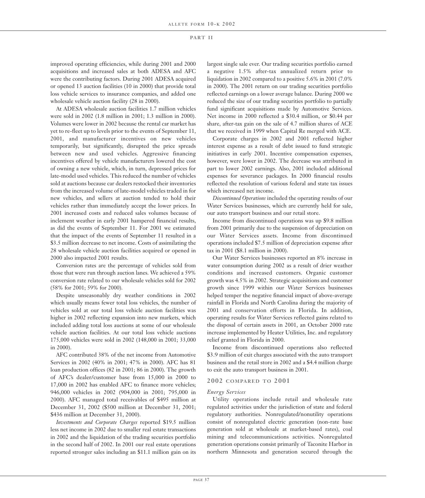improved operating efficiencies, while during 2001 and 2000 acquisitions and increased sales at both ADESA and AFC were the contributing factors. During 2001 ADESA acquired or opened 13 auction facilities (10 in 2000) that provide total loss vehicle services to insurance companies, and added one wholesale vehicle auction facility (28 in 2000).

At ADESA wholesale auction facilities 1.7 million vehicles were sold in 2002 (1.8 million in 2001; 1.3 million in 2000). Volumes were lower in 2002 because the rental car market has yet to re-fleet up to levels prior to the events of September 11, 2001, and manufacturer incentives on new vehicles temporarily, but significantly, disrupted the price spreads between new and used vehicles. Aggressive financing incentives offered by vehicle manufacturers lowered the cost of owning a new vehicle, which, in turn, depressed prices for late-model used vehicles. This reduced the number of vehicles sold at auctions because car dealers restocked their inventories from the increased volume of late-model vehicles traded in for new vehicles, and sellers at auction tended to hold their vehicles rather than immediately accept the lower prices. In 2001 increased costs and reduced sales volumes because of inclement weather in early 2001 hampered financial results, as did the events of September 11. For 2001 we estimated that the impact of the events of September 11 resulted in a \$3.5 million decrease to net income. Costs of assimilating the 28 wholesale vehicle auction facilities acquired or opened in 2000 also impacted 2001 results.

Conversion rates are the percentage of vehicles sold from those that were run through auction lanes. We achieved a 59% conversion rate related to our wholesale vehicles sold for 2002 (58% for 2001; 59% for 2000).

Despite unseasonably dry weather conditions in 2002 which usually means fewer total loss vehicles, the number of vehicles sold at our total loss vehicle auction facilities was higher in 2002 reflecting expansion into new markets, which included adding total loss auctions at some of our wholesale vehicle auction facilities. At our total loss vehicle auctions 175,000 vehicles were sold in 2002 (148,000 in 2001; 33,000 in 2000).

AFC contributed 38% of the net income from Automotive Services in 2002 (40% in 2001; 47% in 2000). AFC has 81 loan production offices (82 in 2001; 86 in 2000). The growth of AFC's dealer/customer base from 15,000 in 2000 to 17,000 in 2002 has enabled AFC to finance more vehicles; 946,000 vehicles in 2002 (904,000 in 2001; 795,000 in 2000). AFC managed total receivables of \$495 million at December 31, 2002 (\$500 million at December 31, 2001; \$436 million at December 31, 2000).

*Investments and Corporate Charges* reported \$19.5 million less net income in 2002 due to smaller real estate transactions in 2002 and the liquidation of the trading securities portfolio in the second half of 2002. In 2001 our real estate operations reported stronger sales including an \$11.1 million gain on its largest single sale ever. Our trading securities portfolio earned a negative 1.5% after-tax annualized return prior to liquidation in 2002 compared to a positive 5.6% in 2001 (7.0% in 2000). The 2001 return on our trading securities portfolio reflected earnings on a lower average balance. During 2000 we reduced the size of our trading securities portfolio to partially fund significant acquisitions made by Automotive Services. Net income in 2000 reflected a \$30.4 million, or \$0.44 per share, after-tax gain on the sale of 4.7 million shares of ACE that we received in 1999 when Capital Re merged with ACE.

Corporate charges in 2002 and 2001 reflected higher interest expense as a result of debt issued to fund strategic initiatives in early 2001. Incentive compensation expenses, however, were lower in 2002. The decrease was attributed in part to lower 2002 earnings. Also, 2001 included additional expenses for severance packages. In 2000 financial results reflected the resolution of various federal and state tax issues which increased net income.

*Discontinued Operations* included the operating results of our Water Services businesses, which are currently held for sale, our auto transport business and our retail store.

Income from discontinued operations was up \$9.8 million from 2001 primarily due to the suspension of depreciation on our Water Services assets. Income from discontinued operations included \$7.5 million of depreciation expense after tax in 2001 (\$8.1 million in 2000).

Our Water Services businesses reported an 8% increase in water consumption during 2002 as a result of drier weather conditions and increased customers. Organic customer growth was 4.5% in 2002. Strategic acquisitions and customer growth since 1999 within our Water Services businesses helped temper the negative financial impact of above-average rainfall in Florida and North Carolina during the majority of 2001 and conservation efforts in Florida. In addition, operating results for Water Services reflected gains related to the disposal of certain assets in 2001, an October 2000 rate increase implemented by Heater Utilities, Inc. and regulatory relief granted in Florida in 2000.

Income from discontinued operations also reflected \$3.9 million of exit charges associated with the auto transport business and the retail store in 2002 and a \$4.4 million charge to exit the auto transport business in 2001.

#### **2002 COMPARED TO 2001**

## *Energy Services*

Utility operations include retail and wholesale rate regulated activities under the jurisdiction of state and federal regulatory authorities. Nonregulated/nonutility operations consist of nonregulated electric generation (non-rate base generation sold at wholesale at market-based rates), coal mining and telecommunications activities. Nonregulated generation operations consist primarily of Taconite Harbor in northern Minnesota and generation secured through the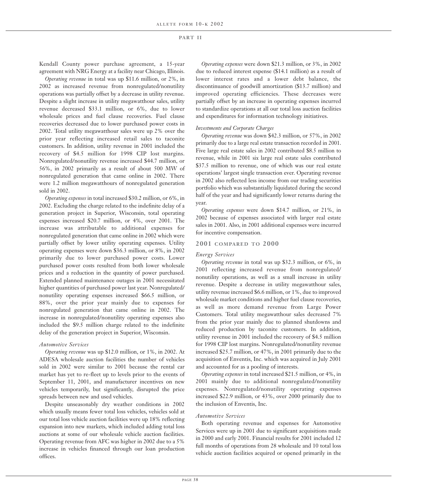Kendall County power purchase agreement, a 15-year agreement with NRG Energy at a facility near Chicago, Illinois.

*Operating revenue* in total was up \$11.6 million, or 2%, in 2002 as increased revenue from nonregulated/nonutility operations was partially offset by a decrease in utility revenue. Despite a slight increase in utility megawatthour sales, utility revenue decreased \$33.1 million, or 6%, due to lower wholesale prices and fuel clause recoveries. Fuel clause recoveries decreased due to lower purchased power costs in 2002. Total utility megawatthour sales were up 2% over the prior year reflecting increased retail sales to taconite customers. In addition, utility revenue in 2001 included the recovery of \$4.5 million for 1998 CIP lost margins. Nonregulated/nonutility revenue increased \$44.7 million, or 56%, in 2002 primarily as a result of about 500 MW of nonregulated generation that came online in 2002. There were 1.2 million megawatthours of nonregulated generation sold in 2002.

*Operating expenses* in total increased \$30.2 million, or 6%, in 2002. Excluding the charge related to the indefinite delay of a generation project in Superior, Wisconsin, total operating expenses increased \$20.7 million, or 4%, over 2001. The increase was attributable to additional expenses for nonregulated generation that came online in 2002 which were partially offset by lower utility operating expenses. Utility operating expenses were down \$36.3 million, or 8%, in 2002 primarily due to lower purchased power costs. Lower purchased power costs resulted from both lower wholesale prices and a reduction in the quantity of power purchased. Extended planned maintenance outages in 2001 necessitated higher quantities of purchased power last year. Nonregulated/ nonutility operating expenses increased \$66.5 million, or 88%, over the prior year mainly due to expenses for nonregulated generation that came online in 2002. The increase in nonregulated/nonutility operating expenses also included the \$9.5 million charge related to the indefinite delay of the generation project in Superior, Wisconsin.

#### *Automotive Services*

*Operating revenue* was up \$12.0 million, or 1%, in 2002. At ADESA wholesale auction facilities the number of vehicles sold in 2002 were similar to 2001 because the rental car market has yet to re-fleet up to levels prior to the events of September 11, 2001, and manufacturer incentives on new vehicles temporarily, but significantly, disrupted the price spreads between new and used vehicles.

Despite unseasonably dry weather conditions in 2002 which usually means fewer total loss vehicles, vehicles sold at our total loss vehicle auction facilities were up 18% reflecting expansion into new markets, which included adding total loss auctions at some of our wholesale vehicle auction facilities. Operating revenue from AFC was higher in 2002 due to a 5% increase in vehicles financed through our loan production offices.

*Operating expenses* were down \$21.3 million, or 3%, in 2002 due to reduced interest expense (\$14.1 million) as a result of lower interest rates and a lower debt balance, the discontinuance of goodwill amortization (\$13.7 million) and improved operating efficiencies. These decreases were partially offset by an increase in operating expenses incurred to standardize operations at all our total loss auction facilities and expenditures for information technology initiatives.

# *Investments and Corporate Charges*

*Operating revenue* was down \$42.3 million, or 57%, in 2002 primarily due to a large real estate transaction recorded in 2001. Five large real estate sales in 2002 contributed \$8.5 million to revenue, while in 2001 six large real estate sales contributed \$37.5 million to revenue, one of which was our real estate operations' largest single transaction ever. Operating revenue in 2002 also reflected less income from our trading securities portfolio which was substantially liquidated during the second half of the year and had significantly lower returns during the year.

*Operating expenses* were down \$14.7 million, or 21%, in 2002 because of expenses associated with larger real estate sales in 2001. Also, in 2001 additional expenses were incurred for incentive compensation.

## **2001 COMPARED TO 2000**

#### *Energy Services*

*Operating revenue* in total was up \$32.3 million, or 6%, in 2001 reflecting increased revenue from nonregulated/ nonutility operations, as well as a small increase in utility revenue. Despite a decrease in utility megawatthour sales, utility revenue increased \$6.6 million, or 1%, due to improved wholesale market conditions and higher fuel clause recoveries, as well as more demand revenue from Large Power Customers. Total utility megawatthour sales decreased 7% from the prior year mainly due to planned shutdowns and reduced production by taconite customers. In addition, utility revenue in 2001 included the recovery of \$4.5 million for 1998 CIP lost margins. Nonregulated/nonutility revenue increased \$25.7 million, or 47%, in 2001 primarily due to the acquisition of Enventis, Inc. which was acquired in July 2001 and accounted for as a pooling of interests.

*Operating expenses* in total increased \$21.5 million, or 4%, in 2001 mainly due to additional nonregulated/nonutility expenses. Nonregulated/nonutility operating expenses increased \$22.9 million, or 43%, over 2000 primarily due to the inclusion of Enventis, Inc.

#### *Automotive Services*

Both operating revenue and expenses for Automotive Services were up in 2001 due to significant acquisitions made in 2000 and early 2001. Financial results for 2001 included 12 full months of operations from 28 wholesale and 10 total loss vehicle auction facilities acquired or opened primarily in the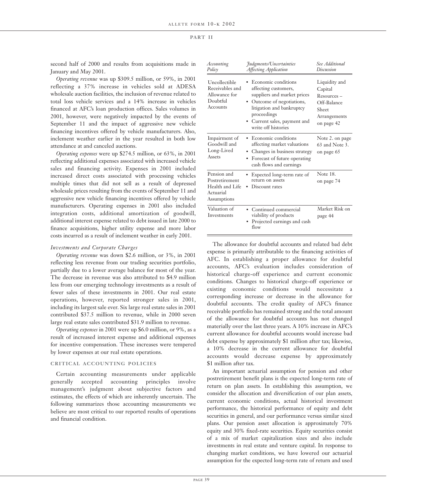second half of 2000 and results from acquisitions made in January and May 2001.

*Operating revenue* was up \$309.5 million, or 59%, in 2001 reflecting a 37% increase in vehicles sold at ADESA wholesale auction facilities, the inclusion of revenue related to total loss vehicle services and a 14% increase in vehicles financed at AFC's loan production offices. Sales volumes in 2001, however, were negatively impacted by the events of September 11 and the impact of aggressive new vehicle financing incentives offered by vehicle manufacturers. Also, inclement weather earlier in the year resulted in both low attendance at and canceled auctions.

*Operating expenses* were up \$274.5 million, or 63%, in 2001 reflecting additional expenses associated with increased vehicle sales and financing activity. Expenses in 2001 included increased direct costs associated with processing vehicles multiple times that did not sell as a result of depressed wholesale prices resulting from the events of September 11 and aggressive new vehicle financing incentives offered by vehicle manufacturers. Operating expenses in 2001 also included integration costs, additional amortization of goodwill, additional interest expense related to debt issued in late 2000 to finance acquisitions, higher utility expense and more labor costs incurred as a result of inclement weather in early 2001.

# *Investments and Corporate Charges*

*Operating revenue* was down \$2.6 million, or 3%, in 2001 reflecting less revenue from our trading securities portfolio, partially due to a lower average balance for most of the year. The decrease in revenue was also attributed to \$4.9 million less from our emerging technology investments as a result of fewer sales of these investments in 2001. Our real estate operations, however, reported stronger sales in 2001, including its largest sale ever. Six large real estate sales in 2001 contributed \$37.5 million to revenue, while in 2000 seven large real estate sales contributed \$31.9 million to revenue.

*Operating expenses* in 2001 were up \$6.0 million, or 9%, as a result of increased interest expense and additional expenses for incentive compensation. These increases were tempered by lower expenses at our real estate operations.

#### **CRITICAL ACCOUNTING POLICIES**

Certain accounting measurements under applicable generally accepted accounting principles involve management's judgment about subjective factors and estimates, the effects of which are inherently uncertain. The following summarizes those accounting measurements we believe are most critical to our reported results of operations and financial condition.

| Accounting<br>Policy                                                         | <i>Hudgments/Uncertainties</i><br><b>Affecting Application</b>                                                                                                                                          | See Additional<br>Discussion                                                                 |
|------------------------------------------------------------------------------|---------------------------------------------------------------------------------------------------------------------------------------------------------------------------------------------------------|----------------------------------------------------------------------------------------------|
| Uncollectible<br>Receivables and<br>Allowance for<br>Doubtful<br>Accounts    | Economic conditions<br>affecting customers,<br>suppliers and market prices<br>Outcome of negotiations,<br>litigation and bankruptcy<br>proceedings<br>Current sales, payment and<br>write off histories | Liquidity and<br>Capital<br>Resources-<br>Off-Balance<br>Sheet<br>Arrangements<br>on page 42 |
| Impairment of<br>Goodwill and<br>Long-Lived<br>Assets                        | Economic conditions<br>affecting market valuations<br>Changes in business strategy<br>Forecast of future operating<br>٠<br>cash flows and earnings                                                      | Note 2. on page<br>63 and Note 3.<br>on page 65                                              |
| Pension and<br>Postretirement<br>Health and Life<br>Actuarial<br>Assumptions | Expected long-term rate of<br>return on assets<br>Discount rates                                                                                                                                        | Note 18.<br>on page 74                                                                       |
| Valuation of<br>Investments                                                  | Continued commercial<br>viability of products<br>Projected earnings and cash<br>flow                                                                                                                    | Market Risk on<br>page 44                                                                    |

The allowance for doubtful accounts and related bad debt expense is primarily attributable to the financing activities of AFC. In establishing a proper allowance for doubtful accounts, AFC's evaluation includes consideration of historical charge-off experience and current economic conditions. Changes to historical charge-off experience or existing economic conditions would necessitate a corresponding increase or decrease in the allowance for doubtful accounts. The credit quality of AFC's finance receivable portfolio has remained strong and the total amount of the allowance for doubtful accounts has not changed materially over the last three years. A 10% increase in AFC's current allowance for doubtful accounts would increase bad debt expense by approximately \$1 million after tax; likewise, a 10% decrease in the current allowance for doubtful accounts would decrease expense by approximately \$1 million after tax.

An important actuarial assumption for pension and other postretirement benefit plans is the expected long-term rate of return on plan assets. In establishing this assumption, we consider the allocation and diversification of our plan assets, current economic conditions, actual historical investment performance, the historical performance of equity and debt securities in general, and our performance versus similar sized plans. Our pension asset allocation is approximately 70% equity and 30% fixed-rate securities. Equity securities consist of a mix of market capitalization sizes and also include investments in real estate and venture capital. In response to changing market conditions, we have lowered our actuarial assumption for the expected long-term rate of return and used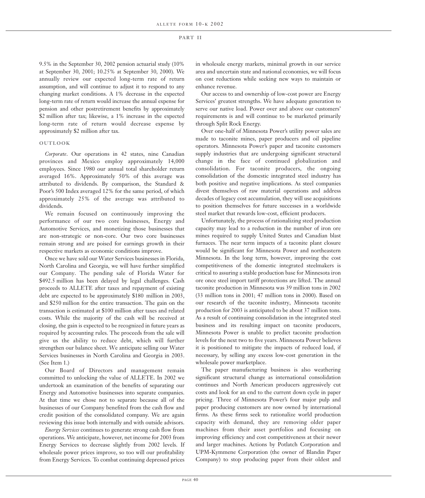9.5% in the September 30, 2002 pension actuarial study (10% at September 30, 2001; 10.25% at September 30, 2000). We annually review our expected long-term rate of return assumption, and will continue to adjust it to respond to any changing market conditions. A 1% decrease in the expected long-term rate of return would increase the annual expense for pension and other postretirement benefits by approximately \$2 million after tax; likewise, a 1% increase in the expected long-term rate of return would decrease expense by approximately \$2 million after tax.

# **OUTLOOK**

*Corporate*. Our operations in 42 states, nine Canadian provinces and Mexico employ approximately 14,000 employees. Since 1980 our annual total shareholder return averaged 16%. Approximately 50% of this average was attributed to dividends. By comparison, the Standard & Poor's 500 Index averaged 12% for the same period, of which approximately 25% of the average was attributed to dividends.

We remain focused on continuously improving the performance of our two core businesses, Energy and Automotive Services, and monetizing those businesses that are non-strategic or non-core. Our two core businesses remain strong and are poised for earnings growth in their respective markets as economic conditions improve.

Once we have sold our Water Services businesses in Florida, North Carolina and Georgia, we will have further simplified our Company. The pending sale of Florida Water for \$492.5 million has been delayed by legal challenges. Cash proceeds to ALLETE after taxes and repayment of existing debt are expected to be approximately \$180 million in 2003, and \$250 million for the entire transaction. The gain on the transaction is estimated at \$100 million after taxes and related costs. While the majority of the cash will be received at closing, the gain is expected to be recognized in future years as required by accounting rules. The proceeds from the sale will give us the ability to reduce debt, which will further strengthen our balance sheet. We anticipate selling our Water Services businesses in North Carolina and Georgia in 2003. (See Item 1.)

Our Board of Directors and management remain committed to unlocking the value of ALLETE. In 2002 we undertook an examination of the benefits of separating our Energy and Automotive businesses into separate companies. At that time we chose not to separate because all of the businesses of our Company benefited from the cash flow and credit position of the consolidated company. We are again reviewing this issue both internally and with outside advisors.

*Energy Services* continues to generate strong cash flow from operations. We anticipate, however, net income for 2003 from Energy Services to decrease slightly from 2002 levels. If wholesale power prices improve, so too will our profitability from Energy Services. To combat continuing depressed prices

in wholesale energy markets, minimal growth in our service area and uncertain state and national economies, we will focus on cost reductions while seeking new ways to maintain or enhance revenue.

Our access to and ownership of low-cost power are Energy Services' greatest strengths. We have adequate generation to serve our native load. Power over and above our customers' requirements is and will continue to be marketed primarily through Split Rock Energy.

Over one-half of Minnesota Power's utility power sales are made to taconite mines, paper producers and oil pipeline operators. Minnesota Power's paper and taconite customers supply industries that are undergoing significant structural change in the face of continued globalization and consolidation. For taconite producers, the ongoing consolidation of the domestic integrated steel industry has both positive and negative implications. As steel companies divest themselves of raw material operations and address decades of legacy cost accumulation, they will use acquisitions to position themselves for future successes in a worldwide steel market that rewards low-cost, efficient producers.

Unfortunately, the process of rationalizing steel production capacity may lead to a reduction in the number of iron ore mines required to supply United States and Canadian blast furnaces. The near term impacts of a taconite plant closure would be significant for Minnesota Power and northeastern Minnesota. In the long term, however, improving the cost competitiveness of the domestic integrated steelmakers is critical to assuring a stable production base for Minnesota iron ore once steel import tariff protections are lifted. The annual taconite production in Minnesota was 39 million tons in 2002 (33 million tons in 2001; 47 million tons in 2000). Based on our research of the taconite industry, Minnesota taconite production for 2003 is anticipated to be about 37 million tons. As a result of continuing consolidation in the integrated steel business and its resulting impact on taconite producers, Minnesota Power is unable to predict taconite production levels for the next two to five years. Minnesota Power believes it is positioned to mitigate the impacts of reduced load, if necessary, by selling any excess low-cost generation in the wholesale power marketplace.

The paper manufacturing business is also weathering significant structural change as international consolidation continues and North American producers aggressively cut costs and look for an end to the current down cycle in paper pricing. Three of Minnesota Power's four major pulp and paper producing customers are now owned by international firms. As these firms seek to rationalize world production capacity with demand, they are removing older paper machines from their asset portfolios and focusing on improving efficiency and cost competitiveness at their newer and larger machines. Actions by Potlatch Corporation and UPM-Kymmene Corporation (the owner of Blandin Paper Company) to stop producing paper from their oldest and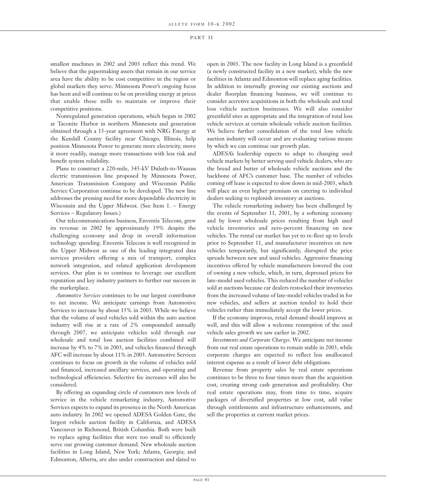smallest machines in 2002 and 2003 reflect this trend. We believe that the papermaking assets that remain in our service area have the ability to be cost competitive in the region or global markets they serve. Minnesota Power's ongoing focus has been and will continue to be on providing energy at prices that enable these mills to maintain or improve their competitive positions.

Nonregulated generation operations, which began in 2002 at Taconite Harbor in northern Minnesota and generation obtained through a 15-year agreement with NRG Energy at the Kendall County facility near Chicago, Illinois, help position Minnesota Power to generate more electricity, move it more readily, manage more transactions with less risk and benefit system reliability.

Plans to construct a 220-mile, 345-kV Duluth-to-Wausau electric transmission line proposed by Minnesota Power, American Transmission Company and Wisconsin Public Service Corporation continue to be developed. The new line addresses the pressing need for more dependable electricity in Wisconsin and the Upper Midwest. (See Item 1. − Energy Services − Regulatory Issues.)

Our telecommunications business, Enventis Telecom, grew its revenue in 2002 by approximately 19% despite the challenging economy and drop in overall information technology spending. Enventis Telecom is well recognized in the Upper Midwest as one of the leading integrated data services providers offering a mix of transport, complex network integration, and related application development services. Our plan is to continue to leverage our excellent reputation and key industry partners to further our success in the marketplace.

*Automotive Services* continues to be our largest contributor to net income. We anticipate earnings from Automotive Services to increase by about 15% in 2003. While we believe that the volume of used vehicles sold within the auto auction industry will rise at a rate of 2% compounded annually through 2007, we anticipate vehicles sold through our wholesale and total loss auction facilities combined will increase by 4% to 7% in 2003, and vehicles financed through AFC will increase by about 11% in 2003. Automotive Services continues to focus on growth in the volume of vehicles sold and financed, increased ancillary services, and operating and technological efficiencies. Selective fee increases will also be considered.

By offering an expanding circle of customers new levels of service in the vehicle remarketing industry, Automotive Services expects to expand its presence in the North American auto industry. In 2002 we opened ADESA Golden Gate, the largest vehicle auction facility in California, and ADESA Vancouver in Richmond, British Columbia. Both were built to replace aging facilities that were too small to efficiently serve our growing customer demand. New wholesale auction facilities in Long Island, New York; Atlanta, Georgia; and Edmonton, Alberta, are also under construction and slated to

open in 2003. The new facility in Long Island is a greenfield (a newly constructed facility in a new market), while the new facilities in Atlanta and Edmonton will replace aging facilities. In addition to internally growing our existing auctions and dealer floorplan financing business, we will continue to consider accretive acquisitions in both the wholesale and total loss vehicle auction businesses. We will also consider greenfield sites as appropriate and the integration of total loss vehicle services at certain wholesale vehicle auction facilities. We believe further consolidation of the total loss vehicle auction industry will occur and are evaluating various means by which we can continue our growth plan.

ADESA's leadership expects to adapt to changing used vehicle markets by better serving used vehicle dealers, who are the bread and butter of wholesale vehicle auctions and the backbone of AFC's customer base. The number of vehicles coming off lease is expected to slow down in mid-2003, which will place an even higher premium on catering to individual dealers seeking to replenish inventory at auctions.

The vehicle remarketing industry has been challenged by the events of September 11, 2001, by a softening economy and by lower wholesale prices resulting from high used vehicle inventories and zero-percent financing on new vehicles. The rental car market has yet to re-fleet up to levels prior to September 11, and manufacturer incentives on new vehicles temporarily, but significantly, disrupted the price spreads between new and used vehicles. Aggressive financing incentives offered by vehicle manufacturers lowered the cost of owning a new vehicle, which, in turn, depressed prices for late-model used vehicles. This reduced the number of vehicles sold at auctions because car dealers restocked their inventories from the increased volume of late-model vehicles traded in for new vehicles, and sellers at auction tended to hold their vehicles rather than immediately accept the lower prices.

If the economy improves, retail demand should improve as well, and this will allow a welcome resumption of the used vehicle sales growth we saw earlier in 2002.

*Investments and Corporate Charges*. We anticipate net income from our real estate operations to remain stable in 2003, while corporate charges are expected to reflect less unallocated interest expense as a result of lower debt obligations.

Revenue from property sales by real estate operations continues to be three to four times more than the acquisition cost, creating strong cash generation and profitability. Our real estate operations may, from time to time, acquire packages of diversified properties at low cost, add value through entitlements and infrastructure enhancements, and sell the properties at current market prices.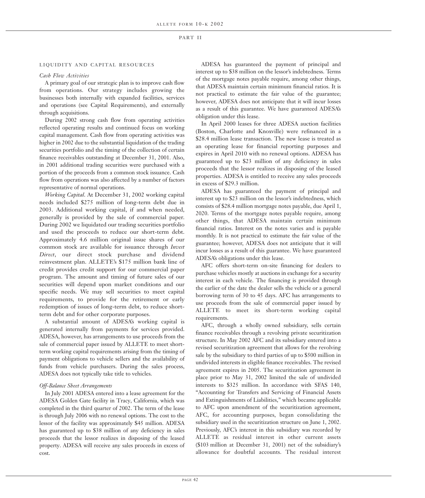#### **LIQUIDITY AND CAPITAL RESOURCES**

#### *Cash Flow Activities*

A primary goal of our strategic plan is to improve cash flow from operations. Our strategy includes growing the businesses both internally with expanded facilities, services and operations (see Capital Requirements), and externally through acquisitions.

During 2002 strong cash flow from operating activities reflected operating results and continued focus on working capital management. Cash flow from operating activities was higher in 2002 due to the substantial liquidation of the trading securities portfolio and the timing of the collection of certain finance receivables outstanding at December 31, 2001. Also, in 2001 additional trading securities were purchased with a portion of the proceeds from a common stock issuance. Cash flow from operations was also affected by a number of factors representative of normal operations.

*Working Capital*. At December 31, 2002 working capital needs included \$275 million of long-term debt due in 2003. Additional working capital, if and when needed, generally is provided by the sale of commercial paper. During 2002 we liquidated our trading securities portfolio and used the proceeds to reduce our short-term debt. Approximately 4.6 million original issue shares of our common stock are available for issuance through *Invest Direct*, our direct stock purchase and dividend reinvestment plan. ALLETE's \$175 million bank line of credit provides credit support for our commercial paper program. The amount and timing of future sales of our securities will depend upon market conditions and our specific needs. We may sell securities to meet capital requirements, to provide for the retirement or early redemption of issues of long-term debt, to reduce shortterm debt and for other corporate purposes.

A substantial amount of ADESA's working capital is generated internally from payments for services provided. ADESA, however, has arrangements to use proceeds from the sale of commercial paper issued by ALLETE to meet shortterm working capital requirements arising from the timing of payment obligations to vehicle sellers and the availability of funds from vehicle purchasers. During the sales process, ADESA does not typically take title to vehicles.

#### *Off-Balance Sheet Arrangements*

In July 2001 ADESA entered into a lease agreement for the ADESA Golden Gate facility in Tracy, California, which was completed in the third quarter of 2002. The term of the lease is through July 2006 with no renewal options. The cost to the lessor of the facility was approximately \$45 million. ADESA has guaranteed up to \$38 million of any deficiency in sales proceeds that the lessor realizes in disposing of the leased property. ADESA will receive any sales proceeds in excess of cost.

ADESA has guaranteed the payment of principal and interest up to \$38 million on the lessor's indebtedness. Terms of the mortgage notes payable require, among other things, that ADESA maintain certain minimum financial ratios. It is not practical to estimate the fair value of the guarantee; however, ADESA does not anticipate that it will incur losses as a result of this guarantee. We have guaranteed ADESA's obligation under this lease.

In April 2000 leases for three ADESA auction facilities (Boston, Charlotte and Knoxville) were refinanced in a \$28.4 million lease transaction. The new lease is treated as an operating lease for financial reporting purposes and expires in April 2010 with no renewal options. ADESA has guaranteed up to \$23 million of any deficiency in sales proceeds that the lessor realizes in disposing of the leased properties. ADESA is entitled to receive any sales proceeds in excess of \$29.3 million.

ADESA has guaranteed the payment of principal and interest up to \$23 million on the lessor's indebtedness, which consists of \$28.4 million mortgage notes payable, due April 1, 2020. Terms of the mortgage notes payable require, among other things, that ADESA maintain certain minimum financial ratios. Interest on the notes varies and is payable monthly. It is not practical to estimate the fair value of the guarantee; however, ADESA does not anticipate that it will incur losses as a result of this guarantee. We have guaranteed ADESA's obligations under this lease.

AFC offers short-term on-site financing for dealers to purchase vehicles mostly at auctions in exchange for a security interest in each vehicle. The financing is provided through the earlier of the date the dealer sells the vehicle or a general borrowing term of 30 to 45 days. AFC has arrangements to use proceeds from the sale of commercial paper issued by ALLETE to meet its short-term working capital requirements.

AFC, through a wholly owned subsidiary, sells certain finance receivables through a revolving private securitization structure. In May 2002 AFC and its subsidiary entered into a revised securitization agreement that allows for the revolving sale by the subsidiary to third parties of up to \$500 million in undivided interests in eligible finance receivables. The revised agreement expires in 2005. The securitization agreement in place prior to May 31, 2002 limited the sale of undivided interests to \$325 million. In accordance with SFAS 140, "Accounting for Transfers and Servicing of Financial Assets and Extinguishments of Liabilities," which became applicable to AFC upon amendment of the securitization agreement, AFC, for accounting purposes, began consolidating the subsidiary used in the securitization structure on June 1, 2002. Previously, AFC's interest in this subsidiary was recorded by ALLETE as residual interest in other current assets (\$103 million at December 31, 2001) net of the subsidiary's allowance for doubtful accounts. The residual interest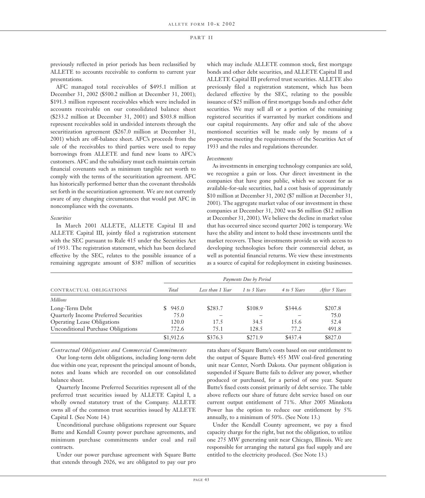previously reflected in prior periods has been reclassified by ALLETE to accounts receivable to conform to current year presentations.

AFC managed total receivables of \$495.1 million at December 31, 2002 (\$500.2 million at December 31, 2001); \$191.3 million represent receivables which were included in accounts receivable on our consolidated balance sheet (\$233.2 million at December 31, 2001) and \$303.8 million represent receivables sold in undivided interests through the securitization agreement (\$267.0 million at December 31, 2001) which are off-balance sheet. AFC's proceeds from the sale of the receivables to third parties were used to repay borrowings from ALLETE and fund new loans to AFC's customers. AFC and the subsidiary must each maintain certain financial covenants such as minimum tangible net worth to comply with the terms of the securitization agreement. AFC has historically performed better than the covenant thresholds set forth in the securitization agreement. We are not currently aware of any changing circumstances that would put AFC in noncompliance with the covenants.

# *Securities*

In March 2001 ALLETE, ALLETE Capital II and ALLETE Capital III, jointly filed a registration statement with the SEC pursuant to Rule 415 under the Securities Act of 1933. The registration statement, which has been declared effective by the SEC, relates to the possible issuance of a remaining aggregate amount of \$387 million of securities

which may include ALLETE common stock, first mortgage bonds and other debt securities, and ALLETE Capital II and ALLETE Capital III preferred trust securities. ALLETE also previously filed a registration statement, which has been declared effective by the SEC, relating to the possible issuance of \$25 million of first mortgage bonds and other debt securities. We may sell all or a portion of the remaining registered securities if warranted by market conditions and our capital requirements. Any offer and sale of the above mentioned securities will be made only by means of a prospectus meeting the requirements of the Securities Act of 1933 and the rules and regulations thereunder.

#### *Investments*

As investments in emerging technology companies are sold, we recognize a gain or loss. Our direct investment in the companies that have gone public, which we account for as available-for-sale securities, had a cost basis of approximately \$10 million at December 31, 2002 (\$7 million at December 31, 2001). The aggregate market value of our investment in these companies at December 31, 2002 was \$6 million (\$12 million at December 31, 2001). We believe the decline in market value that has occurred since second quarter 2002 is temporary. We have the ability and intent to hold these investments until the market recovers. These investments provide us with access to developing technologies before their commercial debut, as well as potential financial returns. We view these investments as a source of capital for redeployment in existing businesses.

|                                           | Payments Due by Period |                  |              |              |               |
|-------------------------------------------|------------------------|------------------|--------------|--------------|---------------|
| <b>CONTRACTUAL OBLIGATIONS</b>            | Total                  | Less than 1 Year | 1 to 3 Years | 4 to 5 Years | After 5 Years |
| <i>Millions</i>                           |                        |                  |              |              |               |
| Long-Term Debt                            | \$945.0                | \$283.7          | \$108.9      | \$344.6      | \$207.8       |
| Quarterly Income Preferred Securities     | 75.0                   |                  |              |              | 75.0          |
| <b>Operating Lease Obligations</b>        | 120.0                  | 17.5             | 34.5         | 15.6         | 52.4          |
| <b>Unconditional Purchase Obligations</b> | 772.6                  | 75.1             | 128.5        | 77.2         | 491.8         |
|                                           | \$1,912.6              | \$376.3          | \$271.9      | \$437.4      | \$827.0       |

#### *Contractual Obligations and Commercial Commitments*

Our long-term debt obligations, including long-term debt due within one year, represent the principal amount of bonds, notes and loans which are recorded on our consolidated balance sheet.

Quarterly Income Preferred Securities represent all of the preferred trust securities issued by ALLETE Capital I, a wholly owned statutory trust of the Company. ALLETE owns all of the common trust securities issued by ALLETE Capital I. (See Note 14.)

Unconditional purchase obligations represent our Square Butte and Kendall County power purchase agreements, and minimum purchase commitments under coal and rail contracts.

Under our power purchase agreement with Square Butte that extends through 2026, we are obligated to pay our pro rata share of Square Butte's costs based on our entitlement to the output of Square Butte's 455 MW coal-fired generating unit near Center, North Dakota. Our payment obligation is suspended if Square Butte fails to deliver any power, whether produced or purchased, for a period of one year. Square Butte's fixed costs consist primarily of debt service. The table above reflects our share of future debt service based on our current output entitlement of 71%. After 2005 Minnkota Power has the option to reduce our entitlement by 5% annually, to a minimum of 50%. (See Note 13.)

Under the Kendall County agreement, we pay a fixed capacity charge for the right, but not the obligation, to utilize one 275 MW generating unit near Chicago, Illinois. We are responsible for arranging the natural gas fuel supply and are entitled to the electricity produced. (See Note 13.)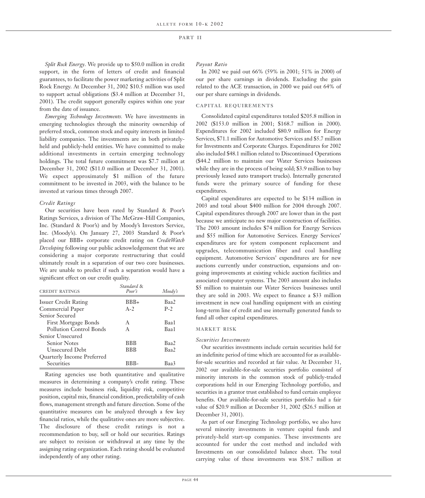*Split Rock Energy*. We provide up to \$50.0 million in credit support, in the form of letters of credit and financial guarantees, to facilitate the power marketing activities of Split Rock Energy. At December 31, 2002 \$10.5 million was used to support actual obligations (\$3.4 million at December 31, 2001). The credit support generally expires within one year from the date of issuance.

*Emerging Technology Investments.* We have investments in emerging technologies through the minority ownership of preferred stock, common stock and equity interests in limited liability companies. The investments are in both privatelyheld and publicly-held entities. We have committed to make additional investments in certain emerging technology holdings. The total future commitment was \$7.7 million at December 31, 2002 (\$11.0 million at December 31, 2001). We expect approximately \$1 million of the future commitment to be invested in 2003, with the balance to be invested at various times through 2007.

### *Credit Ratings*

Our securities have been rated by Standard & Poor's Ratings Services, a division of The McGraw-Hill Companies, Inc. (Standard & Poor's) and by Moody's Investors Service, Inc. (Moody's). On January 27, 2003 Standard & Poor's placed our BBB+ corporate credit rating on *CreditWatch Developing* following our public acknowledgement that we are considering a major corporate restructuring that could ultimately result in a separation of our two core businesses. We are unable to predict if such a separation would have a significant effect on our credit quality.

| <b>CREDIT RATINGS</b>       | Standard &<br>Poor's | Moody's |
|-----------------------------|----------------------|---------|
| <b>Issuer Credit Rating</b> | $BBB+$               | Baa2    |
| Commercial Paper            | $A-2$                | $P-2$   |
| Senior Secured              |                      |         |
| <b>First Mortgage Bonds</b> | A                    | Baa1    |
| Pollution Control Bonds     | A                    | Baa1    |
| Senior Unsecured            |                      |         |
| <b>Senior Notes</b>         | <b>BBB</b>           | Baa2    |
| Unsecured Debt              | <b>BBB</b>           | Baa2    |
| Quarterly Income Preferred  |                      |         |
| Securities                  |                      | Baa3    |

Rating agencies use both quantitative and qualitative measures in determining a company's credit rating. These measures include business risk, liquidity risk, competitive position, capital mix, financial condition, predictability of cash flows, management strength and future direction. Some of the quantitative measures can be analyzed through a few key financial ratios, while the qualitative ones are more subjective. The disclosure of these credit ratings is not a recommendation to buy, sell or hold our securities. Ratings are subject to revision or withdrawal at any time by the assigning rating organization. Each rating should be evaluated independently of any other rating.

#### *Payout Ratio*

In 2002 we paid out 66% (59% in 2001; 51% in 2000) of our per share earnings in dividends. Excluding the gain related to the ACE transaction, in 2000 we paid out 64% of our per share earnings in dividends.

## **CAPITAL REQUIREMENTS**

Consolidated capital expenditures totaled \$205.8 million in 2002 (\$153.0 million in 2001; \$168.7 million in 2000). Expenditures for 2002 included \$80.9 million for Energy Services, \$71.1 million for Automotive Services and \$5.7 million for Investments and Corporate Charges. Expenditures for 2002 also included \$48.1 million related to Discontinued Operations (\$44.2 million to maintain our Water Services businesses while they are in the process of being sold; \$3.9 million to buy previously leased auto transport trucks). Internally generated funds were the primary source of funding for these expenditures.

Capital expenditures are expected to be \$134 million in 2003 and total about \$400 million for 2004 through 2007. Capital expenditures through 2007 are lower than in the past because we anticipate no new major construction of facilities. The 2003 amount includes \$74 million for Energy Services and \$55 million for Automotive Services. Energy Services' expenditures are for system component replacement and upgrades, telecommunication fiber and coal handling equipment. Automotive Services' expenditures are for new auctions currently under construction, expansions and ongoing improvements at existing vehicle auction facilities and associated computer systems. The 2003 amount also includes \$5 million to maintain our Water Services businesses until they are sold in 2003. We expect to finance a \$33 million investment in new coal handling equipment with an existing long-term line of credit and use internally generated funds to fund all other capital expenditures.

## **MARKET RISK**

#### *Securities Investments*

Our securities investments include certain securities held for an indefinite period of time which are accounted for as availablefor-sale securities and recorded at fair value. At December 31, 2002 our available-for-sale securities portfolio consisted of minority interests in the common stock of publicly-traded corporations held in our Emerging Technology portfolio, and securities in a grantor trust established to fund certain employee benefits. Our available-for-sale securities portfolio had a fair value of \$20.9 million at December 31, 2002 (\$26.5 million at December 31, 2001).

As part of our Emerging Technology portfolio, we also have several minority investments in venture capital funds and privately-held start-up companies. These investments are accounted for under the cost method and included with Investments on our consolidated balance sheet. The total carrying value of these investments was \$38.7 million at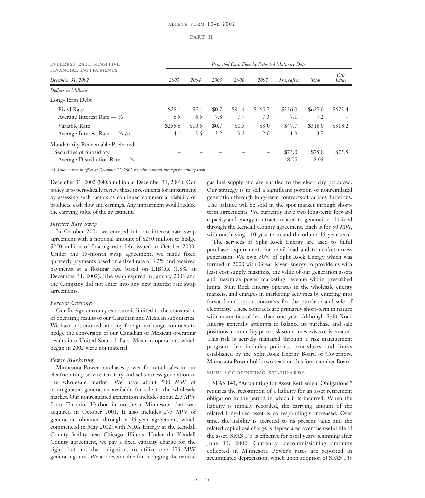| -------- |  | --- |  |
|----------|--|-----|--|
|          |  |     |  |

| <b>INTEREST RATE SENSITIVE</b>   |         | Principal Cash Flow by Expected Maturity Date |       |        |         |                   |         |         |
|----------------------------------|---------|-----------------------------------------------|-------|--------|---------|-------------------|---------|---------|
| <b>FINANCIAL INSTRUMENTS</b>     |         |                                               |       |        |         |                   |         | Fair    |
| December 31, 2002                | 2003    | 2004                                          | 2005  | 2006   | 2007    | <i>Thereafter</i> | Total   | Value   |
| Dollars in Millions              |         |                                               |       |        |         |                   |         |         |
| Long-Term Debt                   |         |                                               |       |        |         |                   |         |         |
| <b>Fixed Rate</b>                | \$28.1  | \$5.1                                         | \$0.7 | \$91.4 | \$165.7 | \$336.0           | \$627.0 | \$673.4 |
| Average Interest Rate — %        | 6.5     | 6.5                                           | 7.8   | 7.7    | 7.3     | 7.1               | 7.2     |         |
| Variable Rate                    | \$255.6 | \$10.5                                        | \$0.7 | \$0.5  | \$3.0   | \$47.7            | \$318.0 | \$318.2 |
| Average Interest Rate — $%$ (a)  | 4.1     | 3.5                                           | 3.2   | 3.2    | 2.0     | 1.9               | 3.7     |         |
| Mandatorily Redeemable Preferred |         |                                               |       |        |         |                   |         |         |
| Securities of Subsidiary         |         |                                               |       |        |         | \$75.0            | \$75.0  | \$75.5  |
| Average Distribution Rate — %    |         |                                               |       |        |         | 8.05              | 8.05    |         |

*(a) Assumes rate in effect at December 31, 2002 remains constant through remaining term.*

December 31, 2002 (\$40.6 million at December 31, 2001). Our policy is to periodically review these investments for impairment by assessing such factors as continued commercial viability of products, cash flow and earnings. Any impairment would reduce the carrying value of the investment.

# *Interest Rate Swap*

In October 2001 we entered into an interest rate swap agreement with a notional amount of \$250 million to hedge \$250 million of floating rate debt issued in October 2000. Under the 15-month swap agreement, we made fixed quarterly payments based on a fixed rate of 3.2% and received payments at a floating rate based on LIBOR (1.8% at December 31, 2002). The swap expired in January 2003 and the Company did not enter into any new interest rate swap agreements.

#### *Foreign Currency*

Our foreign currency exposure is limited to the conversion of operating results of our Canadian and Mexican subsidiaries. We have not entered into any foreign exchange contracts to hedge the conversion of our Canadian or Mexican operating results into United States dollars. Mexican operations which began in 2002 were not material.

#### *Power Marketing*

Minnesota Power purchases power for retail sales in our electric utility service territory and sells excess generation in the wholesale market. We have about 500 MW of nonregulated generation available for sale to the wholesale market. Our nonregulated generation includes about 225 MW from Taconite Harbor in northern Minnesota that was acquired in October 2001. It also includes 275 MW of generation obtained through a 15-year agreement, which commenced in May 2002, with NRG Energy at the Kendall County facility near Chicago, Illinois. Under the Kendall County agreement, we pay a fixed capacity charge for the right, but not the obligation, to utilize one 275 MW generating unit. We are responsible for arranging the natural

gas fuel supply and are entitled to the electricity produced. Our strategy is to sell a significant portion of nonregulated generation through long-term contracts of various durations. The balance will be sold in the spot market through shortterm agreements. We currently have two long-term forward capacity and energy contracts related to generation obtained through the Kendall County agreement. Each is for 50 MW, with one having a 10-year term and the other a 15-year term.

The services of Split Rock Energy are used to fulfill purchase requirements for retail load and to market excess generation. We own 50% of Split Rock Energy which was formed in 2000 with Great River Energy to provide us with least cost supply, maximize the value of our generation assets and maximize power marketing revenue within prescribed limits. Split Rock Energy operates in the wholesale energy markets, and engages in marketing activities by entering into forward and option contracts for the purchase and sale of electricity. These contracts are primarily short-term in nature with maturities of less than one year. Although Split Rock Energy generally attempts to balance its purchase and sale positions, commodity price risk sometimes exists or is created. This risk is actively managed through a risk management program that includes policies, procedures and limits established by the Split Rock Energy Board of Governors. Minnesota Power holds two seats on this four member Board.

#### **NEW ACCOUNTING STANDARDS**

SFAS 143, "Accounting for Asset Retirement Obligations," requires the recognition of a liability for an asset retirement obligation in the period in which it is incurred. When the liability is initially recorded, the carrying amount of the related long-lived asset is correspondingly increased. Over time, the liability is accreted to its present value and the related capitalized charge is depreciated over the useful life of the asset. SFAS 143 is effective for fiscal years beginning after June 15, 2002. Currently, decommissioning amounts collected in Minnesota Power's rates are reported in accumulated depreciation, which upon adoption of SFAS 143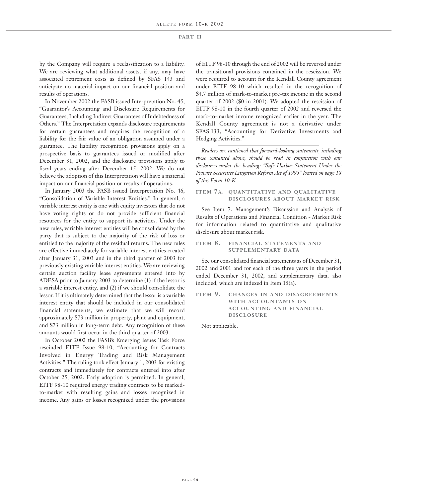by the Company will require a reclassification to a liability. We are reviewing what additional assets, if any, may have associated retirement costs as defined by SFAS 143 and anticipate no material impact on our financial position and results of operations.

In November 2002 the FASB issued Interpretation No. 45, "Guarantor's Accounting and Disclosure Requirements for Guarantees, Including Indirect Guarantees of Indebtedness of Others." The Interpretation expands disclosure requirements for certain guarantees and requires the recognition of a liability for the fair value of an obligation assumed under a guarantee. The liability recognition provisions apply on a prospective basis to guarantees issued or modified after December 31, 2002, and the disclosure provisions apply to fiscal years ending after December 15, 2002. We do not believe the adoption of this Interpretation will have a material impact on our financial position or results of operations.

In January 2003 the FASB issued Interpretation No. 46, "Consolidation of Variable Interest Entities." In general, a variable interest entity is one with equity investors that do not have voting rights or do not provide sufficient financial resources for the entity to support its activities. Under the new rules, variable interest entities will be consolidated by the party that is subject to the majority of the risk of loss or entitled to the majority of the residual returns. The new rules are effective immediately for variable interest entities created after January 31, 2003 and in the third quarter of 2003 for previously existing variable interest entities. We are reviewing certain auction facility lease agreements entered into by ADESA prior to January 2003 to determine (1) if the lessor is a variable interest entity, and (2) if we should consolidate the lessor. If it is ultimately determined that the lessor is a variable interest entity that should be included in our consolidated financial statements, we estimate that we will record approximately \$73 million in property, plant and equipment, and \$73 million in long-term debt. Any recognition of these amounts would first occur in the third quarter of 2003.

In October 2002 the FASB's Emerging Issues Task Force rescinded EITF Issue 98-10, "Accounting for Contracts Involved in Energy Trading and Risk Management Activities." The ruling took effect January 1, 2003 for existing contracts and immediately for contracts entered into after October 25, 2002. Early adoption is permitted. In general, EITF 98-10 required energy trading contracts to be markedto-market with resulting gains and losses recognized in income. Any gains or losses recognized under the provisions

of EITF 98-10 through the end of 2002 will be reversed under the transitional provisions contained in the rescission. We were required to account for the Kendall County agreement under EITF 98-10 which resulted in the recognition of \$4.7 million of mark-to-market pre-tax income in the second quarter of 2002 (\$0 in 2001). We adopted the rescission of EITF 98-10 in the fourth quarter of 2002 and reversed the mark-to-market income recognized earlier in the year. The Kendall County agreement is not a derivative under SFAS 133, "Accounting for Derivative Investments and Hedging Activities."

*Readers are cautioned that forward-looking statements, including those contained above, should be read in conjunction with our disclosures under the heading: "Safe Harbor Statement Under the Private Securities Litigation Reform Act of 1995" located on page 18 of this Form 10-K.*

# **ITEM 7A. QUANTITATIVE AND QUALITATIVE DISCLOSURES ABOUT MARKET RISK**

See Item 7. Management's Discussion and Analysis of Results of Operations and Financial Condition - Market Risk for information related to quantitative and qualitative disclosure about market risk.

#### **ITEM 8. FINANCIAL STATEMENTS AND SUPPLEMENTARY DATA**

See our consolidated financial statements as of December 31, 2002 and 2001 and for each of the three years in the period ended December 31, 2002, and supplementary data, also included, which are indexed in Item 15(a).

```
ITEM 9. CHANGES IN AND DISAGREEMENTS
WITH ACCOUNTANTS ON
ACCOUNTING AND FINANCIAL
DISCLOSURE
```
Not applicable.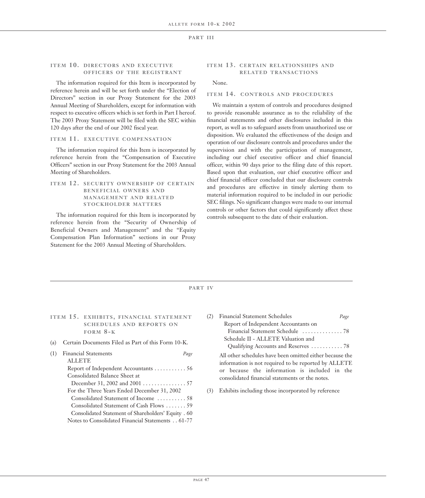# **ITEM 10. DIRECTORS AND EXECUTIVE OFFICERS OF THE REGISTRANT**

The information required for this Item is incorporated by reference herein and will be set forth under the "Election of Directors" section in our Proxy Statement for the 2003 Annual Meeting of Shareholders, except for information with respect to executive officers which is set forth in Part I hereof. The 2003 Proxy Statement will be filed with the SEC within 120 days after the end of our 2002 fiscal year.

#### **ITEM 11. EXECUTIVE COMPENSATION**

The information required for this Item is incorporated by reference herein from the "Compensation of Executive Officers" section in our Proxy Statement for the 2003 Annual Meeting of Shareholders.

# **ITEM 12. SECURITY OWNERSHIP OF CERTAIN BENEFICIAL OWNERS AND MANAGEMENT AND RELATED STOCKHOLDER MATTERS**

The information required for this Item is incorporated by reference herein from the "Security of Ownership of Beneficial Owners and Management" and the "Equity Compensation Plan Information" sections in our Proxy Statement for the 2003 Annual Meeting of Shareholders.

#### **ITEM 13. CERTAIN RELATIONSHIPS AND RELATED TRANSACTIONS**

None.

#### **ITEM 14. CONTROLS AND PROCEDURES**

We maintain a system of controls and procedures designed to provide reasonable assurance as to the reliability of the financial statements and other disclosures included in this report, as well as to safeguard assets from unauthorized use or disposition. We evaluated the effectiveness of the design and operation of our disclosure controls and procedures under the supervision and with the participation of management, including our chief executive officer and chief financial officer, within 90 days prior to the filing date of this report. Based upon that evaluation, our chief executive officer and chief financial officer concluded that our disclosure controls and procedures are effective in timely alerting them to material information required to be included in our periodic SEC filings. No significant changes were made to our internal controls or other factors that could significantly affect these controls subsequent to the date of their evaluation.

#### **PART IV**

# **ITEM 15. EXHIBITS, FINANCIAL STATEMENT SCHEDULES AND REPORTS ON FORM 8-K**

(a) Certain Documents Filed as Part of this Form 10-K.

| (1) | <b>Financial Statements</b>                         | Page |
|-----|-----------------------------------------------------|------|
|     | <b>ALLETE</b>                                       |      |
|     | Report of Independent Accountants 56                |      |
|     | Consolidated Balance Sheet at                       |      |
|     | December 31, 2002 and 2001 57                       |      |
|     | For the Three Years Ended December 31, 2002         |      |
|     | Consolidated Statement of Income  58                |      |
|     | Consolidated Statement of Cash Flows 59             |      |
|     | Consolidated Statement of Shareholders' Equity . 60 |      |
|     | Notes to Consolidated Financial Statements 61-77    |      |

| (2) | <b>Financial Statement Schedules</b>                     | Page |
|-----|----------------------------------------------------------|------|
|     | Report of Independent Accountants on                     |      |
|     |                                                          |      |
|     | Schedule II - ALLETE Valuation and                       |      |
|     |                                                          |      |
|     | All other schedules have been omitted either because the |      |
|     | information is not required to be reported by ALLETE     |      |
|     | or because the information is included in the            |      |
|     | consolidated financial statements or the notes.          |      |

(3) Exhibits including those incorporated by reference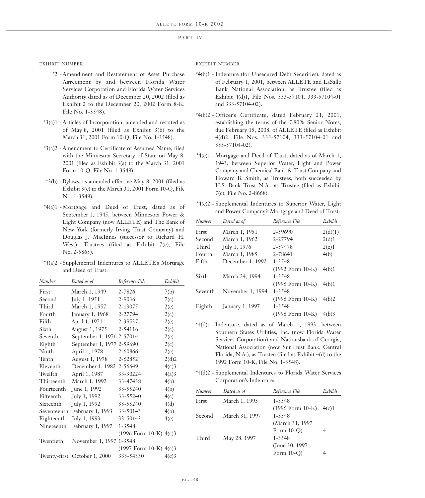#### EXHIBIT NUMBER

- \*2 Amendment and Restatement of Asset Purchase Agreement by and between Florida Water Services Corporation and Florida Water Services Authority dated as of December 20, 2002 (filed as Exhibit 2 to the December 20, 2002 Form 8-K, File No. 1-3548).
- \*3(a)1 Articles of Incorporation, amended and restated as of May 8, 2001 (filed as Exhibit 3(b) to the March 31, 2001 Form 10-Q, File No. 1-3548).
- \*3(a)2 Amendment to Certificate of Assumed Name, filed with the Minnesota Secretary of State on May 8, 2001 (filed as Exhibit 3(a) to the March 31, 2001 Form 10-Q, File No. 1-3548).
- \*3(b) Bylaws, as amended effective May 8, 2001 (filed as Exhibit 3(c) to the March 31, 2001 Form 10-Q, File No. 1-3548).
- \*4(a)1 Mortgage and Deed of Trust, dated as of September 1, 1945, between Minnesota Power & Light Company (now ALLETE) and The Bank of New York (formerly Irving Trust Company) and Douglas J. MacInnes (successor to Richard H. West), Trustees (filed as Exhibit 7(c), File No. 2-5865).
- \*4(a)2 Supplemental Indentures to ALLETE's Mortgage and Deed of Trust:

| Number       | Dated as of                  | Reference File             | Exhibit |
|--------------|------------------------------|----------------------------|---------|
| First        | March 1, 1949                | 2-7826                     | 7(b)    |
| Second       | July 1, 1951                 | 2-9036                     | 7(c)    |
| Third        | March 1, 1957                | 2-13075                    | 2(c)    |
| Fourth       | January 1, 1968              | 2-27794                    | 2(c)    |
| Fifth        | April 1, 1971                | 2-39537                    | 2(c)    |
| Sixth        | August 1, 1975               | 2-54116                    | 2(c)    |
| Seventh      | September 1, 1976 2-57014    |                            | 2(c)    |
| Eighth       | September 1, 1977 2-59690    |                            | 2(c)    |
| <b>Ninth</b> | April 1, 1978                | 2-60866                    | 2(c)    |
| Tenth        | August 1, 1978 2-62852       |                            | 2(d)2   |
| Eleventh     | December 1, 1982 2-56649     |                            | 4(a)3   |
| Twelfth      | April 1, 1987                | 33-30224                   | 4(a)3   |
| Thirteenth   | March 1, 1992                | 33-47438                   | 4(b)    |
| Fourteenth   | June 1, 1992                 | 33-55240                   | 4(b)    |
| Fifteenth    | July 1, 1992                 | 33-55240                   | 4(c)    |
| Sixteenth    | July 1, 1992                 | 33-55240                   | 4(d)    |
| Seventeenth  | February 1, 1993             | 33-50143                   | 4(b)    |
| Eighteenth   | July 1, 1993                 | 33-50143                   | 4(c)    |
| Nineteenth   | February 1, 1997             | $1 - 3548$                 |         |
|              |                              | $(1996$ Form 10-K) $4(a)3$ |         |
| Twentieth    | November 1, 1997             | $1 - 3548$                 |         |
|              |                              | $(1997$ Form 10-K) $4(a)3$ |         |
|              | Twenty-first October 1, 2000 | 333-54330                  | 4(c)3   |

## EXHIBIT NUMBER

- \*4(b)1 Indenture (for Unsecured Debt Securities), dated as of February 1, 2001, between ALLETE and LaSalle Bank National Association, as Trustee (filed as Exhibit 4(d)1, File Nos. 333-57104, 333-57104-01 and 333-57104-02).
- \*4(b)2 Officer's Certificate, dated February 21, 2001, establishing the terms of the 7.80% Senior Notes, due February 15, 2008, of ALLETE (filed as Exhibit 4(d)2, File Nos. 333-57104, 333-57104-01 and 333-57104-02).
- \*4(c)1 Mortgage and Deed of Trust, dated as of March 1, 1943, between Superior Water, Light and Power Company and Chemical Bank & Trust Company and Howard B. Smith, as Trustees, both succeeded by U.S. Bank Trust N.A., as Trustee (filed as Exhibit 7(c), File No. 2-8668).
- \*4(c)2 Supplemental Indentures to Superior Water, Light and Power Company's Mortgage and Deed of Trust:

| Number  | Dated as of      | Reference File         | Exhibit |
|---------|------------------|------------------------|---------|
| First   | March 1, 1951    | 2-59690                | 2(d)(1) |
| Second  | March 1, 1962    | 2-27794                | 2(d)1   |
| Third   | July 1, 1976     | 2-57478                | 2(e)1   |
| Fourth  | March 1, 1985    | 2-78641                | 4(b)    |
| Fifth   | December 1, 1992 | $1 - 3548$             |         |
|         |                  | $(1992)$ Form $10-K$ ) | 4(b)1   |
| Sixth   | March 24, 1994   | $1 - 3548$             |         |
|         |                  | $(1996$ Form $10-K$ )  | 4(b)1   |
| Seventh | November 1, 1994 | $1 - 3548$             |         |
|         |                  | $(1996$ Form $10-K$ )  | 4(b)2   |
| Eighth  | January 1, 1997  | 1-3548                 |         |
|         |                  | $(1996$ Form $10-K$ )  | 4(b)3   |

- \*4(d)1 Indenture, dated as of March 1, 1993, between Southern States Utilities, Inc. (now Florida Water Services Corporation) and Nationsbank of Georgia, National Association (now SunTrust Bank, Central Florida, N.A.), as Trustee (filed as Exhibit 4(d) to the 1992 Form 10-K, File No. 1-3548).
- \*4(d)2 Supplemental Indentures to Florida Water Services Corporation's Indenture:

| Number | Dated as of    | Reference File        | Exhibit |
|--------|----------------|-----------------------|---------|
| First  | March 1, 1993  | $1 - 3548$            |         |
|        |                | $(1996$ Form $10-K$ ) | 4(c)1   |
| Second | March 31, 1997 | $1 - 3548$            |         |
|        |                | (March 31, 1997)      |         |
|        |                | Form $10-Q$ )         |         |
| Third  | May 28, 1997   | $1 - 3548$            |         |
|        |                | (June 30, 1997)       |         |
|        |                | Form $10-O$ )         |         |
|        |                |                       |         |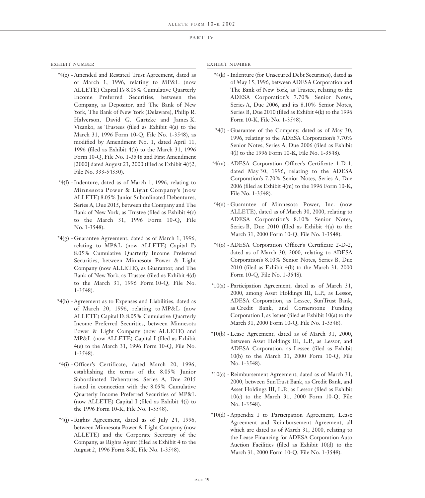EXHIBIT NUMBER

- \*4(e) Amended and Restated Trust Agreement, dated as of March 1, 1996, relating to MP&L (now ALLETE) Capital I's 8.05% Cumulative Quarterly Income Preferred Securities, between the Company, as Depositor, and The Bank of New York, The Bank of New York (Delaware), Philip R. Halverson, David G. Gartzke and James K. Vizanko, as Trustees (filed as Exhibit 4(a) to the March 31, 1996 Form 10-Q, File No. 1-3548), as modified by Amendment No. 1, dated April 11, 1996 (filed as Exhibit 4(b) to the March 31, 1996 Form 10-Q, File No. 1-3548 and First Amendment [2000] dated August 23, 2000 (filed as Exhibit 4(f)2, File No. 333-54330).
- \*4(f) Indenture, dated as of March 1, 1996, relating to Minnesota Power & Light Company's (now ALLETE) 8.05% Junior Subordinated Debentures, Series A, Due 2015, between the Company and The Bank of New York, as Trustee (filed as Exhibit 4(c) to the March 31, 1996 Form 10-Q, File No. 1-3548).
- \*4(g) Guarantee Agreement, dated as of March 1, 1996, relating to MP&L (now ALLETE) Capital I's 8.05% Cumulative Quarterly Income Preferred Securities, between Minnesota Power & Light Company (now ALLETE), as Guarantor, and The Bank of New York, as Trustee (filed as Exhibit 4(d) to the March 31, 1996 Form 10-Q, File No. 1-3548).
- \*4(h) Agreement as to Expenses and Liabilities, dated as of March 20, 1996, relating to MP&L (now ALLETE) Capital I's 8.05% Cumulative Quarterly Income Preferred Securities, between Minnesota Power & Light Company (now ALLETE) and MP&L (now ALLETE) Capital I (filed as Exhibit 4(e) to the March 31, 1996 Form 10-Q, File No. 1-3548).
- \*4(i) Officer's Certificate, dated March 20, 1996, establishing the terms of the 8.05% Junior Subordinated Debentures, Series A, Due 2015 issued in connection with the 8.05% Cumulative Quarterly Income Preferred Securities of MP&L (now ALLETE) Capital I (filed as Exhibit 4(i) to the 1996 Form 10-K, File No. 1-3548).
- \*4(j) Rights Agreement, dated as of July 24, 1996, between Minnesota Power & Light Company (now ALLETE) and the Corporate Secretary of the Company, as Rights Agent (filed as Exhibit 4 to the August 2, 1996 Form 8-K, File No. 1-3548).

EXHIBIT NUMBER

- \*4(k) Indenture (for Unsecured Debt Securities), dated as of May 15, 1996, between ADESA Corporation and The Bank of New York, as Trustee, relating to the ADESA Corporation's 7.70% Senior Notes, Series A, Due 2006, and its 8.10% Senior Notes, Series B, Due 2010 (filed as Exhibit 4(k) to the 1996 Form 10-K, File No. 1-3548).
- \*4(l) Guarantee of the Company, dated as of May 30, 1996, relating to the ADESA Corporation's 7.70% Senior Notes, Series A, Due 2006 (filed as Exhibit 4(l) to the 1996 Form 10-K, File No. 1-3548).
- \*4(m) ADESA Corporation Officer's Certificate 1-D-1, dated May 30, 1996, relating to the ADESA Corporation's 7.70% Senior Notes, Series A, Due 2006 (filed as Exhibit 4(m) to the 1996 Form 10-K, File No. 1-3548).
- \*4(n) Guarantee of Minnesota Power, Inc. (now ALLETE), dated as of March 30, 2000, relating to ADESA Corporation's 8.10% Senior Notes, Series B, Due 2010 (filed as Exhibit 4(a) to the March 31, 2000 Form 10-Q, File No. 1-3548).
- \*4(o) ADESA Corporation Officer's Certificate 2-D-2, dated as of March 30, 2000, relating to ADESA Corporation's 8.10% Senior Notes, Series B, Due 2010 (filed as Exhibit 4(b) to the March 31, 2000 Form 10-Q, File No. 1-3548).
- \*10(a) Participation Agreement, dated as of March 31, 2000, among Asset Holdings III, L.P., as Lessor, ADESA Corporation, as Lessee, SunTrust Bank, as Credit Bank, and Cornerstone Funding Corporation I, as Issuer (filed as Exhibit 10(a) to the March 31, 2000 Form 10-Q, File No. 1-3548).
- \*10(b) Lease Agreement, dated as of March 31, 2000, between Asset Holdings III, L.P., as Lessor, and ADESA Corporation, as Lessee (filed as Exhibit 10(b) to the March 31, 2000 Form 10-Q, File No. 1-3548).
- \*10(c) Reimbursement Agreement, dated as of March 31, 2000, between SunTrust Bank, as Credit Bank, and Asset Holdings III, L.P., as Lessor (filed as Exhibit 10(c) to the March 31, 2000 Form 10-Q, File No. 1-3548).
- \*10(d) Appendix I to Participation Agreement, Lease Agreement and Reimbursement Agreement, all which are dated as of March 31, 2000, relating to the Lease Financing for ADESA Corporation Auto Auction Facilities (filed as Exhibit 10(d) to the March 31, 2000 Form 10-Q, File No. 1-3548).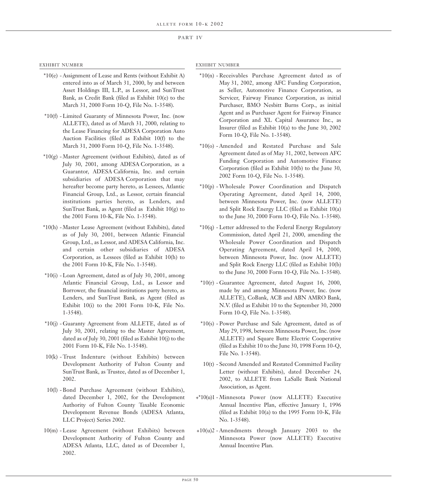#### EXHIBIT NUMBER

## EXHIBIT NUMBER

- \*10(e) Assignment of Lease and Rents (without Exhibit A) entered into as of March 31, 2000, by and between Asset Holdings III, L.P., as Lessor, and SunTrust Bank, as Credit Bank (filed as Exhibit 10(e) to the March 31, 2000 Form 10-Q, File No. 1-3548).
- \*10(f) Limited Guaranty of Minnesota Power, Inc. (now ALLETE), dated as of March 31, 2000, relating to the Lease Financing for ADESA Corporation Auto Auction Facilities (filed as Exhibit 10(f) to the March 31, 2000 Form 10-Q, File No. 1-3548).
- $*10$ (g) Master Agreement (without Exhibits), dated as of July 30, 2001, among ADESA Corporation, as a Guarantor, ADESA California, Inc. and certain subsidiaries of ADESA Corporation that may hereafter become party hereto, as Lessees, Atlantic Financial Group, Ltd., as Lessor, certain financial institutions parties hereto, as Lenders, and SunTrust Bank, as Agent (filed as Exhibit  $10<sub>(g)</sub>$  to the 2001 Form 10-K, File No. 1-3548).
- \*10(h) Master Lease Agreement (without Exhibits), dated as of July 30, 2001, between Atlantic Financial Group, Ltd., as Lessor, and ADESA California, Inc. and certain other subsidiaries of ADESA Corporation, as Lessees (filed as Exhibit 10(h) to the 2001 Form 10-K, File No. 1-3548).
- \*10(i) Loan Agreement, dated as of July 30, 2001, among Atlantic Financial Group, Ltd., as Lessor and Borrower, the financial institutions party hereto, as Lenders, and SunTrust Bank, as Agent (filed as Exhibit 10(i) to the 2001 Form 10-K, File No. 1-3548).
- \*10(j) Guaranty Agreement from ALLETE, dated as of July 30, 2001, relating to the Master Agreement, dated as of July 30, 2001 (filed as Exhibit 10(j) to the 2001 Form 10-K, File No. 1-3548).
- 10(k) Trust Indenture (without Exhibits) between Development Authority of Fulton County and SunTrust Bank, as Trustee, dated as of December 1, 2002.
- 10(l) Bond Purchase Agreement (without Exhibits), dated December 1, 2002, for the Development Authority of Fulton County Taxable Economic Development Revenue Bonds (ADESA Atlanta, LLC Project) Series 2002.
- 10(m) Lease Agreement (without Exhibits) between Development Authority of Fulton County and ADESA Atlanta, LLC, dated as of December 1, 2002.
- \*10(n) Receivables Purchase Agreement dated as of May 31, 2002, among AFC Funding Corporation, as Seller, Automotive Finance Corporation, as Servicer, Fairway Finance Corporation, as initial Purchaser, BMO Nesbitt Burns Corp., as initial Agent and as Purchaser Agent for Fairway Finance Corporation and XL Capital Assurance Inc., as Insurer (filed as Exhibit 10(a) to the June 30, 2002 Form 10-Q, File No. 1-3548).
- \*10(o) Amended and Restated Purchase and Sale Agreement dated as of May 31, 2002, between AFC Funding Corporation and Automotive Finance Corporation (filed as Exhibit 10(b) to the June 30, 2002 Form 10-Q, File No. 1-3548).
- \*10(p) Wholesale Power Coordination and Dispatch Operating Agreement, dated April 14, 2000, between Minnesota Power, Inc. (now ALLETE) and Split Rock Energy LLC (filed as Exhibit 10(a) to the June 30, 2000 Form 10-Q, File No. 1-3548).
- $*10(q)$  Letter addressed to the Federal Energy Regulatory Commission, dated April 21, 2000, amending the Wholesale Power Coordination and Dispatch Operating Agreement, dated April 14, 2000, between Minnesota Power, Inc. (now ALLETE) and Split Rock Energy LLC (filed as Exhibit 10(b) to the June 30, 2000 Form 10-Q, File No. 1-3548).
- \*10(r) Guarantee Agreement, dated August 16, 2000, made by and among Minnesota Power, Inc. (now ALLETE), CoBank, ACB and ABN AMRO Bank, N.V. (filed as Exhibit 10 to the September 30, 2000 Form 10-Q, File No. 1-3548).
- \*10(s) Power Purchase and Sale Agreement, dated as of May 29, 1998, between Minnesota Power, Inc. (now ALLETE) and Square Butte Electric Cooperative (filed as Exhibit 10 to the June 30, 1998 Form 10-Q, File No. 1-3548).
- 10(t) Second Amended and Restated Committed Facility Letter (without Exhibits), dated December 24, 2002, to ALLETE from LaSalle Bank National Association, as Agent.
- +\*10(u)1 Minnesota Power (now ALLETE) Executive Annual Incentive Plan, effective January 1, 1996 (filed as Exhibit 10(a) to the 1995 Form 10-K, File No. 1-3548).
- +10(u)2 Amendments through January 2003 to the Minnesota Power (now ALLETE) Executive Annual Incentive Plan.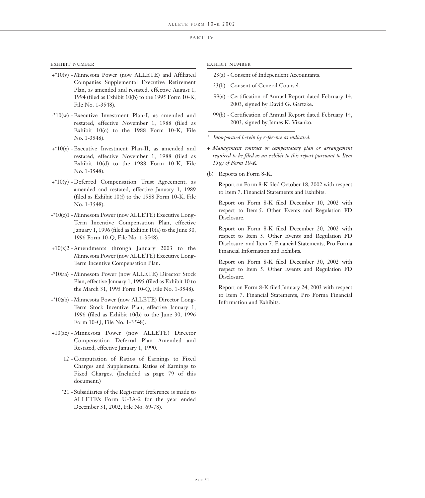#### EXHIBIT NUMBER

- +\*10(v) Minnesota Power (now ALLETE) and Affiliated Companies Supplemental Executive Retirement Plan, as amended and restated, effective August 1, 1994 (filed as Exhibit 10(b) to the 1995 Form 10-K, File No. 1-3548).
- +\*10(w) Executive Investment Plan-I, as amended and restated, effective November 1, 1988 (filed as Exhibit 10(c) to the 1988 Form 10-K, File No. 1-3548).
- +\*10(x) -Executive Investment Plan-II, as amended and restated, effective November 1, 1988 (filed as Exhibit 10(d) to the 1988 Form 10-K, File No. 1-3548).
- +\*10(y) Deferred Compensation Trust Agreement, as amended and restated, effective January 1, 1989 (filed as Exhibit 10(f) to the 1988 Form 10-K, File No. 1-3548).
- +\*10(z)1 Minnesota Power (now ALLETE) Executive Long-Term Incentive Compensation Plan, effective January 1, 1996 (filed as Exhibit 10(a) to the June 30, 1996 Form 10-Q, File No. 1-3548).
- +10(z)2 Amendments through January 2003 to the Minnesota Power (now ALLETE) Executive Long-Term Incentive Compensation Plan.
- +\*10(aa) Minnesota Power (now ALLETE) Director Stock Plan, effective January 1, 1995 (filed as Exhibit 10 to the March 31, 1995 Form 10-Q, File No. 1-3548).
- +\*10(ab) Minnesota Power (now ALLETE) Director Long-Term Stock Incentive Plan, effective January 1, 1996 (filed as Exhibit 10(b) to the June 30, 1996 Form 10-Q, File No. 1-3548).
- +10(ac) Minnesota Power (now ALLETE) Director Compensation Deferral Plan Amended and Restated, effective January 1, 1990.
	- 12 Computation of Ratios of Earnings to Fixed Charges and Supplemental Ratios of Earnings to Fixed Charges. (Included as page 79 of this document.)
	- \*21 Subsidiaries of the Registrant (reference is made to ALLETE's Form U-3A-2 for the year ended December 31, 2002, File No. 69-78).

EXHIBIT NUMBER

- 23(a) Consent of Independent Accountants.
- 23(b) Consent of General Counsel.
- 99(a) Certification of Annual Report dated February 14, 2003, signed by David G. Gartzke.
- 99(b) Certification of Annual Report dated February 14, 2003, signed by James K. Vizanko.

*\* Incorporated herein by reference as indicated.*

- *+ Management contract or compensatory plan or arrangement required to be filed as an exhibit to this report pursuant to Item 15(c) of Form 10-K.*
- (b) Reports on Form 8-K.

Report on Form 8-K filed October 18, 2002 with respect to Item 7. Financial Statements and Exhibits.

Report on Form 8-K filed December 10, 2002 with respect to Item 5. Other Events and Regulation FD Disclosure.

Report on Form 8-K filed December 20, 2002 with respect to Item 5. Other Events and Regulation FD Disclosure, and Item 7. Financial Statements, Pro Forma Financial Information and Exhibits.

Report on Form 8-K filed December 30, 2002 with respect to Item 5. Other Events and Regulation FD Disclosure.

Report on Form 8-K filed January 24, 2003 with respect to Item 7. Financial Statements, Pro Forma Financial Information and Exhibits.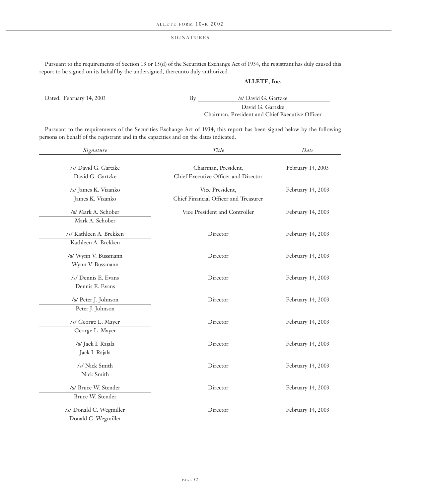# **SIGNATURES**

Pursuant to the requirements of Section 13 or 15(d) of the Securities Exchange Act of 1934, the registrant has duly caused this report to be signed on its behalf by the undersigned, thereunto duly authorized.

# **ALLETE, Inc.**

Dated: February 14, 2003 By /s/ David G. Gartzke David G. Gartzke Chairman, President and Chief Executive Officer

Pursuant to the requirements of the Securities Exchange Act of 1934, this report has been signed below by the following persons on behalf of the registrant and in the capacities and on the dates indicated.

| Signature               | Title                                 | Date              |
|-------------------------|---------------------------------------|-------------------|
| /s/ David G. Gartzke    | Chairman, President,                  | February 14, 2003 |
| David G. Gartzke        | Chief Executive Officer and Director  |                   |
|                         |                                       |                   |
| /s/ James K. Vizanko    | Vice President,                       | February 14, 2003 |
| James K. Vizanko        | Chief Financial Officer and Treasurer |                   |
| /s/ Mark A. Schober     | Vice President and Controller         | February 14, 2003 |
| Mark A. Schober         |                                       |                   |
| /s/ Kathleen A. Brekken | Director                              | February 14, 2003 |
| Kathleen A. Brekken     |                                       |                   |
| /s/ Wynn V. Bussmann    | Director                              | February 14, 2003 |
| Wynn V. Bussmann        |                                       |                   |
| /s/ Dennis E. Evans     | Director                              | February 14, 2003 |
| Dennis E. Evans         |                                       |                   |
| /s/ Peter J. Johnson    | Director                              | February 14, 2003 |
| Peter J. Johnson        |                                       |                   |
| /s/ George L. Mayer     | Director                              | February 14, 2003 |
| George L. Mayer         |                                       |                   |
| /s/ Jack I. Rajala      | Director                              | February 14, 2003 |
| Jack I. Rajala          |                                       |                   |
| /s/ Nick Smith          | Director                              | February 14, 2003 |
| Nick Smith              |                                       |                   |
| /s/ Bruce W. Stender    | Director                              | February 14, 2003 |
| Bruce W. Stender        |                                       |                   |
| /s/ Donald C. Wegmiller | Director                              | February 14, 2003 |
| Donald C. Wegmiller     |                                       |                   |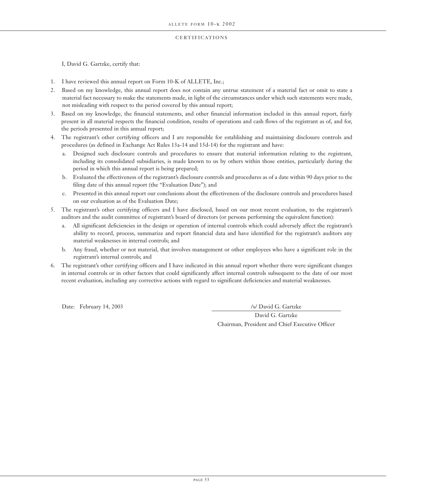# **CERTIFICATIONS**

I, David G. Gartzke, certify that:

- 1. I have reviewed this annual report on Form 10-K of ALLETE, Inc.;
- 2. Based on my knowledge, this annual report does not contain any untrue statement of a material fact or omit to state a material fact necessary to make the statements made, in light of the circumstances under which such statements were made, not misleading with respect to the period covered by this annual report;
- 3. Based on my knowledge, the financial statements, and other financial information included in this annual report, fairly present in all material respects the financial condition, results of operations and cash flows of the registrant as of, and for, the periods presented in this annual report;
- 4. The registrant's other certifying officers and I are responsible for establishing and maintaining disclosure controls and procedures (as defined in Exchange Act Rules 13a-14 and 15d-14) for the registrant and have:
	- a. Designed such disclosure controls and procedures to ensure that material information relating to the registrant, including its consolidated subsidiaries, is made known to us by others within those entities, particularly during the period in which this annual report is being prepared;
	- b. Evaluated the effectiveness of the registrant's disclosure controls and procedures as of a date within 90 days prior to the filing date of this annual report (the "Evaluation Date"); and
	- c. Presented in this annual report our conclusions about the effectiveness of the disclosure controls and procedures based on our evaluation as of the Evaluation Date;
- 5. The registrant's other certifying officers and I have disclosed, based on our most recent evaluation, to the registrant's auditors and the audit committee of registrant's board of directors (or persons performing the equivalent function):
	- a. All significant deficiencies in the design or operation of internal controls which could adversely affect the registrant's ability to record, process, summarize and report financial data and have identified for the registrant's auditors any material weaknesses in internal controls; and
	- b. Any fraud, whether or not material, that involves management or other employees who have a significant role in the registrant's internal controls; and
- 6. The registrant's other certifying officers and I have indicated in this annual report whether there were significant changes in internal controls or in other factors that could significantly affect internal controls subsequent to the date of our most recent evaluation, including any corrective actions with regard to significant deficiencies and material weaknesses.

Date: February 14, 2003 /s/ David G. Gartzke

David G. Gartzke Chairman, President and Chief Executive Officer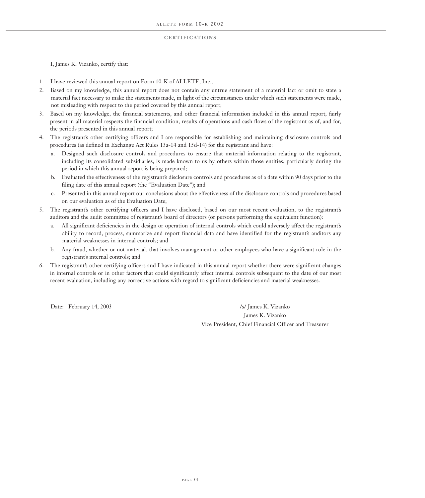# **CERTIFICATIONS**

I, James K. Vizanko, certify that:

- 1. I have reviewed this annual report on Form 10-K of ALLETE, Inc.;
- 2. Based on my knowledge, this annual report does not contain any untrue statement of a material fact or omit to state a material fact necessary to make the statements made, in light of the circumstances under which such statements were made, not misleading with respect to the period covered by this annual report;
- 3. Based on my knowledge, the financial statements, and other financial information included in this annual report, fairly present in all material respects the financial condition, results of operations and cash flows of the registrant as of, and for, the periods presented in this annual report;
- 4. The registrant's other certifying officers and I are responsible for establishing and maintaining disclosure controls and procedures (as defined in Exchange Act Rules 13a-14 and 15d-14) for the registrant and have:
	- a. Designed such disclosure controls and procedures to ensure that material information relating to the registrant, including its consolidated subsidiaries, is made known to us by others within those entities, particularly during the period in which this annual report is being prepared;
	- b. Evaluated the effectiveness of the registrant's disclosure controls and procedures as of a date within 90 days prior to the filing date of this annual report (the "Evaluation Date"); and
	- c. Presented in this annual report our conclusions about the effectiveness of the disclosure controls and procedures based on our evaluation as of the Evaluation Date;
- 5. The registrant's other certifying officers and I have disclosed, based on our most recent evaluation, to the registrant's auditors and the audit committee of registrant's board of directors (or persons performing the equivalent function):
	- a. All significant deficiencies in the design or operation of internal controls which could adversely affect the registrant's ability to record, process, summarize and report financial data and have identified for the registrant's auditors any material weaknesses in internal controls; and
	- b. Any fraud, whether or not material, that involves management or other employees who have a significant role in the registrant's internal controls; and
- 6. The registrant's other certifying officers and I have indicated in this annual report whether there were significant changes in internal controls or in other factors that could significantly affect internal controls subsequent to the date of our most recent evaluation, including any corrective actions with regard to significant deficiencies and material weaknesses.

Date: February 14, 2003 /s/ James K. Vizanko

James K. Vizanko Vice President, Chief Financial Officer and Treasurer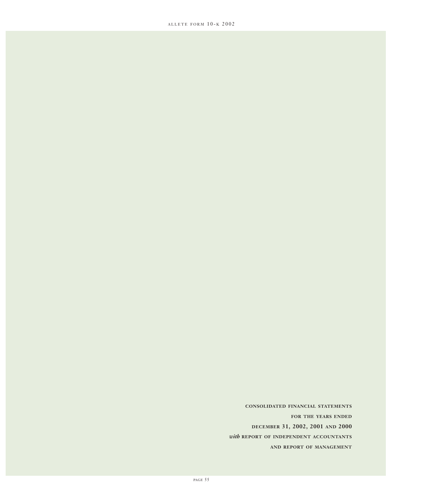**CONSOLIDATED FINANCIAL STATEMENTS FOR THE YEARS ENDED DECEMBER 31, 2002, 2001 AND 2000** *with* **REPORT OF INDEPENDENT ACCOUNTANTS AND REPORT OF MANAGEMENT**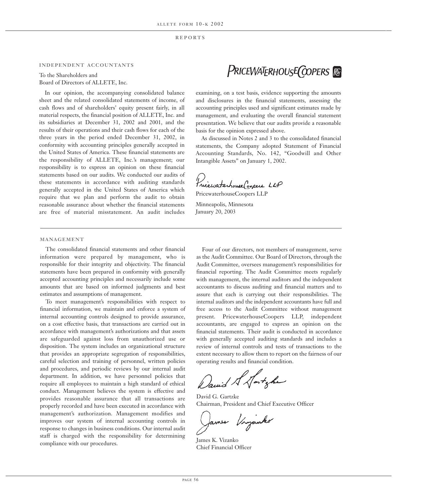#### **REPORTS**

### **INDEPENDENT ACCOUNTANTS**

# To the Shareholders and Board of Directors of ALLETE, Inc.

In our opinion, the accompanying consolidated balance sheet and the related consolidated statements of income, of cash flows and of shareholders' equity present fairly, in all material respects, the financial position of ALLETE, Inc. and its subsidiaries at December 31, 2002 and 2001, and the results of their operations and their cash flows for each of the three years in the period ended December 31, 2002, in conformity with accounting principles generally accepted in the United States of America. These financial statements are the responsibility of ALLETE, Inc.'s management; our responsibility is to express an opinion on these financial statements based on our audits. We conducted our audits of these statements in accordance with auditing standards generally accepted in the United States of America which require that we plan and perform the audit to obtain reasonable assurance about whether the financial statements are free of material misstatement. An audit includes

# PRICEWATERHOUSE COPERS

examining, on a test basis, evidence supporting the amounts and disclosures in the financial statements, assessing the accounting principles used and significant estimates made by management, and evaluating the overall financial statement presentation. We believe that our audits provide a reasonable basis for the opinion expressed above.

As discussed in Notes 2 and 3 to the consolidated financial statements, the Company adopted Statement of Financial Accounting Standards, No. 142, "Goodwill and Other Intangible Assets" on January 1, 2002.

Princewaterhouse Coopers LLP

PricewaterhouseCoopers LLP

Minneapolis, Minnesota January 20, 2003

# **MANAGEMENT**

The consolidated financial statements and other financial information were prepared by management, who is responsible for their integrity and objectivity. The financial statements have been prepared in conformity with generally accepted accounting principles and necessarily include some amounts that are based on informed judgments and best estimates and assumptions of management.

To meet management's responsibilities with respect to financial information, we maintain and enforce a system of internal accounting controls designed to provide assurance, on a cost effective basis, that transactions are carried out in accordance with management's authorizations and that assets are safeguarded against loss from unauthorized use or disposition. The system includes an organizational structure that provides an appropriate segregation of responsibilities, careful selection and training of personnel, written policies and procedures, and periodic reviews by our internal audit department. In addition, we have personnel policies that require all employees to maintain a high standard of ethical conduct. Management believes the system is effective and provides reasonable assurance that all transactions are properly recorded and have been executed in accordance with management's authorization. Management modifies and improves our system of internal accounting controls in response to changes in business conditions. Our internal audit staff is charged with the responsibility for determining compliance with our procedures.

Four of our directors, not members of management, serve as the Audit Committee. Our Board of Directors, through the Audit Committee, oversees management's responsibilities for financial reporting. The Audit Committee meets regularly with management, the internal auditors and the independent accountants to discuss auditing and financial matters and to assure that each is carrying out their responsibilities. The internal auditors and the independent accountants have full and free access to the Audit Committee without management present. PricewaterhouseCoopers LLP, independent accountants, are engaged to express an opinion on the financial statements. Their audit is conducted in accordance with generally accepted auditing standards and includes a review of internal controls and tests of transactions to the extent necessary to allow them to report on the fairness of our operating results and financial condition.

David A Sortghe

David G. Gartzke Chairman, President and Chief Executive Officer

James Virganko

James K. Vizanko Chief Financial Officer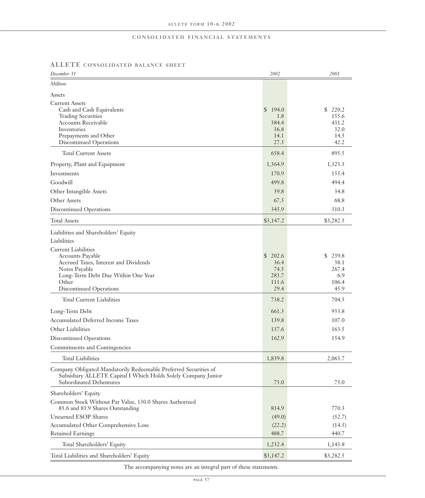# **ALLETE CONSOLIDATED BALANCE SHEET**

| December 31                                                                                                                                                                                      | 2002                                                | 2001                                                  |
|--------------------------------------------------------------------------------------------------------------------------------------------------------------------------------------------------|-----------------------------------------------------|-------------------------------------------------------|
| <b>Millions</b>                                                                                                                                                                                  |                                                     |                                                       |
| Assets                                                                                                                                                                                           |                                                     |                                                       |
| <b>Current Assets</b><br>Cash and Cash Equivalents<br><b>Trading Securities</b><br><b>Accounts Receivable</b><br>Inventories<br>Prepayments and Other<br><b>Discontinued Operations</b>          | \$<br>194.0<br>1.8<br>384.4<br>36.8<br>14.1<br>27.3 | \$<br>220.2<br>155.6<br>431.2<br>32.0<br>14.3<br>42.2 |
| <b>Total Current Assets</b>                                                                                                                                                                      | 658.4                                               | 895.5                                                 |
| Property, Plant and Equipment                                                                                                                                                                    | 1,364.9                                             | 1,323.3                                               |
| Investments                                                                                                                                                                                      | 170.9                                               | 155.4                                                 |
| Goodwill                                                                                                                                                                                         | 499.8                                               | 494.4                                                 |
| Other Intangible Assets                                                                                                                                                                          | 39.8                                                | 34.8                                                  |
| Other Assets                                                                                                                                                                                     | 67.5                                                | 68.8                                                  |
| <b>Discontinued Operations</b>                                                                                                                                                                   | 345.9                                               | 310.3                                                 |
| <b>Total Assets</b>                                                                                                                                                                              | \$3,147.2                                           | \$3,282.5                                             |
| Liabilities and Shareholders' Equity<br>Liabilities                                                                                                                                              |                                                     |                                                       |
| <b>Current Liabilities</b><br><b>Accounts Payable</b><br>Accrued Taxes, Interest and Dividends<br>Notes Payable<br>Long-Term Debt Due Within One Year<br>Other<br><b>Discontinued Operations</b> | \$202.6<br>36.4<br>74.5<br>283.7<br>111.6<br>29.4   | S<br>239.8<br>38.1<br>267.4<br>6.9<br>106.4<br>45.9   |
| <b>Total Current Liabilities</b>                                                                                                                                                                 | 738.2                                               | 704.5                                                 |
| Long-Term Debt                                                                                                                                                                                   | 661.3                                               | 933.8                                                 |
| <b>Accumulated Deferred Income Taxes</b>                                                                                                                                                         | 139.8                                               | 107.0                                                 |
| Other Liabilities                                                                                                                                                                                | 137.6                                               | 163.5                                                 |
| <b>Discontinued Operations</b>                                                                                                                                                                   | 162.9                                               | 154.9                                                 |
| Commitments and Contingencies                                                                                                                                                                    |                                                     |                                                       |
| <b>Total Liabilities</b>                                                                                                                                                                         | 1,839.8                                             | 2,063.7                                               |
| Company Obligated Mandatorily Redeemable Preferred Securities of<br>Subsidiary ALLETE Capital I Which Holds Solely Company Junior<br>Subordinated Debentures                                     | 75.0                                                | 75.0                                                  |
| Shareholders' Equity                                                                                                                                                                             |                                                     |                                                       |
| Common Stock Without Par Value, 130.0 Shares Authorized<br>85.6 and 83.9 Shares Outstanding                                                                                                      | 814.9                                               | 770.3                                                 |
| Unearned ESOP Shares                                                                                                                                                                             | (49.0)                                              | (52.7)                                                |
| Accumulated Other Comprehensive Loss                                                                                                                                                             | (22.2)                                              | (14.5)                                                |
| <b>Retained Earnings</b>                                                                                                                                                                         | 488.7                                               | 440.7                                                 |
| Total Shareholders' Equity                                                                                                                                                                       | 1,232.4                                             | 1,143.8                                               |
| Total Liabilities and Shareholders' Equity                                                                                                                                                       | \$3,147.2                                           | \$3,282.5                                             |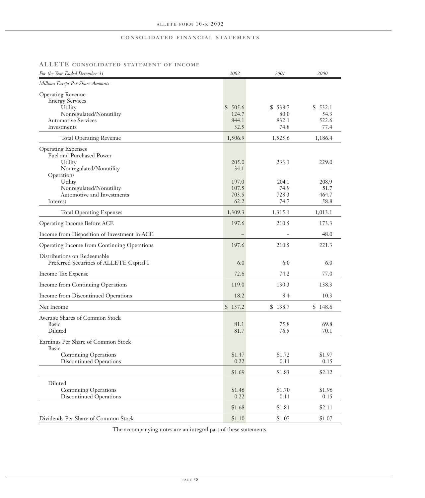# **ALLETE CONSOLIDATED STATEMENT OF INCOME**

| For the Year Ended December 31                                                                                                                                                            | 2002                                             | 2001                                    | <i>2000</i>                             |
|-------------------------------------------------------------------------------------------------------------------------------------------------------------------------------------------|--------------------------------------------------|-----------------------------------------|-----------------------------------------|
| Millions Except Per Share Amounts                                                                                                                                                         |                                                  |                                         |                                         |
| <b>Operating Revenue</b><br><b>Energy Services</b><br>Utility<br>Nonregulated/Nonutility<br><b>Automotive Services</b><br>Investments                                                     | \$505.6<br>124.7<br>844.1<br>32.5                | \$538.7<br>80.0<br>832.1<br>74.8        | \$532.1<br>54.3<br>522.6<br>77.4        |
| <b>Total Operating Revenue</b>                                                                                                                                                            | 1,506.9                                          | 1,525.6                                 | 1,186.4                                 |
| <b>Operating Expenses</b><br>Fuel and Purchased Power<br>Utility<br>Nonregulated/Nonutility<br>Operations<br>Utility<br>Nonregulated/Nonutility<br>Automotive and Investments<br>Interest | 205.0<br>34.1<br>197.0<br>107.5<br>703.5<br>62.2 | 233.1<br>204.1<br>74.9<br>728.3<br>74.7 | 229.0<br>208.9<br>51.7<br>464.7<br>58.8 |
| <b>Total Operating Expenses</b>                                                                                                                                                           | 1,309.3                                          | 1,315.1                                 | 1,013.1                                 |
| Operating Income Before ACE                                                                                                                                                               | 197.6                                            | 210.5                                   | 173.3                                   |
| Income from Disposition of Investment in ACE                                                                                                                                              |                                                  |                                         | 48.0                                    |
| Operating Income from Continuing Operations                                                                                                                                               | 197.6                                            | 210.5                                   | 221.3                                   |
| Distributions on Redeemable<br>Preferred Securities of ALLETE Capital I                                                                                                                   | 6.0                                              | 6.0                                     | 6.0                                     |
| Income Tax Expense                                                                                                                                                                        | 72.6                                             | 74.2                                    | 77.0                                    |
| Income from Continuing Operations                                                                                                                                                         | 119.0                                            | 130.3                                   | 138.3                                   |
| Income from Discontinued Operations                                                                                                                                                       | 18.2                                             | 8.4                                     | 10.3                                    |
| Net Income                                                                                                                                                                                | \$137.2                                          | \$138.7                                 | \$148.6                                 |
| Average Shares of Common Stock<br><b>Basic</b><br>Diluted                                                                                                                                 | 81.1<br>81.7                                     | 75.8<br>76.5                            | 69.8<br>70.1                            |
| Earnings Per Share of Common Stock<br><b>Basic</b><br><b>Continuing Operations</b><br><b>Discontinued Operations</b>                                                                      | \$1.47<br>0.22                                   | \$1.72<br>0.11                          | \$1.97<br>0.15                          |
|                                                                                                                                                                                           | \$1.69                                           | \$1.83                                  | \$2.12                                  |
| Diluted<br><b>Continuing Operations</b><br><b>Discontinued Operations</b>                                                                                                                 | \$1.46<br>0.22                                   | \$1.70<br>0.11                          | \$1.96<br>0.15                          |
|                                                                                                                                                                                           | \$1.68                                           | \$1.81                                  | \$2.11                                  |
| Dividends Per Share of Common Stock                                                                                                                                                       | \$1.10                                           | \$1.07                                  | \$1.07                                  |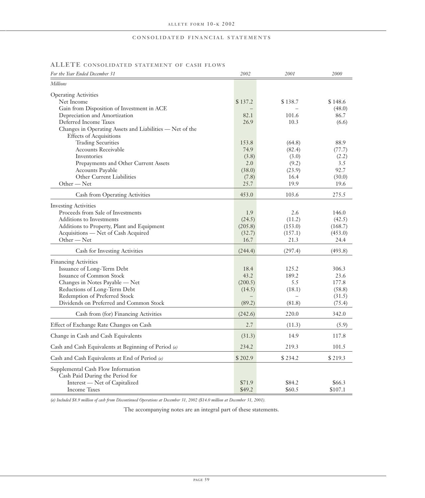# **ALLETE CONSOLIDATED STATEMENT OF CASH FLOWS**

| For the Year Ended December 31                           | 2002    | 2001    | 2000    |
|----------------------------------------------------------|---------|---------|---------|
| <i>Millions</i>                                          |         |         |         |
| <b>Operating Activities</b>                              |         |         |         |
| Net Income                                               | \$137.2 | \$138.7 | \$148.6 |
| Gain from Disposition of Investment in ACE               |         |         | (48.0)  |
| Depreciation and Amortization                            | 82.1    | 101.6   | 86.7    |
| Deferred Income Taxes                                    | 26.9    | 10.3    | (6.6)   |
| Changes in Operating Assets and Liabilities - Net of the |         |         |         |
| <b>Effects</b> of Acquisitions                           |         |         |         |
| <b>Trading Securities</b>                                | 153.8   | (64.8)  | 88.9    |
| <b>Accounts Receivable</b>                               | 74.9    | (82.4)  | (77.7)  |
| Inventories                                              | (3.8)   | (3.0)   | (2.2)   |
| Prepayments and Other Current Assets                     | 2.0     | (9.2)   | 3.5     |
| Accounts Payable                                         | (38.0)  | (23.9)  | 92.7    |
| Other Current Liabilities                                | (7.8)   | 16.4    | (30.0)  |
| Other - Net                                              | 25.7    | 19.9    | 19.6    |
| <b>Cash from Operating Activities</b>                    | 453.0   | 103.6   | 275.5   |
|                                                          |         |         |         |
| <b>Investing Activities</b>                              |         |         |         |
| Proceeds from Sale of Investments                        | 1.9     | 2.6     | 146.0   |
| <b>Additions to Investments</b>                          | (24.5)  | (11.2)  | (42.5)  |
| Additions to Property, Plant and Equipment               | (205.8) | (153.0) | (168.7) |
| Acquisitions — Net of Cash Acquired                      | (32.7)  | (157.1) | (453.0) |
| $Other - Net$                                            | 16.7    | 21.3    | 24.4    |
| Cash for Investing Activities                            | (244.4) | (297.4) | (493.8) |
| <b>Financing Activities</b>                              |         |         |         |
| Issuance of Long-Term Debt                               | 18.4    | 125.2   | 306.3   |
| <b>Issuance of Common Stock</b>                          | 43.2    | 189.2   | 23.6    |
| Changes in Notes Payable - Net                           | (200.5) | 5.5     | 177.8   |
| Reductions of Long-Term Debt                             | (14.5)  | (18.1)  | (58.8)  |
| Redemption of Preferred Stock                            |         |         | (31.5)  |
| Dividends on Preferred and Common Stock                  | (89.2)  | (81.8)  | (75.4)  |
| Cash from (for) Financing Activities                     | (242.6) | 220.0   | 342.0   |
| Effect of Exchange Rate Changes on Cash                  | 2.7     | (11.3)  | (5.9)   |
| Change in Cash and Cash Equivalents                      | (31.3)  | 14.9    | 117.8   |
| Cash and Cash Equivalents at Beginning of Period (a)     | 234.2   | 219.3   | 101.5   |
|                                                          |         |         |         |
| Cash and Cash Equivalents at End of Period (a)           | \$202.9 | \$234.2 | \$219.3 |
| Supplemental Cash Flow Information                       |         |         |         |
| Cash Paid During the Period for                          |         |         |         |
| Interest — Net of Capitalized                            | \$71.9  | \$84.2  | \$66.3  |
| Income Taxes                                             | \$49.2  | \$60.5  | \$107.1 |

*(a) Included \$8.9 million of cash from Discontinued Operations at December 31, 2002 (\$14.0 million at December 31, 2001).*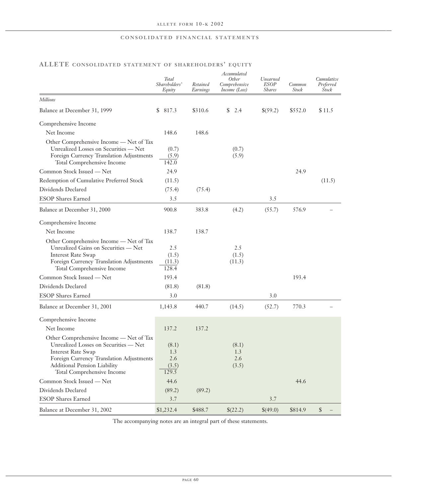|                                                                                                                                                                                                                         | <b>Total</b><br>Shareholders'<br>Equity | Retained<br>Earnings | Accumulated<br><i>Other</i><br>Comprehensive<br>Income (Loss) | Unearned<br><b>ESOP</b><br><i>Shares</i> | Common<br><b>Stock</b> | Cumulative<br>Preferred<br><b>Stock</b> |
|-------------------------------------------------------------------------------------------------------------------------------------------------------------------------------------------------------------------------|-----------------------------------------|----------------------|---------------------------------------------------------------|------------------------------------------|------------------------|-----------------------------------------|
| <b>Millions</b>                                                                                                                                                                                                         |                                         |                      |                                                               |                                          |                        |                                         |
| Balance at December 31, 1999                                                                                                                                                                                            | \$817.3                                 | \$310.6              | \$<br>2.4                                                     | \$(59.2)                                 | \$552.0                | \$11.5                                  |
| Comprehensive Income                                                                                                                                                                                                    |                                         |                      |                                                               |                                          |                        |                                         |
| Net Income                                                                                                                                                                                                              | 148.6                                   | 148.6                |                                                               |                                          |                        |                                         |
| Other Comprehensive Income — Net of Tax<br>Unrealized Losses on Securities - Net<br>Foreign Currency Translation Adjustments<br>Total Comprehensive Income                                                              | (0.7)<br>(5.9)<br>142.0                 |                      | (0.7)<br>(5.9)                                                |                                          |                        |                                         |
| Common Stock Issued - Net                                                                                                                                                                                               | 24.9                                    |                      |                                                               |                                          | 24.9                   |                                         |
| Redemption of Cumulative Preferred Stock                                                                                                                                                                                | (11.5)                                  |                      |                                                               |                                          |                        | (11.5)                                  |
| Dividends Declared                                                                                                                                                                                                      | (75.4)                                  | (75.4)               |                                                               |                                          |                        |                                         |
| <b>ESOP</b> Shares Earned                                                                                                                                                                                               | 3.5                                     |                      |                                                               | 3.5                                      |                        |                                         |
| Balance at December 31, 2000                                                                                                                                                                                            | 900.8                                   | 383.8                | (4.2)                                                         | (55.7)                                   | 576.9                  |                                         |
| Comprehensive Income                                                                                                                                                                                                    |                                         |                      |                                                               |                                          |                        |                                         |
| Net Income                                                                                                                                                                                                              | 138.7                                   | 138.7                |                                                               |                                          |                        |                                         |
| Other Comprehensive Income — Net of Tax<br>Unrealized Gains on Securities — Net<br><b>Interest Rate Swap</b><br>Foreign Currency Translation Adjustments<br>Total Comprehensive Income                                  | 2.5<br>(1.5)<br>(11.3)<br>128.4         |                      | 2.5<br>(1.5)<br>(11.3)                                        |                                          |                        |                                         |
| Common Stock Issued - Net                                                                                                                                                                                               | 193.4                                   |                      |                                                               |                                          | 193.4                  |                                         |
| Dividends Declared                                                                                                                                                                                                      | (81.8)                                  | (81.8)               |                                                               |                                          |                        |                                         |
| <b>ESOP</b> Shares Earned                                                                                                                                                                                               | 3.0                                     |                      |                                                               | 3.0                                      |                        |                                         |
| Balance at December 31, 2001                                                                                                                                                                                            | 1,143.8                                 | 440.7                | (14.5)                                                        | (52.7)                                   | 770.3                  |                                         |
| Comprehensive Income                                                                                                                                                                                                    |                                         |                      |                                                               |                                          |                        |                                         |
| Net Income                                                                                                                                                                                                              | 137.2                                   | 137.2                |                                                               |                                          |                        |                                         |
| Other Comprehensive Income - Net of Tax<br>Unrealized Losses on Securities - Net<br><b>Interest Rate Swap</b><br>Foreign Currency Translation Adjustments<br>Additional Pension Liability<br>Total Comprehensive Income | (8.1)<br>1.3<br>2.6<br>(3.5)<br>129.5   |                      | (8.1)<br>1.3<br>2.6<br>(3.5)                                  |                                          |                        |                                         |
| Common Stock Issued - Net                                                                                                                                                                                               | 44.6                                    |                      |                                                               |                                          | 44.6                   |                                         |
| Dividends Declared                                                                                                                                                                                                      | (89.2)                                  | (89.2)               |                                                               |                                          |                        |                                         |
| <b>ESOP</b> Shares Earned                                                                                                                                                                                               | 3.7                                     |                      |                                                               | 3.7                                      |                        |                                         |
| Balance at December 31, 2002                                                                                                                                                                                            | \$1,232.4                               | \$488.7              | \$(22.2)                                                      | \$(49.0)                                 | \$814.9                | $\mathbb{S}$                            |

# **ALLETE CONSOLIDATED STATEMENT OF SHAREHOLDERS' EQUITY**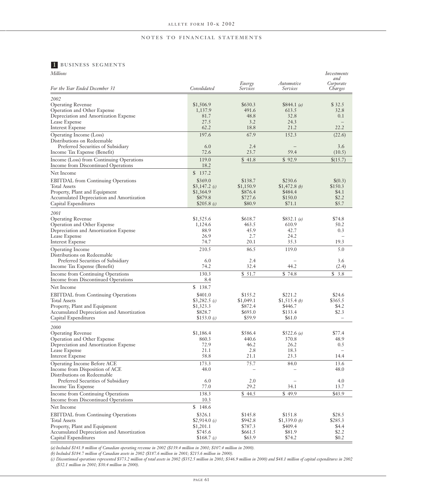# **NOTES TO FINANCIAL STATEMENTS**

# **BUSINESS SEGMENTS 1**

| Millions                                                                                                                                                                             |                                                                                |                                                      |                                                          | Investments<br>and                              |
|--------------------------------------------------------------------------------------------------------------------------------------------------------------------------------------|--------------------------------------------------------------------------------|------------------------------------------------------|----------------------------------------------------------|-------------------------------------------------|
| For the Year Ended December 31                                                                                                                                                       | Consolidated                                                                   | Energy<br>Services                                   | Automotive<br>Services                                   | Corporate<br>Charges                            |
| 2002<br><b>Operating Revenue</b><br>Operation and Other Expense                                                                                                                      | \$1,506.9<br>1,137.9                                                           | \$630.3<br>491.6                                     | \$844.1(a)<br>613.5                                      | \$32.5<br>32.8                                  |
| Depreciation and Amortization Expense<br>Lease Expense<br><b>Interest Expense</b>                                                                                                    | 81.7<br>27.5<br>62.2                                                           | 48.8<br>3.2<br>18.8                                  | 32.8<br>24.3<br>21.2                                     | 0.1<br>22.2                                     |
| Operating Income (Loss)<br>Distributions on Redeemable<br>Preferred Securities of Subsidiary                                                                                         | 197.6<br>6.0<br>72.6                                                           | 67.9<br>2.4<br>23.7                                  | 152.3<br>59.4                                            | (22.6)<br>3.6                                   |
| Income Tax Expense (Benefit)<br>Income (Loss) from Continuing Operations<br>Income from Discontinued Operations                                                                      | 119.0<br>18.2                                                                  | \$41.8                                               | \$92.9                                                   | (10.5)<br>\$(15.7)                              |
| Net Income                                                                                                                                                                           | \$137.2                                                                        |                                                      |                                                          |                                                 |
| <b>EBITDAL</b> from Continuing Operations<br><b>Total Assets</b><br>Property, Plant and Equipment<br>Accumulated Depreciation and Amortization<br>Capital Expenditures               | \$369.0<br>\$3,147.2 $(c)$<br>\$1,364.9<br>\$879.8<br>\$205.8 $(c)$            | \$138.7<br>\$1,150.9<br>\$876.4<br>\$727.6<br>\$80.9 | \$230.6<br>\$1,472.8 (b)<br>\$484.4<br>\$150.0<br>\$71.1 | $\$(0.3)$<br>\$150.3<br>\$4.1<br>\$2.2<br>\$5.7 |
| 2001<br><b>Operating Revenue</b><br>Operation and Other Expense<br>Depreciation and Amortization Expense<br>Lease Expense<br><b>Interest Expense</b>                                 | \$1,525.6<br>1,124.6<br>88.9<br>26.9<br>74.7                                   | \$618.7<br>463.5<br>45.9<br>2.7<br>20.1              | \$832.1 $(a)$<br>610.9<br>42.7<br>24.2<br>35.3           | \$74.8<br>50.2<br>0.3<br>19.3                   |
| Operating Income<br>Distributions on Redeemable<br>Preferred Securities of Subsidiary<br>Income Tax Expense (Benefit)                                                                | 210.5<br>6.0<br>74.2                                                           | 86.5<br>2.4<br>32.4                                  | 119.0<br>44.2                                            | 5.0<br>3.6<br>(2.4)                             |
| Income from Continuing Operations<br>Income from Discontinued Operations                                                                                                             | 130.3<br>8.4                                                                   | \$51.7                                               | \$74.8                                                   | \$3.8                                           |
| Net Income<br><b>EBITDAL</b> from Continuing Operations<br>Total Assets<br>Property, Plant and Equipment<br>Accumulated Depreciation and Amortization                                | \$138.7<br>\$401.0<br>\$3,282.5 $(c)$<br>\$1,323.3<br>\$828.7                  | \$155.2<br>\$1,049.1<br>\$872.4<br>\$693.0           | \$221.2<br>\$1,515.4 (b)<br>\$446.7<br>\$133.4           | \$24.6<br>\$365.5<br>\$4.2<br>\$2.3             |
| Capital Expenditures                                                                                                                                                                 | \$153.0 $(c)$                                                                  | \$59.9                                               | \$61.0                                                   |                                                 |
| <i>2000</i><br><b>Operating Revenue</b><br>Operation and Other Expense<br>Depreciation and Amortization Expense<br>Lease Expense<br><b>Interest Expense</b>                          | \$1,186.4<br>860.3<br>72.9<br>21.1<br>58.8                                     | \$586.4<br>440.6<br>46.2<br>2.8<br>21.1              | \$522.6 (a)<br>370.8<br>26.2<br>18.3<br>23.3             | \$77.4<br>48.9<br>0.5<br>14.4                   |
| Operating Income Before ACE<br>Income from Disposition of ACE<br>Distributions on Redeemable                                                                                         | 173.3<br>48.0                                                                  | 75.7                                                 | 84.0                                                     | 13.6<br>48.0                                    |
| Preferred Securities of Subsidiary<br>Income Tax Expense                                                                                                                             | 6.0<br>77.0                                                                    | 2.0<br>29.2                                          | 34.1                                                     | 4.0<br>13.7                                     |
| Income from Continuing Operations<br>Income from Discontinued Operations                                                                                                             | 138.3<br>10.3                                                                  | \$44.5                                               | \$49.9                                                   | \$43.9                                          |
| Net Income<br><b>EBITDAL</b> from Continuing Operations<br><b>Total Assets</b><br>Property, Plant and Equipment<br>Accumulated Depreciation and Amortization<br>Capital Expenditures | \$148.6<br>\$326.1<br>\$2,914.0 $(c)$<br>\$1,201.1<br>\$745.6<br>\$168.7 $(c)$ | \$145.8<br>\$942.8<br>\$787.3<br>\$661.5<br>\$63.9   | \$151.8<br>\$1,339.0 (b)<br>\$409.4<br>\$81.9<br>\$74.2  | \$28.5<br>\$285.3<br>\$4.4<br>\$2.2<br>\$0.2    |

*(a) Included \$141.9 million of Canadian operating revenue in 2002 (\$139.4 million in 2001; \$107.4 million in 2000).*

*(b) Included \$184.7 million of Canadian assets in 2002 (\$187.6 million in 2001; \$215.6 million in 2000).*

*(c) Discontinued operations represented \$373.2 million of total assets in 2002 (\$352.5 million in 2001; \$346.9 million in 2000) and \$48.1 million of capital expenditures in 2002 (\$32.1 million in 2001; \$30.4 million in 2000).*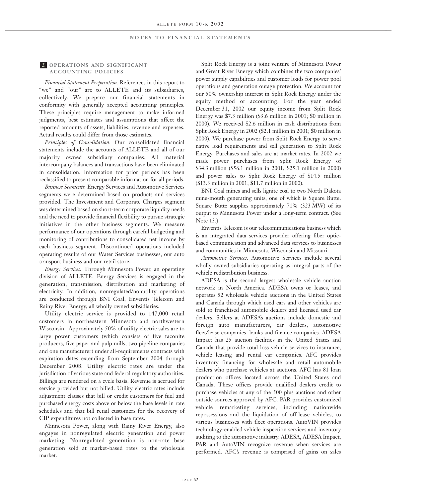# **OPERATIONS AND SIGNIFICANT 2ACCOUNTING POLICIES**

*Financial Statement Preparation.* References in this report to "we" and "our" are to ALLETE and its subsidiaries, collectively. We prepare our financial statements in conformity with generally accepted accounting principles. These principles require management to make informed judgments, best estimates and assumptions that affect the reported amounts of assets, liabilities, revenue and expenses. Actual results could differ from those estimates.

*Principles of Consolidation.* Our consolidated financial statements include the accounts of ALLETE and all of our majority owned subsidiary companies. All material intercompany balances and transactions have been eliminated in consolidation. Information for prior periods has been reclassified to present comparable information for all periods.

*Business Segments.* Energy Services and Automotive Services segments were determined based on products and services provided. The Investment and Corporate Charges segment was determined based on short-term corporate liquidity needs and the need to provide financial flexibility to pursue strategic initiatives in the other business segments. We measure performance of our operations through careful budgeting and monitoring of contributions to consolidated net income by each business segment. Discontinued operations included operating results of our Water Services businesses, our auto transport business and our retail store.

*Energy Services.* Through Minnesota Power, an operating division of ALLETE, Energy Services is engaged in the generation, transmission, distribution and marketing of electricity. In addition, nonregulated/nonutility operations are conducted through BNI Coal, Enventis Telecom and Rainy River Energy, all wholly owned subsidiaries.

Utility electric service is provided to 147,000 retail customers in northeastern Minnesota and northwestern Wisconsin. Approximately 50% of utility electric sales are to large power customers (which consists of five taconite producers, five paper and pulp mills, two pipeline companies and one manufacturer) under all-requirements contracts with expiration dates extending from September 2004 through December 2008. Utility electric rates are under the jurisdiction of various state and federal regulatory authorities. Billings are rendered on a cycle basis. Revenue is accrued for service provided but not billed. Utility electric rates include adjustment clauses that bill or credit customers for fuel and purchased energy costs above or below the base levels in rate schedules and that bill retail customers for the recovery of CIP expenditures not collected in base rates.

Minnesota Power, along with Rainy River Energy, also engages in nonregulated electric generation and power marketing. Nonregulated generation is non-rate base generation sold at market-based rates to the wholesale market.

Split Rock Energy is a joint venture of Minnesota Power and Great River Energy which combines the two companies' power supply capabilities and customer loads for power pool operations and generation outage protection. We account for our 50% ownership interest in Split Rock Energy under the equity method of accounting. For the year ended December 31, 2002 our equity income from Split Rock Energy was \$7.3 million (\$3.6 million in 2001; \$0 million in 2000). We received \$2.6 million in cash distributions from Split Rock Energy in 2002 (\$2.1 million in 2001; \$0 million in 2000). We purchase power from Split Rock Energy to serve native load requirements and sell generation to Split Rock Energy. Purchases and sales are at market rates. In 2002 we made power purchases from Split Rock Energy of \$34.3 million (\$56.1 million in 2001; \$25.1 million in 2000) and power sales to Split Rock Energy of \$14.5 million (\$13.3 million in 2001; \$11.7 million in 2000).

BNI Coal mines and sells lignite coal to two North Dakota mine-mouth generating units, one of which is Square Butte. Square Butte supplies approximately 71% (323 MW) of its output to Minnesota Power under a long-term contract. (See Note 13.)

Enventis Telecom is our telecommunications business which is an integrated data services provider offering fiber opticbased communication and advanced data services to businesses and communities in Minnesota, Wisconsin and Missouri.

*Automotive Services.* Automotive Services include several wholly owned subsidiaries operating as integral parts of the vehicle redistribution business.

ADESA is the second largest wholesale vehicle auction network in North America. ADESA owns or leases, and operates 52 wholesale vehicle auctions in the United States and Canada through which used cars and other vehicles are sold to franchised automobile dealers and licensed used car dealers. Sellers at ADESA's auctions include domestic and foreign auto manufacturers, car dealers, automotive fleet/lease companies, banks and finance companies. ADESA Impact has 25 auction facilities in the United States and Canada that provide total loss vehicle services to insurance, vehicle leasing and rental car companies. AFC provides inventory financing for wholesale and retail automobile dealers who purchase vehicles at auctions. AFC has 81 loan production offices located across the United States and Canada. These offices provide qualified dealers credit to purchase vehicles at any of the 500 plus auctions and other outside sources approved by AFC. PAR provides customized vehicle remarketing services, including nationwide repossessions and the liquidation of off-lease vehicles, to various businesses with fleet operations. AutoVIN provides technology-enabled vehicle inspection services and inventory auditing to the automotive industry. ADESA, ADESA Impact, PAR and AutoVIN recognize revenue when services are performed. AFC's revenue is comprised of gains on sales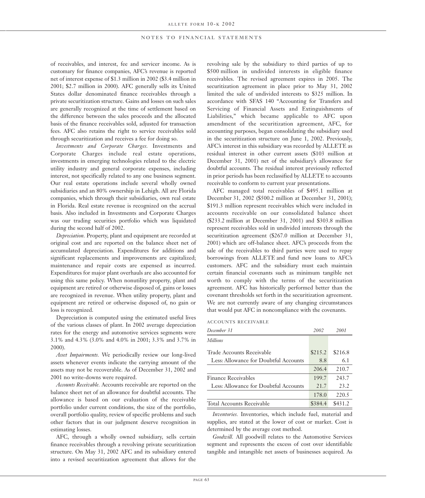#### **NOTES TO FINANCIAL STATEMENTS**

of receivables, and interest, fee and servicer income. As is customary for finance companies, AFC's revenue is reported net of interest expense of \$1.3 million in 2002 (\$3.4 million in 2001; \$2.7 million in 2000). AFC generally sells its United States dollar denominated finance receivables through a private securitization structure. Gains and losses on such sales are generally recognized at the time of settlement based on the difference between the sales proceeds and the allocated basis of the finance receivables sold, adjusted for transaction fees. AFC also retains the right to service receivables sold through securitization and receives a fee for doing so.

*Investments and Corporate Charges.* Investments and Corporate Charges include real estate operations, investments in emerging technologies related to the electric utility industry and general corporate expenses, including interest, not specifically related to any one business segment. Our real estate operations include several wholly owned subsidiaries and an 80% ownership in Lehigh. All are Florida companies, which through their subsidiaries, own real estate in Florida. Real estate revenue is recognized on the accrual basis. Also included in Investments and Corporate Charges was our trading securities portfolio which was liquidated during the second half of 2002.

*Depreciation.* Property, plant and equipment are recorded at original cost and are reported on the balance sheet net of accumulated depreciation. Expenditures for additions and significant replacements and improvements are capitalized; maintenance and repair costs are expensed as incurred. Expenditures for major plant overhauls are also accounted for using this same policy. When nonutility property, plant and equipment are retired or otherwise disposed of, gains or losses are recognized in revenue. When utility property, plant and equipment are retired or otherwise disposed of, no gain or loss is recognized.

Depreciation is computed using the estimated useful lives of the various classes of plant. In 2002 average depreciation rates for the energy and automotive services segments were 3.1% and 4.3% (3.0% and 4.0% in 2001; 3.3% and 3.7% in 2000).

*Asset Impairments.* We periodically review our long-lived assets whenever events indicate the carrying amount of the assets may not be recoverable. As of December 31, 2002 and 2001 no write-downs were required.

*Accounts Receivable.* Accounts receivable are reported on the balance sheet net of an allowance for doubtful accounts. The allowance is based on our evaluation of the receivable portfolio under current conditions, the size of the portfolio, overall portfolio quality, review of specific problems and such other factors that in our judgment deserve recognition in estimating losses.

AFC, through a wholly owned subsidiary, sells certain finance receivables through a revolving private securitization structure. On May 31, 2002 AFC and its subsidiary entered into a revised securitization agreement that allows for the revolving sale by the subsidiary to third parties of up to \$500 million in undivided interests in eligible finance receivables. The revised agreement expires in 2005. The securitization agreement in place prior to May 31, 2002 limited the sale of undivided interests to \$325 million. In accordance with SFAS 140 "Accounting for Transfers and Servicing of Financial Assets and Extinguishments of Liabilities," which became applicable to AFC upon amendment of the securitization agreement, AFC, for accounting purposes, began consolidating the subsidiary used in the securitization structure on June 1, 2002. Previously, AFC's interest in this subsidiary was recorded by ALLETE as residual interest in other current assets (\$103 million at December 31, 2001) net of the subsidiary's allowance for doubtful accounts. The residual interest previously reflected in prior periods has been reclassified by ALLETE to accounts receivable to conform to current year presentations.

AFC managed total receivables of \$495.1 million at December 31, 2002 (\$500.2 million at December 31, 2001); \$191.3 million represent receivables which were included in accounts receivable on our consolidated balance sheet (\$233.2 million at December 31, 2001) and \$303.8 million represent receivables sold in undivided interests through the securitization agreement (\$267.0 million at December 31, 2001) which are off-balance sheet. AFC's proceeds from the sale of the receivables to third parties were used to repay borrowings from ALLETE and fund new loans to AFC's customers. AFC and the subsidiary must each maintain certain financial covenants such as minimum tangible net worth to comply with the terms of the securitization agreement. AFC has historically performed better than the covenant thresholds set forth in the securitization agreement. We are not currently aware of any changing circumstances that would put AFC in noncompliance with the covenants.

**ACCOUNTS RECEIVABLE**

| December 31                           | 2002    | 2001    |
|---------------------------------------|---------|---------|
| <i>Millions</i>                       |         |         |
| Trade Accounts Receivable             | \$215.2 | \$216.8 |
| Less: Allowance for Doubtful Accounts | 8.8     | 6.1     |
|                                       | 206.4   | 210.7   |
| Finance Receivables                   | 199.7   | 243.7   |
| Less: Allowance for Doubtful Accounts | 21.7    | 23.2    |
|                                       | 178.0   | 220.5   |
| <b>Total Accounts Receivable</b>      | \$384.4 | \$431.2 |

*Inventories.* Inventories, which include fuel, material and supplies, are stated at the lower of cost or market. Cost is determined by the average cost method.

*Goodwill.* All goodwill relates to the Automotive Services segment and represents the excess of cost over identifiable tangible and intangible net assets of businesses acquired. As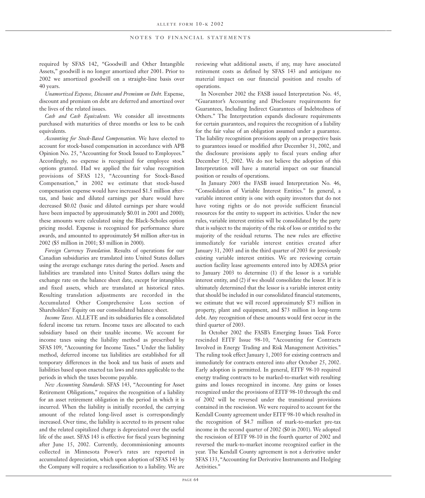required by SFAS 142, "Goodwill and Other Intangible Assets," goodwill is no longer amortized after 2001. Prior to 2002 we amortized goodwill on a straight-line basis over 40 years.

*Unamortized Expense, Discount and Premium on Debt.* Expense, discount and premium on debt are deferred and amortized over the lives of the related issues.

*Cash and Cash Equivalents.* We consider all investments purchased with maturities of three months or less to be cash equivalents.

*Accounting for Stock-Based Compensation.* We have elected to account for stock-based compensation in accordance with APB Opinion No. 25, "Accounting for Stock Issued to Employees." Accordingly, no expense is recognized for employee stock options granted. Had we applied the fair value recognition provisions of SFAS 123, "Accounting for Stock-Based Compensation," in 2002 we estimate that stock-based compensation expense would have increased \$1.5 million aftertax, and basic and diluted earnings per share would have decreased \$0.02 (basic and diluted earnings per share would have been impacted by approximately \$0.01 in 2001 and 2000); these amounts were calculated using the Black-Scholes option pricing model. Expense is recognized for performance share awards, and amounted to approximately \$4 million after-tax in 2002 (\$5 million in 2001; \$3 million in 2000).

*Foreign Currency Translation.* Results of operations for our Canadian subsidiaries are translated into United States dollars using the average exchange rates during the period. Assets and liabilities are translated into United States dollars using the exchange rate on the balance sheet date, except for intangibles and fixed assets, which are translated at historical rates. Resulting translation adjustments are recorded in the Accumulated Other Comprehensive Loss section of Shareholders' Equity on our consolidated balance sheet.

*Income Taxes.* ALLETE and its subsidiaries file a consolidated federal income tax return. Income taxes are allocated to each subsidiary based on their taxable income. We account for income taxes using the liability method as prescribed by SFAS 109, "Accounting for Income Taxes." Under the liability method, deferred income tax liabilities are established for all temporary differences in the book and tax basis of assets and liabilities based upon enacted tax laws and rates applicable to the periods in which the taxes become payable.

*New Accounting Standards.* SFAS 143, "Accounting for Asset Retirement Obligations," requires the recognition of a liability for an asset retirement obligation in the period in which it is incurred. When the liability is initially recorded, the carrying amount of the related long-lived asset is correspondingly increased. Over time, the liability is accreted to its present value and the related capitalized charge is depreciated over the useful life of the asset. SFAS 143 is effective for fiscal years beginning after June 15, 2002. Currently, decommissioning amounts collected in Minnesota Power's rates are reported in accumulated depreciation, which upon adoption of SFAS 143 by the Company will require a reclassification to a liability. We are

reviewing what additional assets, if any, may have associated retirement costs as defined by SFAS 143 and anticipate no material impact on our financial position and results of operations.

In November 2002 the FASB issued Interpretation No. 45, "Guarantor's Accounting and Disclosure requirements for Guarantees, Including Indirect Guarantees of Indebtedness of Others." The Interpretation expands disclosure requirements for certain guarantees, and requires the recognition of a liability for the fair value of an obligation assumed under a guarantee. The liability recognition provisions apply on a prospective basis to guarantees issued or modified after December 31, 2002, and the disclosure provisions apply to fiscal years ending after December 15, 2002. We do not believe the adoption of this Interpretation will have a material impact on our financial position or results of operations.

In January 2003 the FASB issued Interpretation No. 46, "Consolidation of Variable Interest Entities." In general, a variable interest entity is one with equity investors that do not have voting rights or do not provide sufficient financial resources for the entity to support its activities. Under the new rules, variable interest entities will be consolidated by the party that is subject to the majority of the risk of loss or entitled to the majority of the residual returns. The new rules are effective immediately for variable interest entities created after January 31, 2003 and in the third quarter of 2003 for previously existing variable interest entities. We are reviewing certain auction facility lease agreements entered into by ADESA prior to January 2003 to determine (1) if the lessor is a variable interest entity, and (2) if we should consolidate the lessor. If it is ultimately determined that the lessor is a variable interest entity that should be included in our consolidated financial statements, we estimate that we will record approximately \$73 million in property, plant and equipment, and \$73 million in long-term debt. Any recognition of these amounts would first occur in the third quarter of 2003.

In October 2002 the FASB's Emerging Issues Task Force rescinded EITF Issue 98-10, "Accounting for Contracts Involved in Energy Trading and Risk Management Activities." The ruling took effect January 1, 2003 for existing contracts and immediately for contracts entered into after October 25, 2002. Early adoption is permitted. In general, EITF 98-10 required energy trading contracts to be marked-to-market with resulting gains and losses recognized in income. Any gains or losses recognized under the provisions of EITF 98-10 through the end of 2002 will be reversed under the transitional provisions contained in the rescission. We were required to account for the Kendall County agreement under EITF 98-10 which resulted in the recognition of \$4.7 million of mark-to-market pre-tax income in the second quarter of 2002 (\$0 in 2001). We adopted the rescission of EITF 98-10 in the fourth quarter of 2002 and reversed the mark-to-market income recognized earlier in the year. The Kendall County agreement is not a derivative under SFAS 133, "Accounting for Derivative Instruments and Hedging Activities."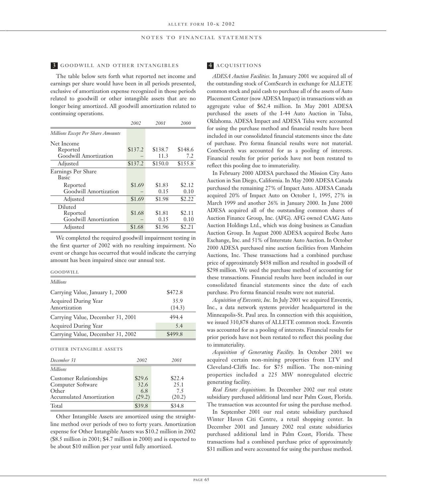# **GOODWILL AND OTHER INTANGIBLES 3 4**

The table below sets forth what reported net income and earnings per share would have been in all periods presented, exclusive of amortization expense recognized in those periods related to goodwill or other intangible assets that are no longer being amortized. All goodwill amortization related to continuing operations.

|                                   | 2002    | 2001    | <b>2000</b> |
|-----------------------------------|---------|---------|-------------|
| Millions Except Per Share Amounts |         |         |             |
| Net Income                        |         |         |             |
| Reported                          | \$137.2 | \$138.7 | \$148.6     |
| Goodwill Amortization             |         | 11.3    | 7.2         |
| Adjusted                          | \$137.2 | \$150.0 | \$155.8     |
| Earnings Per Share                |         |         |             |
| Basic                             |         |         |             |
| Reported                          | \$1.69  | \$1.83  | \$2.12      |
| Goodwill Amortization             |         | 0.15    | 0.10        |
| Adjusted                          | \$1.69  | \$1.98  | \$2.22      |
| Diluted                           |         |         |             |
| Reported                          | \$1.68  | \$1.81  | \$2.11      |
| Goodwill Amortization             |         | 0.15    | 0.10        |
| Adjusted                          | \$1.68  | \$1.96  | \$2.21      |

We completed the required goodwill impairment testing in the first quarter of 2002 with no resulting impairment. No event or change has occurred that would indicate the carrying amount has been impaired since our annual test.

## **GOODWILL**

| <b>Millions</b>                      |                |
|--------------------------------------|----------------|
| Carrying Value, January 1, 2000      | \$472.8        |
| Acquired During Year<br>Amortization | 35.9<br>(14.3) |
| Carrying Value, December 31, 2001    | 494.4          |
| Acquired During Year                 | 5.4            |
| Carrying Value, December 31, 2002    | \$499.8        |

#### **OTHER INTANGIBLE ASSETS**

| December 31                                                                                    | 2002                            | 2001                            |
|------------------------------------------------------------------------------------------------|---------------------------------|---------------------------------|
| <b>Millions</b>                                                                                |                                 |                                 |
| <b>Customer Relationships</b><br>Computer Software<br>Other<br><b>Accumulated Amortization</b> | \$29.6<br>32.6<br>6.8<br>(29.2) | \$22.4<br>25.1<br>7.5<br>(20.2) |
| Total                                                                                          | \$39.8                          | \$34.8                          |

Other Intangible Assets are amortized using the straightline method over periods of two to forty years. Amortization expense for Other Intangible Assets was \$10.2 million in 2002 (\$8.5 million in 2001; \$4.7 million in 2000) and is expected to be about \$10 million per year until fully amortized.

# **4** ACQUISITIONS

*ADESA Auction Facilities.* In January 2001 we acquired all of the outstanding stock of ComSearch in exchange for ALLETE common stock and paid cash to purchase all of the assets of Auto Placement Center (now ADESA Impact) in transactions with an aggregate value of \$62.4 million. In May 2001 ADESA purchased the assets of the I-44 Auto Auction in Tulsa, Oklahoma. ADESA Impact and ADESA Tulsa were accounted for using the purchase method and financial results have been included in our consolidated financial statements since the date of purchase. Pro forma financial results were not material. ComSearch was accounted for as a pooling of interests. Financial results for prior periods have not been restated to reflect this pooling due to immateriality.

In February 2000 ADESA purchased the Mission City Auto Auction in San Diego, California. In May 2000 ADESA Canada purchased the remaining 27% of Impact Auto. ADESA Canada acquired 20% of Impact Auto on October 1, 1995, 27% in March 1999 and another 26% in January 2000. In June 2000 ADESA acquired all of the outstanding common shares of Auction Finance Group, Inc. (AFG). AFG owned CAAG Auto Auction Holdings Ltd., which was doing business as Canadian Auction Group. In August 2000 ADESA acquired Beebe Auto Exchange, Inc. and 51% of Interstate Auto Auction. In October 2000 ADESA purchased nine auction facilities from Manheim Auctions, Inc. These transactions had a combined purchase price of approximately \$438 million and resulted in goodwill of \$298 million. We used the purchase method of accounting for these transactions. Financial results have been included in our consolidated financial statements since the date of each purchase. Pro forma financial results were not material.

*Acquisition of Enventis, Inc.* In July 2001 we acquired Enventis, Inc., a data network systems provider headquartered in the Minneapolis-St. Paul area. In connection with this acquisition, we issued 310,878 shares of ALLETE common stock. Enventis was accounted for as a pooling of interests. Financial results for prior periods have not been restated to reflect this pooling due to immateriality.

*Acquisition of Generating Facility.* In October 2001 we acquired certain non-mining properties from LTV and Cleveland-Cliffs Inc. for \$75 million. The non-mining properties included a 225 MW nonregulated electric generating facility.

*Real Estate Acquisitions.* In December 2002 our real estate subsidiary purchased additional land near Palm Coast, Florida. The transaction was accounted for using the purchase method.

In September 2001 our real estate subsidiary purchased Winter Haven Citi Centre, a retail shopping center. In December 2001 and January 2002 real estate subsidiaries purchased additional land in Palm Coast, Florida. These transactions had a combined purchase price of approximately \$31 million and were accounted for using the purchase method.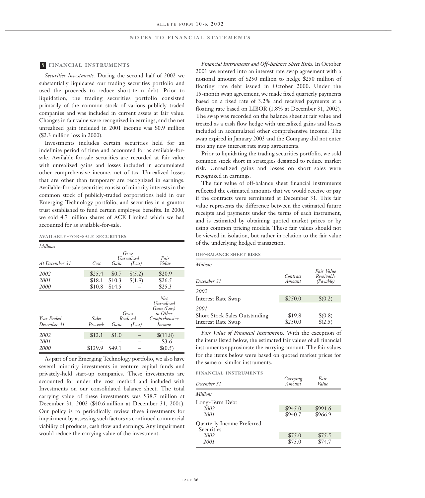#### **FINANCIAL INSTRUMENTS 5**

*Securities Investments.* During the second half of 2002 we substantially liquidated our trading securities portfolio and used the proceeds to reduce short-term debt. Prior to liquidation, the trading securities portfolio consisted primarily of the common stock of various publicly traded companies and was included in current assets at fair value. Changes in fair value were recognized in earnings, and the net unrealized gain included in 2001 income was \$0.9 million (\$2.3 million loss in 2000).

Investments includes certain securities held for an indefinite period of time and accounted for as available-forsale. Available-for-sale securities are recorded at fair value with unrealized gains and losses included in accumulated other comprehensive income, net of tax. Unrealized losses that are other than temporary are recognized in earnings. Available-for-sale securities consist of minority interests in the common stock of publicly-traded corporations held in our Emerging Technology portfolio, and securities in a grantor trust established to fund certain employee benefits. In 2000, we sold 4.7 million shares of ACE Limited which we had accounted for as available-for-sale.

**AVAILABLE-FOR-SALE SECURITIES**

| <b>Millions</b> |              |        |                                      |                                                                      |
|-----------------|--------------|--------|--------------------------------------|----------------------------------------------------------------------|
| At December 31  | Cost         | Gain   | Gross<br><b>Unrealized</b><br>(Loss) | Fair<br>Value                                                        |
| 2002            | \$25.4       | \$0.7  | $\{(5.2)\}$                          | \$20.9                                                               |
| 2001            | \$18.1       | \$10.3 | \$(1.9)                              | \$26.5                                                               |
| 2000            | \$10.8       | \$14.5 |                                      | \$25.3                                                               |
| Year Ended      | <b>Sales</b> |        | Gross<br>Realized                    | Net<br><b>Unrealized</b><br>Gain (Loss)<br>in Other<br>Comprehensive |
| December 31     | Proceeds     | Gain   | (Loss)                               | <i>Income</i>                                                        |
| 2002            | \$12.1       | \$1.0  |                                      | \$(11.8)                                                             |
| 2001            |              |        |                                      | \$3.6                                                                |
| 2000            | \$129.9      | \$49.1 |                                      | $\$(0.5)$                                                            |

As part of our Emerging Technology portfolio, we also have several minority investments in venture capital funds and privately-held start-up companies. These investments are accounted for under the cost method and included with Investments on our consolidated balance sheet. The total carrying value of these investments was \$38.7 million at December 31, 2002 (\$40.6 million at December 31, 2001). Our policy is to periodically review these investments for impairment by assessing such factors as continued commercial viability of products, cash flow and earnings. Any impairment would reduce the carrying value of the investment.

*Financial Instruments and Off-Balance Sheet Risks.* In October 2001 we entered into an interest rate swap agreement with a notional amount of \$250 million to hedge \$250 million of floating rate debt issued in October 2000. Under the 15-month swap agreement, we made fixed quarterly payments based on a fixed rate of 3.2% and received payments at a floating rate based on LIBOR (1.8% at December 31, 2002). The swap was recorded on the balance sheet at fair value and treated as a cash flow hedge with unrealized gains and losses included in accumulated other comprehensive income. The swap expired in January 2003 and the Company did not enter into any new interest rate swap agreements.

Prior to liquidating the trading securities portfolio, we sold common stock short in strategies designed to reduce market risk. Unrealized gains and losses on short sales were recognized in earnings.

The fair value of off-balance sheet financial instruments reflected the estimated amounts that we would receive or pay if the contracts were terminated at December 31. This fair value represents the difference between the estimated future receipts and payments under the terms of each instrument, and is estimated by obtaining quoted market prices or by using common pricing models. These fair values should not be viewed in isolation, but rather in relation to the fair value of the underlying hedged transaction.

| <b>OFF-BALANCE SHEET RISKS</b> |
|--------------------------------|
|--------------------------------|

**FINANCIAL INSTRUMENTS**

| <i>Millions</i>                      |                    |                                       |
|--------------------------------------|--------------------|---------------------------------------|
| December 31                          | Contract<br>Amount | Fair Value<br>Receivable<br>(Payable) |
| 2002                                 |                    |                                       |
| <b>Interest Rate Swap</b>            | \$250.0            | \$(0.2)                               |
| 2001                                 |                    |                                       |
| <b>Short Stock Sales Outstanding</b> | \$19.8             | \$(0.8)                               |
| <b>Interest Rate Swap</b>            | \$250.0            | (2.5)                                 |

*Fair Value of Financial Instruments.* With the exception of the items listed below, the estimated fair values of all financial instruments approximate the carrying amount. The fair values for the items below were based on quoted market prices for the same or similar instruments.

| Fair<br>Carrying<br>Amount<br>Value<br>December 31 |
|----------------------------------------------------|
|                                                    |
| Millions                                           |
| Long-Term Debt                                     |
| \$945.0<br>\$991.6<br>2002                         |
| \$940.7<br>\$966.9<br>2001                         |
| Quarterly Income Preferred                         |
| Securities                                         |
| \$75.5<br>\$75.0<br>2002                           |
| \$75.0<br>\$74.7<br>2001                           |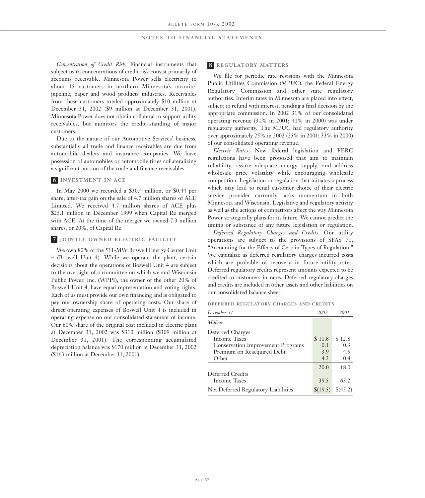*Concentration of Credit Risk.* Financial instruments that subject us to concentrations of credit risk consist primarily of accounts receivable. Minnesota Power sells electricity to about 15 customers in northern Minnesota's taconite, pipeline, paper and wood products industries. Receivables from these customers totaled approximately \$10 million at December 31, 2002 (\$9 million at December 31, 2001). Minnesota Power does not obtain collateral to support utility receivables, but monitors the credit standing of major customers.

Due to the nature of our Automotive Services' business, substantially all trade and finance receivables are due from automobile dealers and insurance companies. We have possession of automobiles or automobile titles collateralizing a significant portion of the trade and finance receivables.

## **INVESTMENT IN ACE 6**

In May 2000 we recorded a \$30.4 million, or \$0.44 per share, after-tax gain on the sale of 4.7 million shares of ACE Limited. We received 4.7 million shares of ACE plus \$25.1 million in December 1999 when Capital Re merged with ACE. At the time of the merger we owned 7.3 million shares, or 20%, of Capital Re.

# **JOINTLY OWNED ELECTRIC FACILITY 7**

We own 80% of the 531-MW Boswell Energy Center Unit 4 (Boswell Unit 4). While we operate the plant, certain decisions about the operations of Boswell Unit 4 are subject to the oversight of a committee on which we and Wisconsin Public Power, Inc. (WPPI), the owner of the other 20% of Boswell Unit 4, have equal representation and voting rights. Each of us must provide our own financing and is obligated to pay our ownership share of operating costs. Our share of direct operating expenses of Boswell Unit 4 is included in operating expense on our consolidated statement of income. Our 80% share of the original cost included in electric plant at December 31, 2002 was \$310 million (\$309 million at December 31, 2001). The corresponding accumulated depreciation balance was \$170 million at December 31, 2002 (\$163 million at December 31, 2001).

#### **REGULATORY MATTERS 8**

We file for periodic rate revisions with the Minnesota Public Utilities Commission (MPUC), the Federal Energy Regulatory Commission and other state regulatory authorities. Interim rates in Minnesota are placed into effect, subject to refund with interest, pending a final decision by the appropriate commission. In 2002 31% of our consolidated operating revenue (31% in 2001; 41% in 2000) was under regulatory authority. The MPUC had regulatory authority over approximately 25% in 2002 (25% in 2001; 33% in 2000) of our consolidated operating revenue.

*Electric Rates.* New federal legislation and FERC regulations have been proposed that aim to maintain reliability, assure adequate energy supply, and address wholesale price volatility while encouraging wholesale competition. Legislation or regulation that initiates a process which may lead to retail customer choice of their electric service provider currently lacks momentum in both Minnesota and Wisconsin. Legislative and regulatory activity as well as the actions of competitors affect the way Minnesota Power strategically plans for its future. We cannot predict the timing or substance of any future legislation or regulation.

*Deferred Regulatory Charges and Credits.* Our utility operations are subject to the provisions of SFAS 71, "Accounting for the Effects of Certain Types of Regulation." We capitalize as deferred regulatory charges incurred costs which are probable of recovery in future utility rates. Deferred regulatory credits represent amounts expected to be credited to customers in rates. Deferred regulatory charges and credits are included in other assets and other liabilities on our consolidated balance sheet.

#### **DEFERRED REGULATORY CHARGES AND CREDITS**

| December 31                              | 2002     | 2001       |
|------------------------------------------|----------|------------|
| <b>Millions</b>                          |          |            |
| Deferred Charges                         |          |            |
| <b>Income Taxes</b>                      | \$11.8   | \$12.8     |
| <b>Conservation Improvement Programs</b> | 0.1      | 0.3        |
| Premium on Reacquired Debt               | 3.9      | 4.5        |
| Other                                    | 4.2      | 0.4        |
|                                          | 20.0     | 18.0       |
| Deferred Credits                         |          |            |
| <b>Income Taxes</b>                      | 39.5     | 63.2       |
| Net Deferred Regulatory Liabilities      | \$(19.5) | $\{(45.2)$ |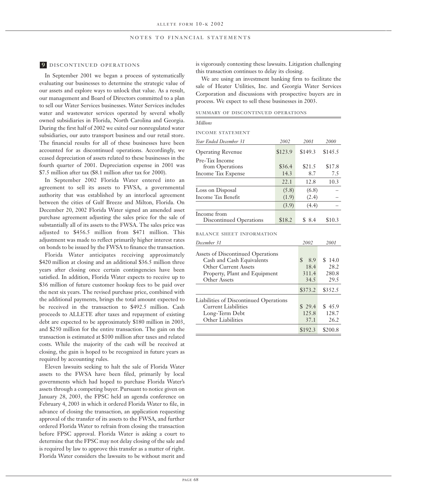# **DISCONTINUED OPERATIONS 9**

In September 2001 we began a process of systematically evaluating our businesses to determine the strategic value of our assets and explore ways to unlock that value. As a result, our management and Board of Directors committed to a plan to sell our Water Services businesses. Water Services includes water and wastewater services operated by several wholly owned subsidiaries in Florida, North Carolina and Georgia. During the first half of 2002 we exited our nonregulated water subsidiaries, our auto transport business and our retail store. The financial results for all of these businesses have been accounted for as discontinued operations. Accordingly, we ceased depreciation of assets related to these businesses in the fourth quarter of 2001. Depreciation expense in 2001 was \$7.5 million after tax (\$8.1 million after tax for 2000).

In September 2002 Florida Water entered into an agreement to sell its assets to FWSA, a governmental authority that was established by an interlocal agreement between the cities of Gulf Breeze and Milton, Florida. On December 20, 2002 Florida Water signed an amended asset purchase agreement adjusting the sales price for the sale of substantially all of its assets to the FWSA. The sales price was adjusted to \$456.5 million from \$471 million. This adjustment was made to reflect primarily higher interest rates on bonds to be issued by the FWSA to finance the transaction.

Florida Water anticipates receiving approximately \$420 million at closing and an additional \$36.5 million three years after closing once certain contingencies have been satisfied. In addition, Florida Water expects to receive up to \$36 million of future customer hookup fees to be paid over the next six years. The revised purchase price, combined with the additional payments, brings the total amount expected to be received in the transaction to \$492.5 million. Cash proceeds to ALLETE after taxes and repayment of existing debt are expected to be approximately \$180 million in 2003, and \$250 million for the entire transaction. The gain on the transaction is estimated at \$100 million after taxes and related costs. While the majority of the cash will be received at closing, the gain is hoped to be recognized in future years as required by accounting rules.

Eleven lawsuits seeking to halt the sale of Florida Water assets to the FWSA have been filed, primarily by local governments which had hoped to purchase Florida Water's assets through a competing buyer. Pursuant to notice given on January 28, 2003, the FPSC held an agenda conference on February 4, 2003 in which it ordered Florida Water to file, in advance of closing the transaction, an application requesting approval of the transfer of its assets to the FWSA, and further ordered Florida Water to refrain from closing the transaction before FPSC approval. Florida Water is asking a court to determine that the FPSC may not delay closing of the sale and is required by law to approve this transfer as a matter of right. Florida Water considers the lawsuits to be without merit and

is vigorously contesting these lawsuits. Litigation challenging this transaction continues to delay its closing.

We are using an investment banking firm to facilitate the sale of Heater Utilities, Inc. and Georgia Water Services Corporation and discussions with prospective buyers are in process. We expect to sell these businesses in 2003.

# **SUMMARY OF DISCONTINUED OPERATIONS**

# **INCOME STATEMENT**

*Millions*

| \$123.9 | \$149.3 | \$145.5 |
|---------|---------|---------|
| \$36.4  | \$21.5  | \$17.8  |
| 14.3    | 8.7     | 7.5     |
| 22.1    | 12.8    | 10.3    |
| (5.8)   | (6.8)   |         |
| (1.9)   | (2.4)   |         |
| (3.9)   | (4.4)   |         |
| \$18.2  | \$ 8.4  | \$10.3  |
|         |         |         |

**BALANCE SHEET INFORMATION**

| December 31                                   | 2002     | 2001    |
|-----------------------------------------------|----------|---------|
| <b>Assets of Discontinued Operations</b>      |          |         |
| Cash and Cash Equivalents                     | S<br>8.9 | \$14.0  |
| <b>Other Current Assets</b>                   | 18.4     | 28.2    |
| Property, Plant and Equipment                 | 311.4    | 280.8   |
| Other Assets                                  | 34.5     | 29.5    |
|                                               | \$373.2  | \$352.5 |
| <b>Liabilities of Discontinued Operations</b> |          |         |
| Current Liabilities                           | \$29.4   | \$45.9  |
| Long-Term Debt                                | 125.8    | 128.7   |
| Other Liabilities                             | 37.1     | 26.2    |
|                                               | \$192.3  | \$200.8 |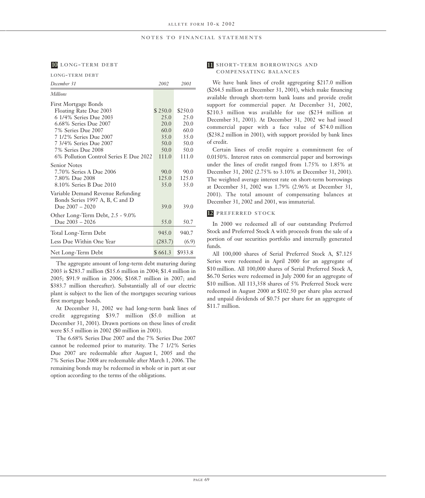#### **NOTES TO FINANCIAL STATEMENTS**

# **10 LONG-TERM DEBT 11**

# **LONG-TERM DEBT**

| December 31                                                          | 2002    | 2001    |
|----------------------------------------------------------------------|---------|---------|
| <i>Millions</i>                                                      |         |         |
| First Mortgage Bonds                                                 |         |         |
| Floating Rate Due 2003                                               | \$250.0 | \$250.0 |
| 6 1/4% Series Due 2003                                               | 25.0    | 25.0    |
| 6.68% Series Due 2007                                                | 20.0    | 20.0    |
| 7% Series Due 2007                                                   | 60.0    | 60.0    |
| 7 1/2% Series Due 2007                                               | 35.0    | 35.0    |
| 7 3/4% Series Due 2007                                               | 50.0    | 50.0    |
| 7% Series Due 2008                                                   | 50.0    | 50.0    |
| 6% Pollution Control Series E Due 2022                               | 111.0   | 111.0   |
| <b>Senior Notes</b>                                                  |         |         |
| 7.70% Series A Due 2006                                              | 90.0    | 90.0    |
| 7.80% Due 2008                                                       | 125.0   | 125.0   |
| 8.10% Series B Due 2010                                              | 35.0    | 35.0    |
| Variable Demand Revenue Refunding<br>Bonds Series 1997 A, B, C and D |         |         |
| Due $2007 - 2020$                                                    | 39.0    | 39.0    |
| Other Long-Term Debt, 2.5 - 9.0%                                     |         |         |
| Due $2003 - 2026$                                                    | 55.0    | 50.7    |
| Total Long-Term Debt                                                 | 945.0   | 940.7   |
| Less Due Within One Year                                             | (283.7) | (6.9)   |
| Net Long-Term Debt                                                   | \$661.3 | \$933.8 |

The aggregate amount of long-term debt maturing during 2003 is \$283.7 million (\$15.6 million in 2004; \$1.4 million in 2005; \$91.9 million in 2006; \$168.7 million in 2007; and \$383.7 million thereafter). Substantially all of our electric plant is subject to the lien of the mortgages securing various first mortgage bonds.

At December 31, 2002 we had long-term bank lines of credit aggregating \$39.7 million (\$5.0 million at December 31, 2001). Drawn portions on these lines of credit were \$5.5 million in 2002 (\$0 million in 2001).

The 6.68% Series Due 2007 and the 7% Series Due 2007 cannot be redeemed prior to maturity. The 7 1/2% Series Due 2007 are redeemable after August 1, 2005 and the 7% Series Due 2008 are redeemable after March 1, 2006. The remaining bonds may be redeemed in whole or in part at our option according to the terms of the obligations.

# **SHORT-TERM BORROWINGS AND COMPENSATING BALANCES**

We have bank lines of credit aggregating \$217.0 million (\$264.5 million at December 31, 2001), which make financing available through short-term bank loans and provide credit support for commercial paper. At December 31, 2002, \$210.3 million was available for use (\$234 million at December 31, 2001). At December 31, 2002 we had issued commercial paper with a face value of \$74.0 million (\$238.2 million in 2001), with support provided by bank lines of credit.

Certain lines of credit require a commitment fee of 0.0150%. Interest rates on commercial paper and borrowings under the lines of credit ranged from 1.75% to 1.85% at December 31, 2002 (2.75% to 3.10% at December 31, 2001). The weighted average interest rate on short-term borrowings at December 31, 2002 was 1.79% (2.96% at December 31, 2001). The total amount of compensating balances at December 31, 2002 and 2001, was immaterial.

# **PREFERRED STOCK 12**

In 2000 we redeemed all of our outstanding Preferred Stock and Preferred Stock A with proceeds from the sale of a portion of our securities portfolio and internally generated funds.

All 100,000 shares of Serial Preferred Stock A, \$7.125 Series were redeemed in April 2000 for an aggregate of \$10 million. All 100,000 shares of Serial Preferred Stock A, \$6.70 Series were redeemed in July 2000 for an aggregate of \$10 million. All 113,358 shares of 5% Preferred Stock were redeemed in August 2000 at \$102.50 per share plus accrued and unpaid dividends of \$0.75 per share for an aggregate of \$11.7 million.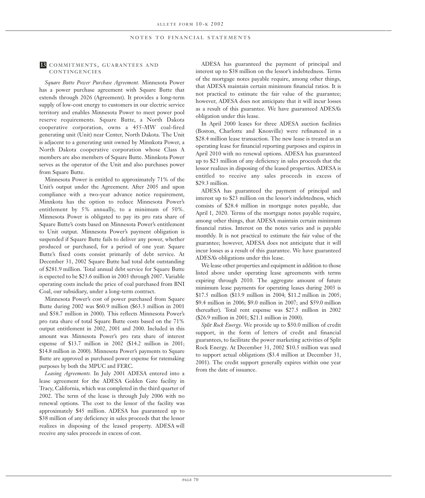# **COMMITMENTS, GUARANTEES AND 13CONTINGENCIES**

*Square Butte Power Purchase Agreement.* Minnesota Power has a power purchase agreement with Square Butte that extends through 2026 (Agreement). It provides a long-term supply of low-cost energy to customers in our electric service territory and enables Minnesota Power to meet power pool reserve requirements. Square Butte, a North Dakota cooperative corporation, owns a 455-MW coal-fired generating unit (Unit) near Center, North Dakota. The Unit is adjacent to a generating unit owned by Minnkota Power, a North Dakota cooperative corporation whose Class A members are also members of Square Butte. Minnkota Power serves as the operator of the Unit and also purchases power from Square Butte.

Minnesota Power is entitled to approximately 71% of the Unit's output under the Agreement. After 2005 and upon compliance with a two-year advance notice requirement, Minnkota has the option to reduce Minnesota Power's entitlement by 5% annually, to a minimum of 50%. Minnesota Power is obligated to pay its pro rata share of Square Butte's costs based on Minnesota Power's entitlement to Unit output. Minnesota Power's payment obligation is suspended if Square Butte fails to deliver any power, whether produced or purchased, for a period of one year. Square Butte's fixed costs consist primarily of debt service. At December 31, 2002 Square Butte had total debt outstanding of \$281.9 million. Total annual debt service for Square Butte is expected to be \$23.6 million in 2003 through 2007. Variable operating costs include the price of coal purchased from BNI Coal, our subsidiary, under a long-term contract.

Minnesota Power's cost of power purchased from Square Butte during 2002 was \$60.9 million (\$63.3 million in 2001 and \$58.7 million in 2000). This reflects Minnesota Power's pro rata share of total Square Butte costs based on the 71% output entitlement in 2002, 2001 and 2000. Included in this amount was Minnesota Power's pro rata share of interest expense of \$13.7 million in 2002 (\$14.2 million in 2001; \$14.8 million in 2000). Minnesota Power's payments to Square Butte are approved as purchased power expense for ratemaking purposes by both the MPUC and FERC.

*Leasing Agreements.* In July 2001 ADESA entered into a lease agreement for the ADESA Golden Gate facility in Tracy, California, which was completed in the third quarter of 2002. The term of the lease is through July 2006 with no renewal options. The cost to the lessor of the facility was approximately \$45 million. ADESA has guaranteed up to \$38 million of any deficiency in sales proceeds that the lessor realizes in disposing of the leased property. ADESA will receive any sales proceeds in excess of cost.

ADESA has guaranteed the payment of principal and interest up to \$38 million on the lessor's indebtedness. Terms of the mortgage notes payable require, among other things, that ADESA maintain certain minimum financial ratios. It is not practical to estimate the fair value of the guarantee; however, ADESA does not anticipate that it will incur losses as a result of this guarantee. We have guaranteed ADESA's obligation under this lease.

In April 2000 leases for three ADESA auction facilities (Boston, Charlotte and Knoxville) were refinanced in a \$28.4 million lease transaction. The new lease is treated as an operating lease for financial reporting purposes and expires in April 2010 with no renewal options. ADESA has guaranteed up to \$23 million of any deficiency in sales proceeds that the lessor realizes in disposing of the leased properties. ADESA is entitled to receive any sales proceeds in excess of \$29.3 million.

ADESA has guaranteed the payment of principal and interest up to \$23 million on the lessor's indebtedness, which consists of \$28.4 million in mortgage notes payable, due April 1, 2020. Terms of the mortgage notes payable require, among other things, that ADESA maintain certain minimum financial ratios. Interest on the notes varies and is payable monthly. It is not practical to estimate the fair value of the guarantee; however, ADESA does not anticipate that it will incur losses as a result of this guarantee. We have guaranteed ADESA's obligations under this lease.

We lease other properties and equipment in addition to those listed above under operating lease agreements with terms expiring through 2010. The aggregate amount of future minimum lease payments for operating leases during 2003 is \$17.5 million (\$13.9 million in 2004; \$11.2 million in 2005; \$9.4 million in 2006; \$9.0 million in 2007; and \$59.0 million thereafter). Total rent expense was \$27.5 million in 2002 (\$26.9 million in 2001; \$21.1 million in 2000).

*Split Rock Energy.* We provide up to \$50.0 million of credit support, in the form of letters of credit and financial guarantees, to facilitate the power marketing activities of Split Rock Energy. At December 31, 2002 \$10.5 million was used to support actual obligations (\$3.4 million at December 31, 2001). The credit support generally expires within one year from the date of issuance.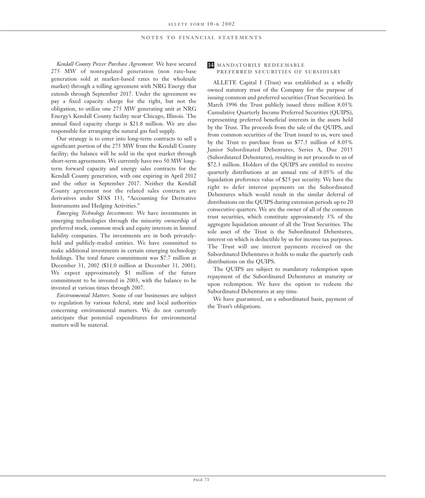*Kendall County Power Purchase Agreement.* We have secured 275 MW of nonregulated generation (non rate-base generation sold at market-based rates to the wholesale market) through a tolling agreement with NRG Energy that extends through September 2017. Under the agreement we pay a fixed capacity charge for the right, but not the obligation, to utilize one 275 MW generating unit at NRG Energy's Kendall County facility near Chicago, Illinois. The annual fixed capacity charge is \$21.8 million. We are also responsible for arranging the natural gas fuel supply.

Our strategy is to enter into long-term contracts to sell a significant portion of the 275 MW from the Kendall County facility; the balance will be sold in the spot market through short-term agreements. We currently have two 50 MW longterm forward capacity and energy sales contracts for the Kendall County generation, with one expiring in April 2012 and the other in September 2017. Neither the Kendall County agreement nor the related sales contracts are derivatives under SFAS 133, "Accounting for Derivative Instruments and Hedging Activities."

*Emerging Technology Investments.* We have investments in emerging technologies through the minority ownership of preferred stock, common stock and equity interests in limited liability companies. The investments are in both privatelyheld and publicly-traded entities. We have committed to make additional investments in certain emerging technology holdings. The total future commitment was \$7.7 million at December 31, 2002 (\$11.0 million at December 31, 2001). We expect approximately \$1 million of the future commitment to be invested in 2003, with the balance to be invested at various times through 2007.

*Environmental Matters.* Some of our businesses are subject to regulation by various federal, state and local authorities concerning environmental matters. We do not currently anticipate that potential expenditures for environmental matters will be material.

## **MANDATORILY REDEEMABLE 14PREFERRED SECURITIES OF SUBSIDIARY**

ALLETE Capital I (Trust) was established as a wholly owned statutory trust of the Company for the purpose of issuing common and preferred securities (Trust Securities). In March 1996 the Trust publicly issued three million 8.05% Cumulative Quarterly Income Preferred Securities (QUIPS), representing preferred beneficial interests in the assets held by the Trust. The proceeds from the sale of the QUIPS, and from common securities of the Trust issued to us, were used by the Trust to purchase from us \$77.5 million of 8.05% Junior Subordinated Debentures, Series A, Due 2015 (Subordinated Debentures), resulting in net proceeds to us of \$72.3 million. Holders of the QUIPS are entitled to receive quarterly distributions at an annual rate of 8.05% of the liquidation preference value of \$25 per security. We have the right to defer interest payments on the Subordinated Debentures which would result in the similar deferral of distributions on the QUIPS during extension periods up to 20 consecutive quarters. We are the owner of all of the common trust securities, which constitute approximately 3% of the aggregate liquidation amount of all the Trust Securities. The sole asset of the Trust is the Subordinated Debentures, interest on which is deductible by us for income tax purposes. The Trust will use interest payments received on the Subordinated Debentures it holds to make the quarterly cash distributions on the QUIPS.

The QUIPS are subject to mandatory redemption upon repayment of the Subordinated Debentures at maturity or upon redemption. We have the option to redeem the Subordinated Debentures at any time.

We have guaranteed, on a subordinated basis, payment of the Trust's obligations.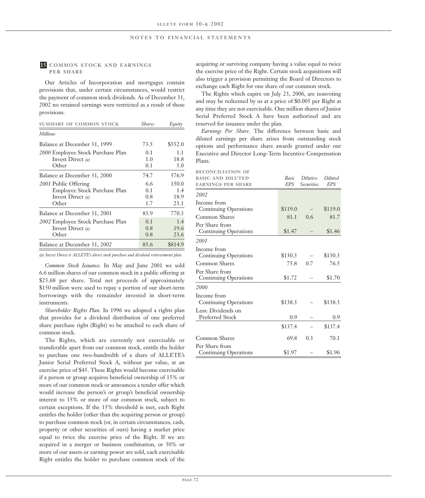### **COMMON STOCK AND EARNINGS 15PER SHARE**

Our Articles of Incorporation and mortgages contain provisions that, under certain circumstances, would restrict the payment of common stock dividends. As of December 31, 2002 no retained earnings were restricted as a result of these provisions.

| <b>SUMMARY OF COMMON STOCK</b>                                                     | Shares                   | Equity                       |  |
|------------------------------------------------------------------------------------|--------------------------|------------------------------|--|
| <b>Millions</b>                                                                    |                          |                              |  |
| Balance at December 31, 1999                                                       | 73.5                     | \$552.0                      |  |
| 2000 Employee Stock Purchase Plan<br>Invest Direct $(a)$<br>Other                  | 0.1<br>1.0<br>0.1        | 1.1<br>18.8<br>5.0           |  |
| Balance at December 31, 2000                                                       | 74.7                     | 576.9                        |  |
| 2001 Public Offering<br>Employee Stock Purchase Plan<br>Invest Direct (a)<br>Other | 6.6<br>0.1<br>0.8<br>1.7 | 150.0<br>1.4<br>18.9<br>23.1 |  |
| Balance at December 31, 2001                                                       | 83.9                     | 770.3                        |  |
| 2002 Employee Stock Purchase Plan<br>Invest Direct $(a)$<br>Other                  | 0.1<br>0.8<br>0.8        | 1.4<br>19.6<br>23.6          |  |
| Balance at December 31, 2002                                                       | 85.6                     | \$814.9                      |  |

*(a) Invest Direct is ALLETE's direct stock purchase and dividend reinvestment plan.*

*Common Stock Issuance.* In May and June 2001 we sold 6.6 million shares of our common stock in a public offering at \$23.68 per share. Total net proceeds of approximately \$150 million were used to repay a portion of our short-term borrowings with the remainder invested in short-term instruments.

*Shareholder Rights Plan.* In 1996 we adopted a rights plan that provides for a dividend distribution of one preferred share purchase right (Right) to be attached to each share of common stock.

The Rights, which are currently not exercisable or transferable apart from our common stock, entitle the holder to purchase one two-hundredth of a share of ALLETE's Junior Serial Preferred Stock A, without par value, at an exercise price of \$45. These Rights would become exercisable if a person or group acquires beneficial ownership of 15% or more of our common stock or announces a tender offer which would increase the person's or group's beneficial ownership interest to 15% or more of our common stock, subject to certain exceptions. If the 15% threshold is met, each Right entitles the holder (other than the acquiring person or group) to purchase common stock (or, in certain circumstances, cash, property or other securities of ours) having a market price equal to twice the exercise price of the Right. If we are acquired in a merger or business combination, or 50% or more of our assets or earning power are sold, each exercisable Right entitles the holder to purchase common stock of the acquiring or surviving company having a value equal to twice the exercise price of the Right. Certain stock acquisitions will also trigger a provision permitting the Board of Directors to exchange each Right for one share of our common stock.

The Rights which expire on July 23, 2006, are nonvoting and may be redeemed by us at a price of \$0.005 per Right at any time they are not exercisable. One million shares of Junior Serial Preferred Stock A have been authorized and are reserved for issuance under the plan.

*Earnings Per Share.* The difference between basic and diluted earnings per share arises from outstanding stock options and performance share awards granted under our Executive and Director Long-Term Incentive Compensation Plans.

| <b>RECONCILIATION OF</b>     |            |                   |            |
|------------------------------|------------|-------------------|------------|
| <b>BASIC AND DILUTED</b>     | Basic      | Dilutive          | Diluted    |
| <b>EARNINGS PER SHARE</b>    | <b>EPS</b> | <b>Securities</b> | <b>EPS</b> |
| 2002                         |            |                   |            |
| Income from                  |            |                   |            |
| <b>Continuing Operations</b> | \$119.0    |                   | \$119.0    |
| Common Shares                | 81.1       | 0.6               | 81.7       |
| Per Share from               |            |                   |            |
| <b>Continuing Operations</b> | \$1.47     |                   | \$1.46     |
| 2001                         |            |                   |            |
| Income from                  |            |                   |            |
| <b>Continuing Operations</b> | \$130.3    |                   | \$130.3    |
| Common Shares                | 75.8       | 0.7               | 76.5       |
| Per Share from               |            |                   |            |
| <b>Continuing Operations</b> | \$1.72     |                   | \$1.70     |
| 2000                         |            |                   |            |
| Income from                  |            |                   |            |
| <b>Continuing Operations</b> | \$138.3    |                   | \$138.3    |
| Less: Dividends on           |            |                   |            |
| Preferred Stock              | 0.9        |                   | 0.9        |
|                              | \$137.4    |                   | \$137.4    |
| <b>Common Shares</b>         | 69.8       | 0.3               | 70.1       |
| Per Share from               |            |                   |            |
| <b>Continuing Operations</b> | \$1.97     |                   | \$1.96     |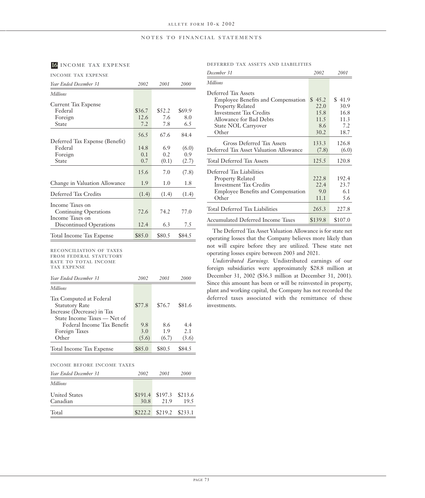## **16** INCOME TAX EXPENSE

# **INCOME TAX EXPENSE**

| Year Ended December 31         | 2002   | 2001   | <b>2000</b> |
|--------------------------------|--------|--------|-------------|
| <i>Millions</i>                |        |        |             |
| Current Tax Expense            |        |        |             |
| Federal                        | \$36.7 | \$52.2 | \$69.9      |
| Foreign                        | 12.6   | 7.6    | 8.0         |
| State                          | 7.2    | 7.8    | 6.5         |
|                                | 56.5   | 67.6   | 84.4        |
| Deferred Tax Expense (Benefit) |        |        |             |
| Federal                        | 14.8   | 6.9    | (6.0)       |
| Foreign                        | 0.1    | 0.2    | 0.9         |
| State                          | 0.7    | (0.1)  | (2.7)       |
|                                | 15.6   | 7.0    | (7.8)       |
| Change in Valuation Allowance  | 1.9    | 1.0    | 1.8         |
| Deferred Tax Credits           | (1.4)  | (1.4)  | (1.4)       |
| Income Taxes on                |        |        |             |
| <b>Continuing Operations</b>   | 72.6   | 74.2   | 77.0        |
| Income Taxes on                |        |        |             |
| <b>Discontinued Operations</b> | 12.4   | 6.3    | 7.5         |
| Total Income Tax Expense       | \$85.0 | \$80.5 | \$84.5      |

**RECONCILIATION OF TAXES FROM FEDERAL STATUTORY RATE TO TOTAL INCOME TAX EXPENSE**

| Year Ended December 31      | 2002   | 2001   | 2000   |
|-----------------------------|--------|--------|--------|
| <b>Millions</b>             |        |        |        |
| Tax Computed at Federal     |        |        |        |
| <b>Statutory Rate</b>       | \$77.8 | \$76.7 | \$81.6 |
| Increase (Decrease) in Tax  |        |        |        |
| State Income Taxes — Net of |        |        |        |
| Federal Income Tax Benefit  | 9.8    | 8.6    | 4.4    |
| Foreign Taxes               | 3.0    | 1.9    | 2.1    |
| Other                       | (5.6)  | (6.7)  | (3.6)  |
| Total Income Tax Expense    | \$85.0 | \$80.5 | S84 5  |

**INCOME BEFORE INCOME TAXES**

| <b>Year Ended December 31</b>    | 2002 | 2001                            | <i>2000</i> |
|----------------------------------|------|---------------------------------|-------------|
| <i>Millions</i>                  |      |                                 |             |
| <b>United States</b><br>Canadian | 30.8 | \$191.4 \$197.3 \$213.6<br>21.9 | 19.5        |
| Total                            |      | \$222.2 \$219.2 \$233.1         |             |

**DEFERRED TAX ASSETS AND LIABILITIES**

| December 31                               | 2002    | 2001    |
|-------------------------------------------|---------|---------|
| Millions                                  |         |         |
| Deferred Tax Assets                       |         |         |
| <b>Employee Benefits and Compensation</b> | \$45.2  | \$41.9  |
| Property Related                          | 22.0    | 30.9    |
| <b>Investment Tax Credits</b>             | 15.8    | 16.8    |
| Allowance for Bad Debts                   | 11.5    | 11.3    |
| <b>State NOL Carryover</b>                | 8.6     | 7.2     |
| Other                                     | 30.2    | 18.7    |
| Gross Deferred Tax Assets                 | 133.3   | 126.8   |
| Deferred Tax Asset Valuation Allowance    | (7.8)   | (6.0)   |
| Total Deferred Tax Assets                 | 125.5   | 120.8   |
| Deferred Tax Liabilities                  |         |         |
| <b>Property Related</b>                   | 222.8   | 192.4   |
| <b>Investment Tax Credits</b>             | 22.4    | 23.7    |
| <b>Employee Benefits and Compensation</b> | 9.0     | 6.1     |
| Other                                     | 11.1    | 5.6     |
| Total Deferred Tax Liabilities            | 265.3   | 227.8   |
| Accumulated Deferred Income Taxes         | \$139.8 | \$107.0 |

The Deferred Tax Asset Valuation Allowance is for state net operating losses that the Company believes more likely than not will expire before they are utilized. These state net operating losses expire between 2003 and 2021.

*Undistributed Earnings.* Undistributed earnings of our foreign subsidiaries were approximately \$28.8 million at December 31, 2002 (\$36.3 million at December 31, 2001). Since this amount has been or will be reinvested in property, plant and working capital, the Company has not recorded the deferred taxes associated with the remittance of these investments.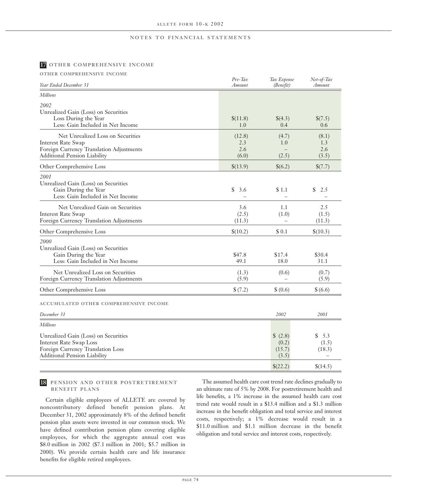# **OTHER COMPREHENSIVE INCOME 17**

| <b>OTHER COMPREHENSIVE INCOME</b> |  |
|-----------------------------------|--|
|                                   |  |

| Year Ended December 31                                                                                                                             | $Pre-Tax$<br>Amount           | Tax Expense<br>(Benefit)            | Net-of-Tax<br>Amount         |
|----------------------------------------------------------------------------------------------------------------------------------------------------|-------------------------------|-------------------------------------|------------------------------|
| <b>Millions</b>                                                                                                                                    |                               |                                     |                              |
| 2002<br>Unrealized Gain (Loss) on Securities<br>Loss During the Year<br>Less: Gain Included in Net Income                                          | \$(11.8)<br>1.0               | \$(4.3)<br>0.4                      | \$(7.5)<br>$0.6^{\circ}$     |
| Net Unrealized Loss on Securities<br><b>Interest Rate Swap</b><br>Foreign Currency Translation Adjustments<br>Additional Pension Liability         | (12.8)<br>2.3<br>2.6<br>(6.0) | (4.7)<br>1.0<br>(2.5)               | (8.1)<br>1.3<br>2.6<br>(3.5) |
| Other Comprehensive Loss                                                                                                                           | \$(13.9)                      | \$(6.2)                             | \$(7.7)                      |
| 2001<br>Unrealized Gain (Loss) on Securities<br>Gain During the Year<br>Less: Gain Included in Net Income                                          | \$<br>3.6                     | \$1.1<br>÷                          | 2.5<br>\$                    |
| Net Unrealized Gain on Securities<br><b>Interest Rate Swap</b><br>Foreign Currency Translation Adjustments                                         | 3.6<br>(2.5)<br>(11.3)        | 1.1<br>(1.0)                        | 2.5<br>(1.5)<br>(11.3)       |
| Other Comprehensive Loss                                                                                                                           | \$(10.2)                      | \$ 0.1                              | \$(10.3)                     |
| 2000<br>Unrealized Gain (Loss) on Securities<br>Gain During the Year<br>Less: Gain Included in Net Income                                          | \$47.8<br>49.1                | \$17.4<br>18.0                      | \$30.4<br>31.1               |
| Net Unrealized Loss on Securities<br>Foreign Currency Translation Adjustments                                                                      | (1.3)<br>(5.9)                | (0.6)                               | (0.7)<br>(5.9)               |
| Other Comprehensive Loss                                                                                                                           | \$(7.2)                       | \$ (0.6)                            | \$(6.6)                      |
| <b>ACCUMULATED OTHER COMPREHENSIVE INCOME</b>                                                                                                      |                               |                                     |                              |
| December 31                                                                                                                                        |                               | 2002                                | 2001                         |
| <b>Millions</b>                                                                                                                                    |                               |                                     |                              |
| Unrealized Gain (Loss) on Securities<br><b>Interest Rate Swap Loss</b><br>Foreign Currency Translation Loss<br><b>Additional Pension Liability</b> |                               | \$(2.8)<br>(0.2)<br>(15.7)<br>(3.5) | \$5.3<br>(1.5)<br>(18.3)     |
|                                                                                                                                                    |                               | \$(22.2)                            | \$(14.5)                     |

### **18 PENSION AND OTHER POSTRETIREMENT BENEFIT PLANS**

Certain eligible employees of ALLETE are covered by noncontributory defined benefit pension plans. At December 31, 2002 approximately 8% of the defined benefit pension plan assets were invested in our common stock. We have defined contribution pension plans covering eligible employees, for which the aggregate annual cost was \$8.0 million in 2002 (\$7.1 million in 2001; \$5.7 million in 2000). We provide certain health care and life insurance benefits for eligible retired employees.

The assumed health care cost trend rate declines gradually to an ultimate rate of 5% by 2008. For postretirement health and life benefits, a 1% increase in the assumed health care cost trend rate would result in a \$13.4 million and a \$1.3 million increase in the benefit obligation and total service and interest costs, respectively; a 1% decrease would result in a \$11.0 million and \$1.1 million decrease in the benefit obligation and total service and interest costs, respectively.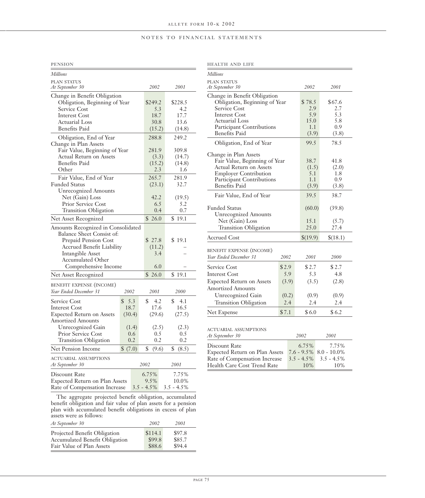#### **HEALTH AND LIFE**

Benefits Paid

Change in Plan Assets

Change in Benefit Obligation

*Millions* PLAN STATUS

 $\overline{a}$ 

L.

L.

| <b>Millions</b>                                    |           |       |             |               |
|----------------------------------------------------|-----------|-------|-------------|---------------|
| PLAN STATUS                                        |           |       |             |               |
| At September 30                                    |           |       | 2002        | 2001          |
| Change in Benefit Obligation                       |           |       |             |               |
| Obligation, Beginning of Year                      |           |       | \$249.2     | \$228.5       |
| Service Cost                                       |           |       | 5.3         | 4.2           |
| <b>Interest Cost</b>                               |           |       | 18.7        | 17.7          |
| <b>Actuarial Loss</b>                              |           |       | 30.8        | 13.6          |
| <b>Benefits Paid</b>                               |           |       | (15.2)      | (14.8)        |
| Obligation, End of Year                            |           |       | 288.8       | 249.2         |
| Change in Plan Assets                              |           |       |             |               |
| Fair Value, Beginning of Year                      |           |       | 281.9       | 309.8         |
| Actual Return on Assets                            |           |       | (3.3)       | (14.7)        |
| <b>Benefits Paid</b>                               |           |       | (15.2)      | (14.8)        |
| Other                                              |           |       | 2.3         | 1.6           |
| Fair Value, End of Year                            |           |       | 265.7       | 281.9         |
| <b>Funded Status</b>                               |           |       | (23.1)      | 32.7          |
| <b>Unrecognized Amounts</b>                        |           |       |             |               |
| Net (Gain) Loss                                    |           |       | 42.2        | (19.5)        |
| Prior Service Cost                                 |           |       | 6.5         | 5.2           |
| <b>Transition Obligation</b>                       |           |       | 0.4         | 0.7           |
| Net Asset Recognized                               |           |       | \$<br>26.0  | \$19.1        |
| Amounts Recognized in Consolidated                 |           |       |             |               |
| Balance Sheet Consist of:                          |           |       |             |               |
| <b>Prepaid Pension Cost</b>                        |           |       | \$27.8      | \$19.1        |
| <b>Accrued Benefit Liability</b>                   |           |       | (11.2)      |               |
| Intangible Asset                                   |           |       | 3.4         |               |
| <b>Accumulated Other</b>                           |           |       |             |               |
| Comprehensive Income                               |           |       | 6.0         |               |
| Net Asset Recognized                               |           |       | \$<br>26.0  | \$<br>19.1    |
|                                                    |           |       |             |               |
| BENEFIT EXPENSE (INCOME)<br>Year Ended December 31 |           |       |             |               |
|                                                    | 2002      |       | 2001        | 2000          |
| Service Cost                                       | 5.3<br>\$ |       | \$<br>4.2   | \$<br>4.1     |
| <b>Interest Cost</b>                               | 18.7      |       | 17.6        | 16.5          |
| <b>Expected Return on Assets</b>                   | (30.4)    |       | (29.6)      | (27.5)        |
| Amortized Amounts                                  |           |       |             |               |
| Unrecognized Gain<br>(1.4)                         |           | (2.5) | (2.3)       |               |
| Prior Service Cost<br>0.6                          |           | 0.5   | 0.5         |               |
| <b>Transition Obligation</b><br>0.2                |           | 0.2   | 0.2         |               |
| <b>Net Pension Income</b><br>\$(7.0)               |           |       | \$<br>(9.6) | \$<br>(8.5)   |
| <b>ACTUARIAL ASSUMPTIONS</b>                       |           |       |             |               |
| At September 30                                    |           |       | 2002        | 2001          |
| Discount Rate                                      |           |       | 6.75%       | 7.75%         |
| Expected Return on Plan Assets                     |           |       | 9.5%        | 10.0%         |
| Rate of Compensation Increase<br>$3.5 - 4.5\%$     |           |       |             | $3.5 - 4.5\%$ |

| Fair Value, Beginning of Year    |       | 38.7     | 41.8     |
|----------------------------------|-------|----------|----------|
| Actual Return on Assets          |       | (1.5)    | (2.0)    |
| <b>Employer Contribution</b>     |       | 5.1      | 1.8      |
| <b>Participant Contributions</b> |       | 1.1      | 0.9      |
| <b>Benefits</b> Paid             |       | (3.9)    | (3.8)    |
| Fair Value, End of Year          |       | 39.5     | 38.7     |
| Funded Status                    |       | (60.0)   | (39.8)   |
| <b>Unrecognized Amounts</b>      |       |          |          |
| Net (Gain) Loss                  |       | 15.1     | (5.7)    |
| <b>Transition Obligation</b>     |       | 25.0     | 27.4     |
| Accrued Cost                     |       | \$(19.9) | \$(18.1) |
|                                  |       |          |          |
| BENEFIT EXPENSE (INCOME)         |       |          |          |
| Year Ended December 31           | 2002  | 2001     | 2000     |
| Service Cost                     | \$2.9 | \$2.7    | \$2.7    |
| Interest Cost                    | 5.9   | 5.3      | 4.8      |
| <b>Expected Return on Assets</b> | (3.9) | (3.5)    | (2.8)    |
| <b>Amortized Amounts</b>         |       |          |          |
| <b>Unrecognized Gain</b>         | (0.2) | (0.9)    | (0.9)    |
| <b>Transition Obligation</b>     | 2.4   | 2.4      | 2.4      |
| Net Expense                      | \$7.1 | \$6.0    | \$6.2    |
|                                  |       |          |          |
| <b>ACTUARIAL ASSUMPTIONS</b>     |       |          |          |
| At September 30                  |       | 2002     | 2001     |

*At September 30 2002 2001*

Obligation, Beginning of Year \$78.5 \$67.6 Service Cost 2.9 2.7<br>
Interest Cost 5.9 5.3 Interest Cost 5.9 5.3<br>Actuarial Loss 5.8 5.8 5.8 Actuarial Loss 15.0 5.8<br>Participant Contributions 1.1 0.9 Participant Contributions 1.1 0.9<br>Benefits Paid (3.9) (3.8)

Obligation, End of Year 99.5 78.5

| ги зериетоет эо                       | $\lambda$ . | 2001                        |
|---------------------------------------|-------------|-----------------------------|
| Discount Rate                         | 6.75%       | 7.75%                       |
| <b>Expected Return on Plan Assets</b> |             | $7.6 - 9.5\%$ 8.0 - 10.0%   |
| Rate of Compensation Increase         |             | $3.5 - 4.5\%$ $3.5 - 4.5\%$ |
| Health Care Cost Trend Rate           | $10\%$      | 10%                         |

The aggregate projected benefit obligation, accumulated benefit obligation and fair value of plan assets for a pension plan with accumulated benefit obligations in excess of plan assets were as follows:

| At September 30                                                | 2002              | 2001             |
|----------------------------------------------------------------|-------------------|------------------|
| Projected Benefit Obligation<br>Accumulated Benefit Obligation | \$114.1<br>\$99.8 | \$97.8<br>\$85.7 |
| Fair Value of Plan Assets                                      | \$88.6            | \$94.4           |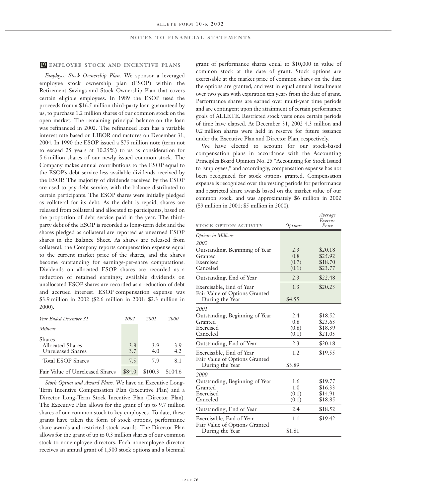### **EMPLOYEE STOCK AND INCENTIVE PLANS 19**

*Employee Stock Ownership Plan.* We sponsor a leveraged employee stock ownership plan (ESOP) within the Retirement Savings and Stock Ownership Plan that covers certain eligible employees. In 1989 the ESOP used the proceeds from a \$16.5 million third-party loan guaranteed by us, to purchase 1.2 million shares of our common stock on the open market. The remaining principal balance on the loan was refinanced in 2002. The refinanced loan has a variable interest rate based on LIBOR and matures on December 31, 2004. In 1990 the ESOP issued a \$75 million note (term not to exceed 25 years at 10.25%) to us as consideration for 5.6 million shares of our newly issued common stock. The Company makes annual contributions to the ESOP equal to the ESOP's debt service less available dividends received by the ESOP. The majority of dividends received by the ESOP are used to pay debt service, with the balance distributed to certain participants. The ESOP shares were initially pledged as collateral for its debt. As the debt is repaid, shares are released from collateral and allocated to participants, based on the proportion of debt service paid in the year. The thirdparty debt of the ESOP is recorded as long-term debt and the shares pledged as collateral are reported as unearned ESOP shares in the Balance Sheet. As shares are released from collateral, the Company reports compensation expense equal to the current market price of the shares, and the shares become outstanding for earnings-per-share computations. Dividends on allocated ESOP shares are recorded as a reduction of retained earnings; available dividends on unallocated ESOP shares are recorded as a reduction of debt and accrued interest. ESOP compensation expense was \$3.9 million in 2002 (\$2.6 million in 2001; \$2.3 million in 2000).

| <b>Year Ended December 31</b>                                 | 2002       | 2001       | 2000       |
|---------------------------------------------------------------|------------|------------|------------|
| <i>Millions</i>                                               |            |            |            |
| <b>Shares</b><br><b>Allocated Shares</b><br>Unreleased Shares | 3.8<br>3.7 | 3.9<br>4.0 | 3.9<br>4.2 |
| Total ESOP Shares                                             | 7.5        | 79         | 8.1        |
| Fair Value of Unreleased Shares                               | \$84.0     | \$100.3    | \$104.6    |

*Stock Option and Award Plans.* We have an Executive Long-Term Incentive Compensation Plan (Executive Plan) and a Director Long-Term Stock Incentive Plan (Director Plan). The Executive Plan allows for the grant of up to 9.7 million shares of our common stock to key employees. To date, these grants have taken the form of stock options, performance share awards and restricted stock awards. The Director Plan allows for the grant of up to 0.3 million shares of our common stock to nonemployee directors. Each nonemployee director receives an annual grant of 1,500 stock options and a biennial

grant of performance shares equal to \$10,000 in value of common stock at the date of grant. Stock options are exercisable at the market price of common shares on the date the options are granted, and vest in equal annual installments over two years with expiration ten years from the date of grant. Performance shares are earned over multi-year time periods and are contingent upon the attainment of certain performance goals of ALLETE. Restricted stock vests once certain periods of time have elapsed. At December 31, 2002 4.3 million and 0.2 million shares were held in reserve for future issuance under the Executive Plan and Director Plan, respectively.

We have elected to account for our stock-based compensation plans in accordance with the Accounting Principles Board Opinion No. 25 "Accounting for Stock Issued to Employees," and accordingly, compensation expense has not been recognized for stock options granted. Compensation expense is recognized over the vesting periods for performance and restricted share awards based on the market value of our common stock, and was approximately \$6 million in 2002 (\$9 million in 2001; \$5 million in 2000).

| <b>STOCK OPTION ACTIVITY</b>                                                 | Options                      | Average<br>Exercise<br>Price             |
|------------------------------------------------------------------------------|------------------------------|------------------------------------------|
| Options in Millions                                                          |                              |                                          |
| 2002                                                                         |                              |                                          |
| Outstanding, Beginning of Year<br>Granted<br>Exercised<br>Canceled           | 2.3<br>0.8<br>(0.7)<br>(0.1) | \$20.18<br>\$25.92<br>\$18.70<br>\$23.77 |
| Outstanding, End of Year                                                     | 2.3                          | \$22.48                                  |
| Exercisable, End of Year<br>Fair Value of Options Granted<br>During the Year | 1.3<br>\$4.55                | \$20.23                                  |
| 2001                                                                         |                              |                                          |
| Outstanding, Beginning of Year<br>Granted<br>Exercised<br>Canceled           | 2.4<br>0.8<br>(0.8)<br>(0.1) | \$18.52<br>\$23.63<br>\$18.39<br>\$21.05 |
| Outstanding, End of Year                                                     | 2.3                          | \$20.18                                  |
| Exercisable, End of Year<br>Fair Value of Options Granted<br>During the Year | 1.2<br>\$3.89                | \$19.55                                  |
| 2000                                                                         |                              |                                          |
| Outstanding, Beginning of Year<br>Granted<br>Exercised<br>Canceled           | 1.6<br>1.0<br>(0.1)<br>(0.1) | \$19.77<br>\$16.33<br>\$14.91<br>\$18.85 |
| Outstanding, End of Year                                                     | 2.4                          | \$18.52                                  |
| Exercisable, End of Year<br>Fair Value of Options Granted<br>During the Year | 1.1<br>\$1.81                | \$19.42                                  |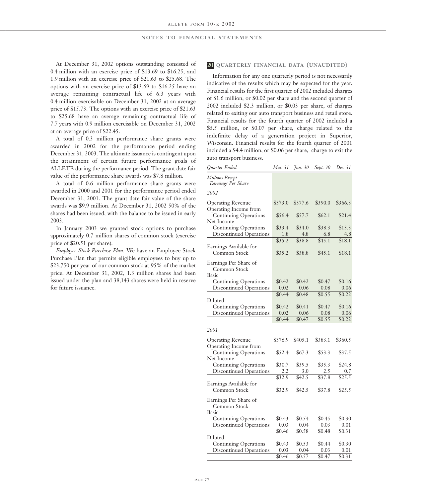At December 31, 2002 options outstanding consisted of 0.4 million with an exercise price of \$13.69 to \$16.25, and 1.9 million with an exercise price of \$21.63 to \$25.68. The options with an exercise price of \$13.69 to \$16.25 have an average remaining contractual life of 6.3 years with 0.4 million exercisable on December 31, 2002 at an average price of \$15.73. The options with an exercise price of \$21.63 to \$25.68 have an average remaining contractual life of 7.7 years with 0.9 million exercisable on December 31, 2002 at an average price of \$22.45.

A total of 0.3 million performance share grants were awarded in 2002 for the performance period ending December 31, 2003. The ultimate issuance is contingent upon the attainment of certain future performance goals of ALLETE during the performance period. The grant date fair value of the performance share awards was \$7.8 million.

A total of 0.6 million performance share grants were awarded in 2000 and 2001 for the performance period ended December 31, 2001. The grant date fair value of the share awards was \$9.9 million. At December 31, 2002 50% of the shares had been issued, with the balance to be issued in early 2003.

In January 2003 we granted stock options to purchase approximately 0.7 million shares of common stock (exercise price of \$20.51 per share).

*Employee Stock Purchase Plan.* We have an Employee Stock Purchase Plan that permits eligible employees to buy up to \$23,750 per year of our common stock at 95% of the market price. At December 31, 2002, 1.3 million shares had been issued under the plan and 38,143 shares were held in reserve for future issuance.

## **QUARTERLY FINANCIAL DATA (UNAUDITED**) **20**

Information for any one quarterly period is not necessarily indicative of the results which may be expected for the year. Financial results for the first quarter of 2002 included charges of \$1.6 million, or \$0.02 per share and the second quarter of 2002 included \$2.3 million, or \$0.03 per share, of charges related to exiting our auto transport business and retail store. Financial results for the fourth quarter of 2002 included a \$5.5 million, or \$0.07 per share, charge related to the indefinite delay of a generation project in Superior, Wisconsin. Financial results for the fourth quarter of 2001 included a \$4.4 million, or \$0.06 per share, charge to exit the auto transport business.

| Quarter Ended                                     | Mar. 31 | $\mathcal{J}un.$ 30 | Sept. 30 | Dec. 31 |
|---------------------------------------------------|---------|---------------------|----------|---------|
| <b>Millions Except</b><br>Earnings Per Share      |         |                     |          |         |
| 2002                                              |         |                     |          |         |
| <b>Operating Revenue</b><br>Operating Income from | \$373.0 | \$377.6             | \$390.0  | \$366.3 |
| <b>Continuing Operations</b><br>Net Income        | \$56.4  | \$57.7              | \$62.1   | \$21.4  |
| <b>Continuing Operations</b>                      | \$33.4  | \$34.0              | \$38.3   | \$13.3  |
| <b>Discontinued Operations</b>                    | 1.8     | 4.8                 | 6.8      | 4.8     |
| Earnings Available for                            | \$35.2  | \$38.8              | \$45.1   | \$18.1  |
| Common Stock                                      | \$35.2  | \$38.8              | \$45.1   | \$18.1  |
| Earnings Per Share of<br>Common Stock<br>Basic    |         |                     |          |         |
| <b>Continuing Operations</b>                      | \$0.42  | \$0.42              | \$0.47   | \$0.16  |
| <b>Discontinued Operations</b>                    | 0.02    | 0.06                | 0.08     | 0.06    |
| Diluted                                           | \$0.44  | \$0.48              | \$0.55   | \$0.22  |
| <b>Continuing Operations</b>                      | \$0.42  | \$0.41              | \$0.47   | \$0.16  |
| <b>Discontinued Operations</b>                    | 0.02    | 0.06                | 0.08     | 0.06    |
|                                                   | \$0.44  | \$0.47              | \$0.55   | \$0.22  |
| 2001                                              |         |                     |          |         |
| <b>Operating Revenue</b><br>Operating Income from | \$376.9 | \$405.1             | \$383.1  | \$360.5 |
| <b>Continuing Operations</b><br>Net Income        | \$52.4  | \$67.3              | \$53.3   | \$37.5  |
| Continuing Operations                             | \$30.7  | \$39.5              | \$35.3   | \$24.8  |
| <b>Discontinued Operations</b>                    | 2.2     | 3.0                 | 2.5      | 0.7     |
| Earnings Available for                            | \$32.9  | \$42.5              | \$37.8   | \$25.5  |
| Common Stock                                      | \$32.9  | \$42.5              | \$37.8   | \$25.5  |
| Earnings Per Share of<br>Common Stock<br>Basic    |         |                     |          |         |
| <b>Continuing Operations</b>                      | \$0.43  | \$0.54              | \$0.45   | \$0.30  |
| <b>Discontinued Operations</b>                    | 0.03    | 0.04                | 0.03     | 0.01    |
|                                                   | \$0.46  | \$0.58              | \$0.48   | \$0.31  |
| Diluted<br><b>Continuing Operations</b>           | \$0.43  | \$0.53              | \$0.44   | \$0.30  |
| <b>Discontinued Operations</b>                    | 0.03    | 0.04                | 0.03     | 0.01    |
|                                                   | \$0.46  | \$0.57              | \$0.47   | \$0.31  |
|                                                   |         |                     |          |         |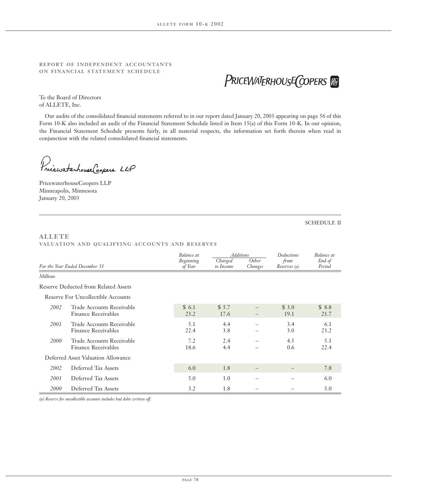**REPORT OF INDEPENDENT ACCOUNTANTS ON FINANCIAL STATEMENT SCHEDULE**

PRICEWATERHOUSE COPERS FO

To the Board of Directors of ALLETE, Inc.

Our audits of the consolidated financial statements referred to in our report dated January 20, 2003 appearing on page 56 of this Form 10-K also included an audit of the Financial Statement Schedule listed in Item 15(a) of this Form 10-K. In our opinion, the Financial Statement Schedule presents fairly, in all material respects, the information set forth therein when read in conjunction with the related consolidated financial statements.

Friewaterhouse Coopers LLP

PricewaterhouseCoopers LLP Minneapolis, Minnesota January 20, 2003

# SCHEDULE II

# **ALLETE VALUATION AND QUALIFYING ACCOUNTS AND RESERVES**

|             |                                                         | Balance at           | <b>Additions</b>     |                  | Deductions           | Balance at       |
|-------------|---------------------------------------------------------|----------------------|----------------------|------------------|----------------------|------------------|
|             | For the Year Ended December 31                          | Beginning<br>of Year | Charged<br>to Income | Other<br>Changes | from<br>Reserves (a) | End of<br>Period |
| Millions    |                                                         |                      |                      |                  |                      |                  |
|             | Reserve Deducted from Related Assets                    |                      |                      |                  |                      |                  |
|             | Reserve For Uncollectible Accounts                      |                      |                      |                  |                      |                  |
| 2002        | Trade Accounts Receivable<br><b>Finance Receivables</b> | \$ 6.1<br>23.2       | \$5.7<br>17.6        |                  | \$3.0<br>19.1        | \$8.8<br>21.7    |
| 2001        | Trade Accounts Receivable<br><b>Finance Receivables</b> | 5.1<br>22.4          | 4.4<br>3.8           |                  | 3.4<br>3.0           | 6.1<br>23.2      |
| <i>2000</i> | Trade Accounts Receivable<br>Finance Receivables        | 7.2<br>18.6          | 2.4<br>4.4           |                  | 4.5<br>0.6           | 5.1<br>22.4      |
|             | Deferred Asset Valuation Allowance                      |                      |                      |                  |                      |                  |
| 2002        | Deferred Tax Assets                                     | 6.0                  | 1.8                  |                  |                      | 7.8              |
| 2001        | Deferred Tax Assets                                     | 5.0                  | 1.0                  |                  |                      | 6.0              |
| 2000        | Deferred Tax Assets                                     | 3.2                  | 1.8                  |                  |                      | 5.0              |

*(a) Reserve for uncollectible accounts includes bad debts written off.*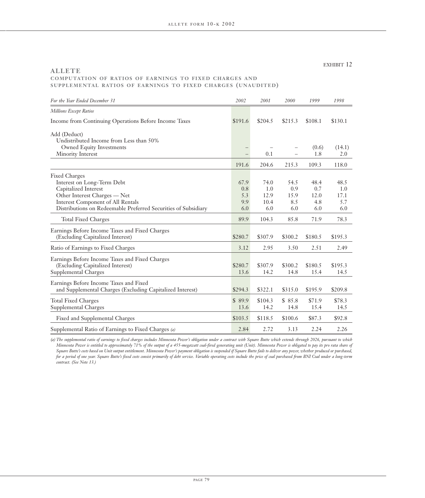## EXHIBIT 12

# **ALLETE COMPUTATION OF RATIOS OF EARNINGS TO FIXED CHARGES AND SUPPLEMENTAL RATIOS OF EARNINGS TO FIXED CHARGES (UNAUDITED)**

| For the Year Ended December 31                                 | 2002            | 2001            | 2000            | 1999            | 1998            |
|----------------------------------------------------------------|-----------------|-----------------|-----------------|-----------------|-----------------|
| <b>Millions Except Ratios</b>                                  |                 |                 |                 |                 |                 |
| Income from Continuing Operations Before Income Taxes          | \$191.6         | \$204.5         | \$215.3         | \$108.1         | \$130.1         |
| Add (Deduct)                                                   |                 |                 |                 |                 |                 |
| Undistributed Income from Less than 50%                        |                 |                 |                 |                 |                 |
| Owned Equity Investments                                       |                 |                 |                 | (0.6)           | (14.1)          |
| Minority Interest                                              |                 | 0.1             |                 | 1.8             | 2.0             |
|                                                                | 191.6           | 204.6           | 215.3           | 109.3           | 118.0           |
| <b>Fixed Charges</b>                                           |                 |                 |                 |                 |                 |
| Interest on Long-Term Debt                                     | 67.9            | 74.0            | 54.5            | 48.4            | 48.5            |
| Capitalized Interest                                           | 0.8             | 1.0             | 0.9             | 0.7             | 1.0             |
| Other Interest Charges - Net                                   | 5.3             | 12.9            | 15.9            | 12.0            | 17.1            |
| <b>Interest Component of All Rentals</b>                       | 9.9             | 10.4            | 8.5             | 4.8             | 5.7             |
| Distributions on Redeemable Preferred Securities of Subsidiary | 6.0             | 6.0             | 6.0             | 6.0             | 6.0             |
| <b>Total Fixed Charges</b>                                     | 89.9            | 104.3           | 85.8            | 71.9            | 78.3            |
| Earnings Before Income Taxes and Fixed Charges                 |                 |                 |                 |                 |                 |
| (Excluding Capitalized Interest)                               | \$280.7         | \$307.9         | \$300.2         | \$180.5         | \$195.3         |
| Ratio of Earnings to Fixed Charges                             | 3.12            | 2.95            | 3.50            | 2.51            | 2.49            |
|                                                                |                 |                 |                 |                 |                 |
| Earnings Before Income Taxes and Fixed Charges                 |                 |                 |                 |                 |                 |
| (Excluding Capitalized Interest)<br>Supplemental Charges       | \$280.7<br>13.6 | \$307.9<br>14.2 | \$300.2<br>14.8 | \$180.5<br>15.4 | \$195.3<br>14.5 |
|                                                                |                 |                 |                 |                 |                 |
| Earnings Before Income Taxes and Fixed                         |                 |                 |                 |                 |                 |
| and Supplemental Charges (Excluding Capitalized Interest)      | \$294.3         | \$322.1         | \$315.0         | \$195.9         | \$209.8         |
| <b>Total Fixed Charges</b>                                     | \$89.9          | \$104.3         | \$85.8          | \$71.9          | \$78.3          |
| Supplemental Charges                                           | 13.6            | 14.2            | 14.8            | 15.4            | 14.5            |
|                                                                |                 |                 |                 |                 |                 |
| Fixed and Supplemental Charges                                 | \$103.5         | \$118.5         | \$100.6         | \$87.3          | \$92.8          |
| Supplemental Ratio of Earnings to Fixed Charges (a)            | 2.84            | 2.72            | 3.13            | 2.24            | 2.26            |

*(a) The supplemental ratio of earnings to fixed charges includes Minnesota Power's obligation under a contract with Square Butte which extends through 2026, pursuant to which Minnesota Power is entitled to approximately 71% of the output of a 455-megawatt coal-fired generating unit (Unit). Minnesota Power is obligated to pay its pro rata share of Square Butte's costs based on Unit output entitlement. Minnesota Power's payment obligation is suspended if Square Butte fails to deliver any power, whether produced or purchased, for a period of one year. Square Butte's fixed costs consist primarily of debt service. Variable operating costs include the price of coal purchased from BNI Coal under a long-term contract. (See Note 13.)*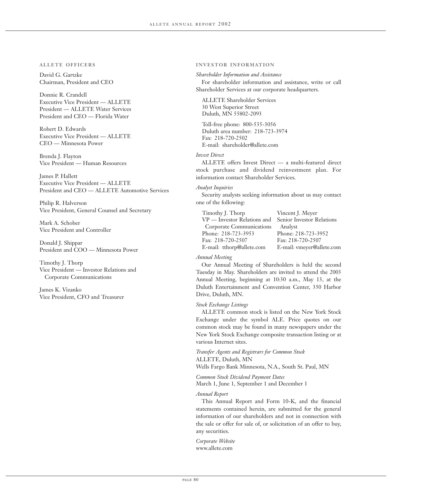#### **ALLETE OFFICERS**

David G. Gartzke Chairman, President and CEO

Donnie R. Crandell Executive Vice President — ALLETE President — ALLETE Water Services President and CEO — Florida Water

Robert D. Edwards Executive Vice President — ALLETE CEO — Minnesota Power

Brenda J. Flayton Vice President — Human Resources

James P. Hallett Executive Vice President — ALLETE President and CEO — ALLETE Automotive Services

Philip R. Halverson Vice President, General Counsel and Secretary

Mark A. Schober Vice President and Controller

Donald J. Shippar President and COO — Minnesota Power

Timothy J. Thorp Vice President — Investor Relations and Corporate Communications

James K. Vizanko Vice President, CFO and Treasurer

#### **INVESTOR INFORMATION**

*Shareholder Information and Assistance*

For shareholder information and assistance, write or call Shareholder Services at our corporate headquarters.

ALLETE Shareholder Services 30 West Superior Street Duluth, MN 55802-2093

Toll-free phone: 800-535-3056 Duluth area number: 218-723-3974 Fax: 218-720-2502 E-mail: shareholder@allete.com

*Invest Direct*

ALLETE offers Invest Direct — a multi-featured direct stock purchase and dividend reinvestment plan. For information contact Shareholder Services.

### *Analyst Inquiries*

Security analysts seeking information about us may contact one of the following:

Timothy J. Thorp Vincent J. Meyer VP — Investor Relations and Senior Investor Relations Corporate Communications Analyst Phone: 218-723-3953 Phone: 218-723-3952 Fax: 218-720-2507 Fax: 218-720-2507 E-mail: tthorp@allete.com E-mail: vmeyer@allete.com

## *Annual Meeting*

Our Annual Meeting of Shareholders is held the second Tuesday in May. Shareholders are invited to attend the 2003 Annual Meeting, beginning at 10:30 a.m., May 13, at the Duluth Entertainment and Convention Center, 350 Harbor Drive, Duluth, MN.

### *Stock Exchange Listings*

ALLETE common stock is listed on the New York Stock Exchange under the symbol ALE. Price quotes on our common stock may be found in many newspapers under the New York Stock Exchange composite transaction listing or at various Internet sites.

*Transfer Agents and Registrars for Common Stock* ALLETE, Duluth, MN Wells Fargo Bank Minnesota, N.A., South St. Paul, MN

*Common Stock Dividend Payment Dates* March 1, June 1, September 1 and December 1

## *Annual Report*

This Annual Report and Form 10-K, and the financial statements contained herein, are submitted for the general information of our shareholders and not in connection with the sale or offer for sale of, or solicitation of an offer to buy, any securities.

*Corporate Website* www.allete.com